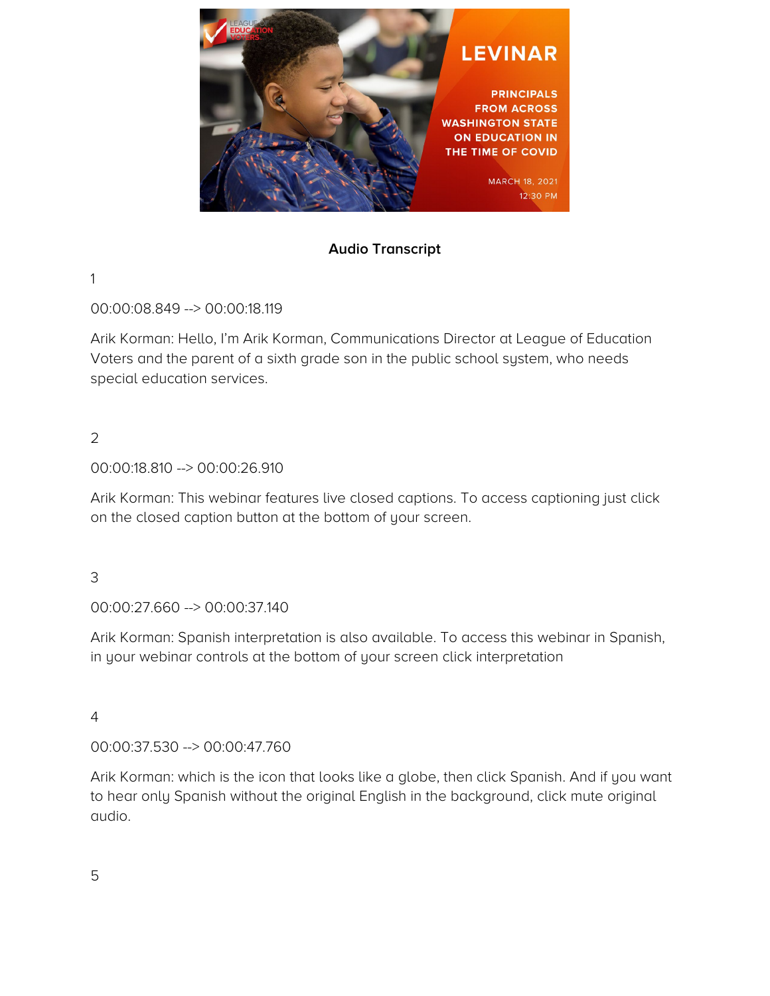

# **Audio Transcript**

1

00:00:08.849 --> 00:00:18.119

Arik Korman: Hello, I'm Arik Korman, Communications Director at League of Education Voters and the parent of a sixth grade son in the public school system, who needs special education services.

2

00:00:18.810 --> 00:00:26.910

Arik Korman: This webinar features live closed captions. To access captioning just click on the closed caption button at the bottom of your screen.

3

00:00:27.660 --> 00:00:37.140

Arik Korman: Spanish interpretation is also available. To access this webinar in Spanish, in your webinar controls at the bottom of your screen click interpretation

4

00:00:37.530 --> 00:00:47.760

Arik Korman: which is the icon that looks like a globe, then click Spanish. And if you want to hear only Spanish without the original English in the background, click mute original audio.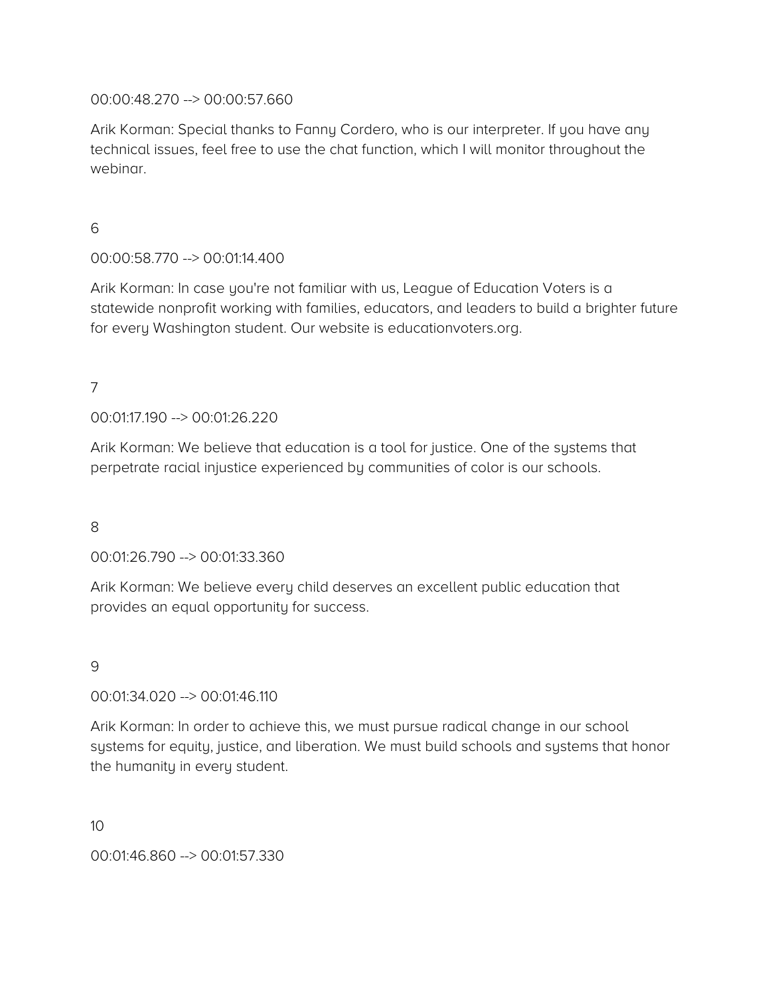00:00:48.270 --> 00:00:57.660

Arik Korman: Special thanks to Fanny Cordero, who is our interpreter. If you have any technical issues, feel free to use the chat function, which I will monitor throughout the webinar.

6

00:00:58.770 --> 00:01:14.400

Arik Korman: In case you're not familiar with us, League of Education Voters is a statewide nonprofit working with families, educators, and leaders to build a brighter future for every Washington student. Our website is educationvoters.org.

7

00:01:17.190 --> 00:01:26.220

Arik Korman: We believe that education is a tool for justice. One of the systems that perpetrate racial injustice experienced by communities of color is our schools.

8

00:01:26.790 --> 00:01:33.360

Arik Korman: We believe every child deserves an excellent public education that provides an equal opportunity for success.

9

00:01:34.020 --> 00:01:46.110

Arik Korman: In order to achieve this, we must pursue radical change in our school systems for equity, justice, and liberation. We must build schools and systems that honor the humanity in every student.

10

00:01:46.860 --> 00:01:57.330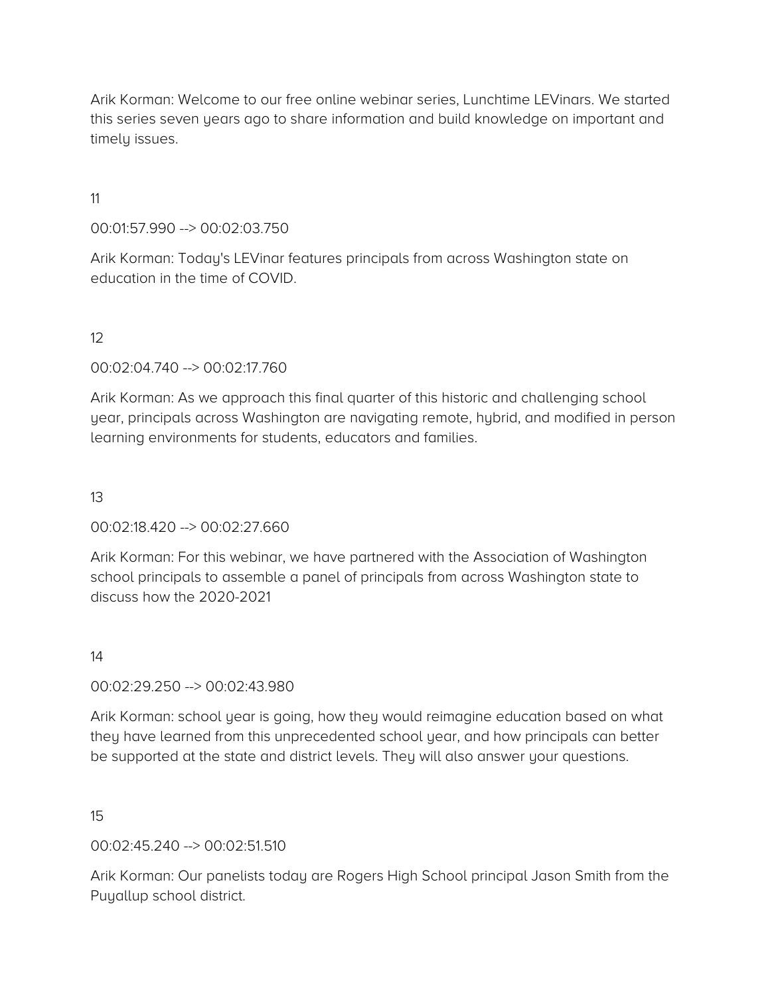Arik Korman: Welcome to our free online webinar series, Lunchtime LEVinars. We started this series seven years ago to share information and build knowledge on important and timely issues.

### 11

### 00:01:57.990 --> 00:02:03.750

Arik Korman: Today's LEVinar features principals from across Washington state on education in the time of COVID.

## 12

### 00:02:04.740 --> 00:02:17.760

Arik Korman: As we approach this final quarter of this historic and challenging school year, principals across Washington are navigating remote, hybrid, and modified in person learning environments for students, educators and families.

### 13

### 00:02:18.420 --> 00:02:27.660

Arik Korman: For this webinar, we have partnered with the Association of Washington school principals to assemble a panel of principals from across Washington state to discuss how the 2020-2021

### 14

### 00:02:29.250 --> 00:02:43.980

Arik Korman: school year is going, how they would reimagine education based on what they have learned from this unprecedented school year, and how principals can better be supported at the state and district levels. They will also answer your questions.

### 15

## 00:02:45.240 --> 00:02:51.510

Arik Korman: Our panelists today are Rogers High School principal Jason Smith from the Puyallup school district.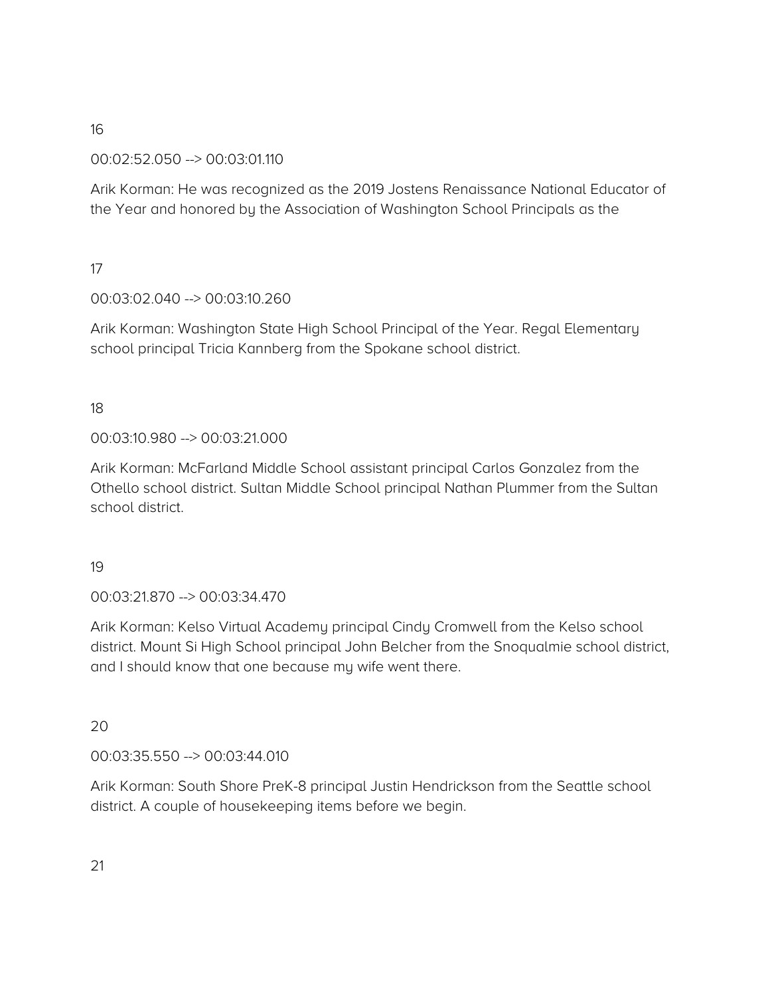## 00:02:52.050 --> 00:03:01.110

Arik Korman: He was recognized as the 2019 Jostens Renaissance National Educator of the Year and honored by the Association of Washington School Principals as the

## 17

# 00:03:02.040 --> 00:03:10.260

Arik Korman: Washington State High School Principal of the Year. Regal Elementary school principal Tricia Kannberg from the Spokane school district.

# 18

# 00:03:10.980 --> 00:03:21.000

Arik Korman: McFarland Middle School assistant principal Carlos Gonzalez from the Othello school district. Sultan Middle School principal Nathan Plummer from the Sultan school district.

## 19

## 00:03:21.870 --> 00:03:34.470

Arik Korman: Kelso Virtual Academy principal Cindy Cromwell from the Kelso school district. Mount Si High School principal John Belcher from the Snoqualmie school district, and I should know that one because my wife went there.

## 20

## 00:03:35.550 --> 00:03:44.010

Arik Korman: South Shore PreK-8 principal Justin Hendrickson from the Seattle school district. A couple of housekeeping items before we begin.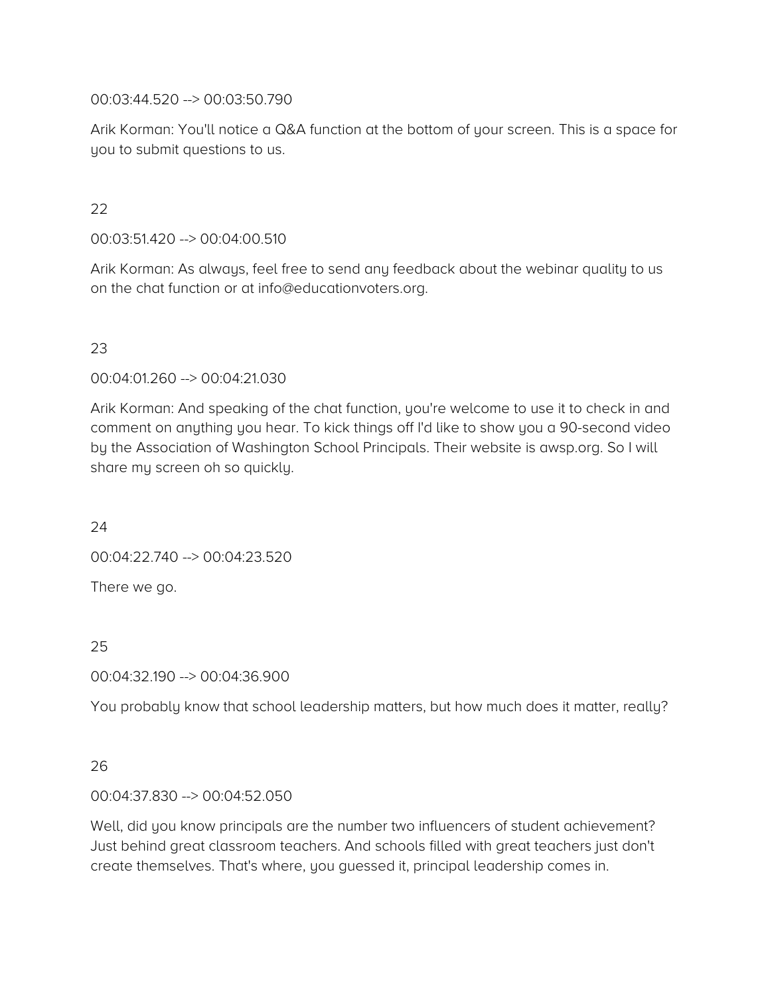00:03:44.520 --> 00:03:50.790

Arik Korman: You'll notice a Q&A function at the bottom of your screen. This is a space for you to submit questions to us.

# 22

00:03:51.420 --> 00:04:00.510

Arik Korman: As always, feel free to send any feedback about the webinar quality to us on the chat function or at info@educationvoters.org.

# 23

00:04:01.260 --> 00:04:21.030

Arik Korman: And speaking of the chat function, you're welcome to use it to check in and comment on anything you hear. To kick things off I'd like to show you a 90-second video by the Association of Washington School Principals. Their website is awsp.org. So I will share my screen oh so quickly.

24

00:04:22.740 --> 00:04:23.520

There we go.

25

00:04:32.190 --> 00:04:36.900

You probably know that school leadership matters, but how much does it matter, really?

### 26

### 00:04:37.830 --> 00:04:52.050

Well, did you know principals are the number two influencers of student achievement? Just behind great classroom teachers. And schools filled with great teachers just don't create themselves. That's where, you guessed it, principal leadership comes in.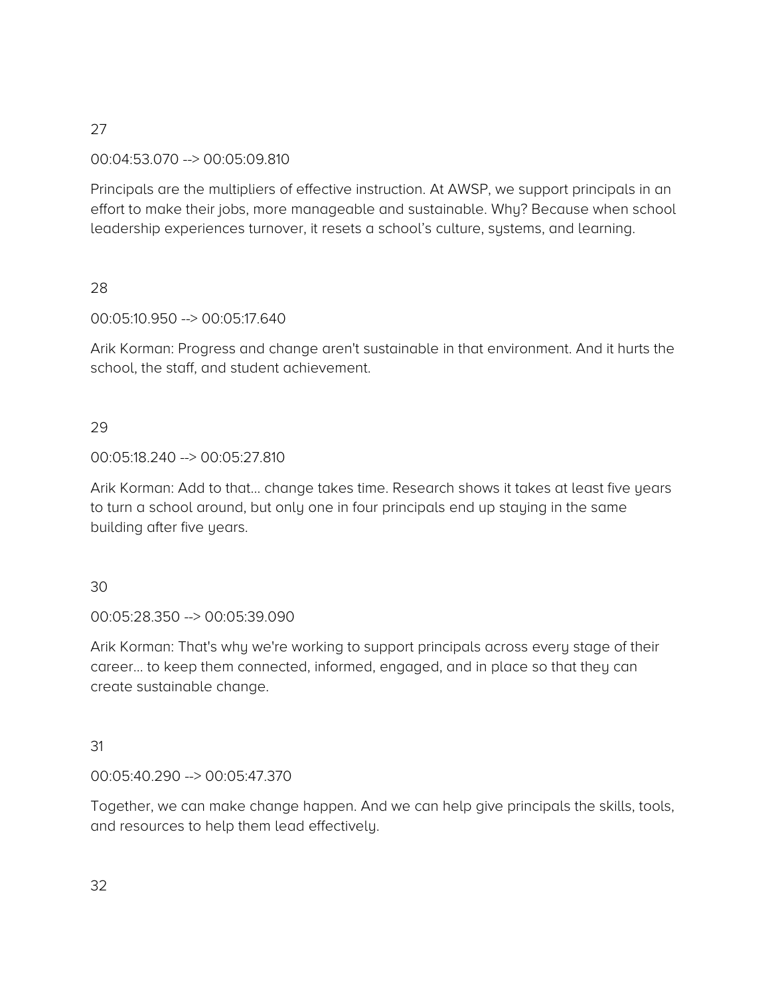### 00:04:53.070 --> 00:05:09.810

Principals are the multipliers of effective instruction. At AWSP, we support principals in an effort to make their jobs, more manageable and sustainable. Why? Because when school leadership experiences turnover, it resets a school's culture, systems, and learning.

### 28

### 00:05:10.950 --> 00:05:17.640

Arik Korman: Progress and change aren't sustainable in that environment. And it hurts the school, the staff, and student achievement.

## 29

### 00:05:18.240 --> 00:05:27.810

Arik Korman: Add to that… change takes time. Research shows it takes at least five years to turn a school around, but only one in four principals end up staying in the same building after five years.

### 30

00:05:28.350 --> 00:05:39.090

Arik Korman: That's why we're working to support principals across every stage of their career… to keep them connected, informed, engaged, and in place so that they can create sustainable change.

### 31

### 00:05:40.290 --> 00:05:47.370

Together, we can make change happen. And we can help give principals the skills, tools, and resources to help them lead effectively.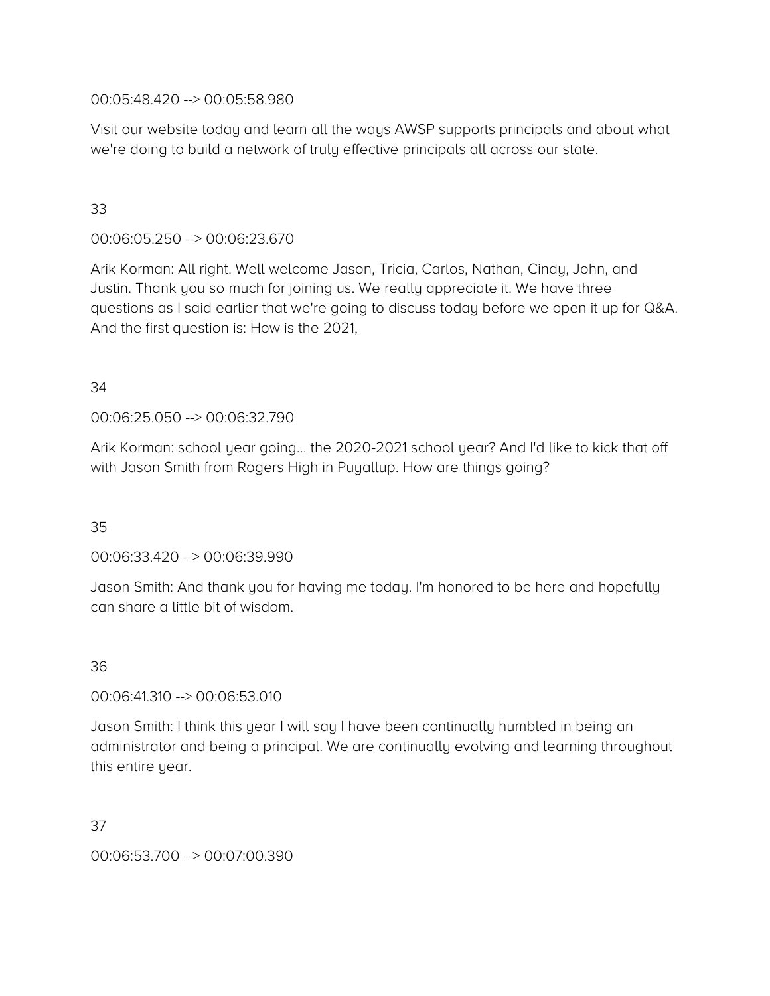00:05:48.420 --> 00:05:58.980

Visit our website today and learn all the ways AWSP supports principals and about what we're doing to build a network of truly effective principals all across our state.

# 33

00:06:05.250 --> 00:06:23.670

Arik Korman: All right. Well welcome Jason, Tricia, Carlos, Nathan, Cindy, John, and Justin. Thank you so much for joining us. We really appreciate it. We have three questions as I said earlier that we're going to discuss today before we open it up for Q&A. And the first question is: How is the 2021,

### 34

00:06:25.050 --> 00:06:32.790

Arik Korman: school year going… the 2020-2021 school year? And I'd like to kick that off with Jason Smith from Rogers High in Puyallup. How are things going?

35

00:06:33.420 --> 00:06:39.990

Jason Smith: And thank you for having me today. I'm honored to be here and hopefully can share a little bit of wisdom.

## 36

00:06:41.310 --> 00:06:53.010

Jason Smith: I think this year I will say I have been continually humbled in being an administrator and being a principal. We are continually evolving and learning throughout this entire year.

37

00:06:53.700 --> 00:07:00.390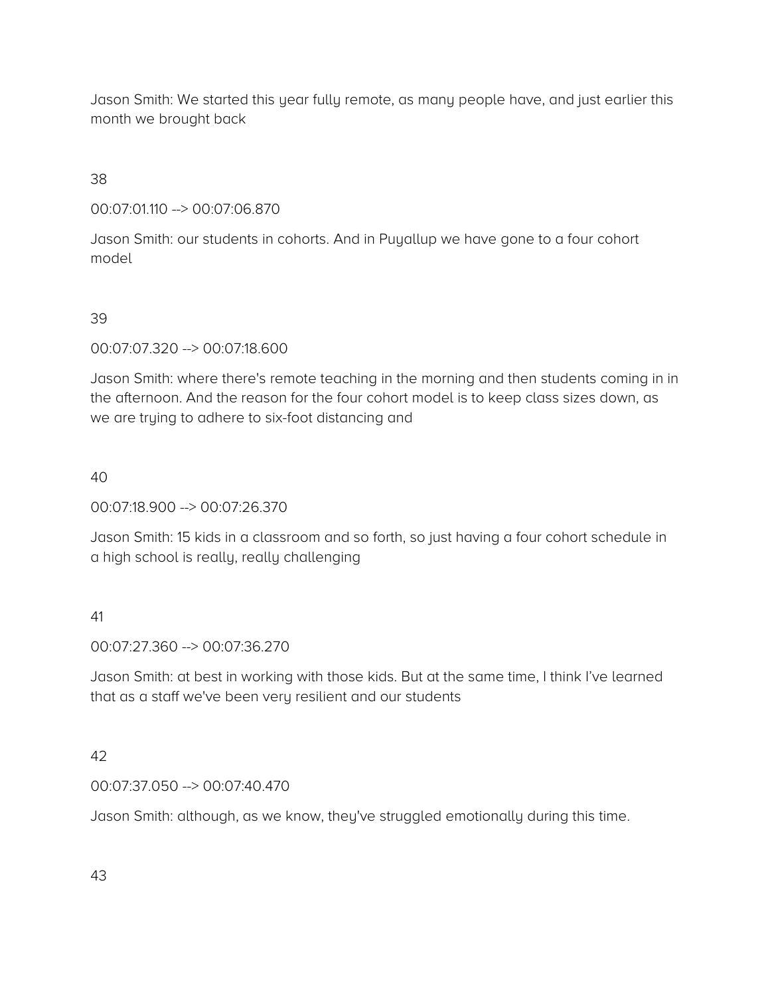Jason Smith: We started this year fully remote, as many people have, and just earlier this month we brought back

38

00:07:01.110 --> 00:07:06.870

Jason Smith: our students in cohorts. And in Puyallup we have gone to a four cohort model

### 39

00:07:07.320 --> 00:07:18.600

Jason Smith: where there's remote teaching in the morning and then students coming in in the afternoon. And the reason for the four cohort model is to keep class sizes down, as we are trying to adhere to six-foot distancing and

40

00:07:18.900 --> 00:07:26.370

Jason Smith: 15 kids in a classroom and so forth, so just having a four cohort schedule in a high school is really, really challenging

## 41

00:07:27.360 --> 00:07:36.270

Jason Smith: at best in working with those kids. But at the same time, I think I've learned that as a staff we've been very resilient and our students

# 42

### 00:07:37.050 --> 00:07:40.470

Jason Smith: although, as we know, they've struggled emotionally during this time.

43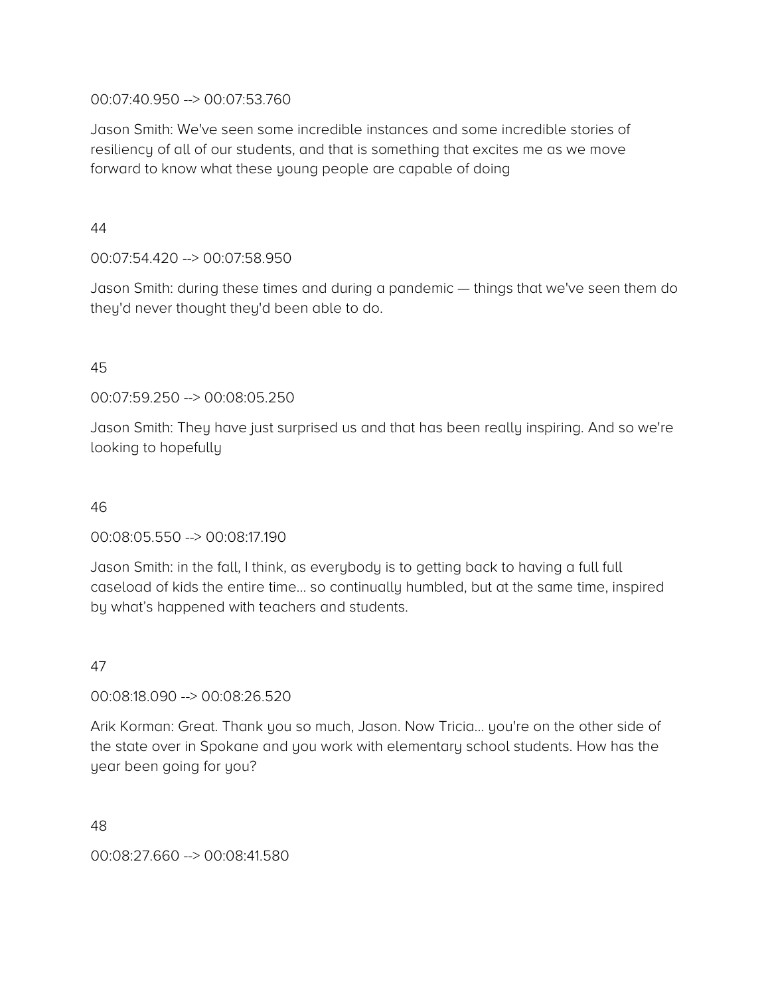### 00:07:40.950 --> 00:07:53.760

Jason Smith: We've seen some incredible instances and some incredible stories of resiliency of all of our students, and that is something that excites me as we move forward to know what these young people are capable of doing

44

### 00:07:54.420 --> 00:07:58.950

Jason Smith: during these times and during a pandemic — things that we've seen them do they'd never thought they'd been able to do.

### 45

00:07:59.250 --> 00:08:05.250

Jason Smith: They have just surprised us and that has been really inspiring. And so we're looking to hopefully

### 46

## 00:08:05.550 --> 00:08:17.190

Jason Smith: in the fall, I think, as everybody is to getting back to having a full full caseload of kids the entire time… so continually humbled, but at the same time, inspired by what's happened with teachers and students.

### 47

### 00:08:18.090 --> 00:08:26.520

Arik Korman: Great. Thank you so much, Jason. Now Tricia… you're on the other side of the state over in Spokane and you work with elementary school students. How has the year been going for you?

48

00:08:27.660 --> 00:08:41.580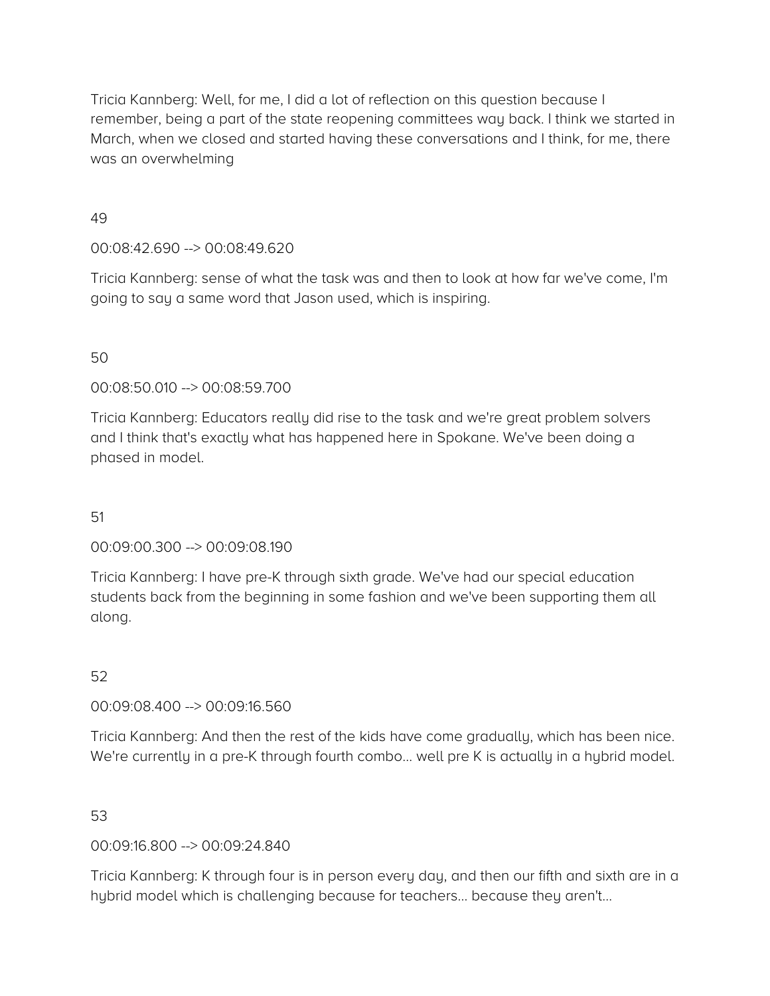Tricia Kannberg: Well, for me, I did a lot of reflection on this question because I remember, being a part of the state reopening committees way back. I think we started in March, when we closed and started having these conversations and I think, for me, there was an overwhelming

49

00:08:42.690 --> 00:08:49.620

Tricia Kannberg: sense of what the task was and then to look at how far we've come, I'm going to say a same word that Jason used, which is inspiring.

### 50

00:08:50.010 --> 00:08:59.700

Tricia Kannberg: Educators really did rise to the task and we're great problem solvers and I think that's exactly what has happened here in Spokane. We've been doing a phased in model.

### 51

00:09:00.300 --> 00:09:08.190

Tricia Kannberg: I have pre-K through sixth grade. We've had our special education students back from the beginning in some fashion and we've been supporting them all along.

52

00:09:08.400 --> 00:09:16.560

Tricia Kannberg: And then the rest of the kids have come gradually, which has been nice. We're currently in a pre-K through fourth combo… well pre K is actually in a hybrid model.

### 53

00:09:16.800 --> 00:09:24.840

Tricia Kannberg: K through four is in person every day, and then our fifth and sixth are in a hybrid model which is challenging because for teachers… because they aren't…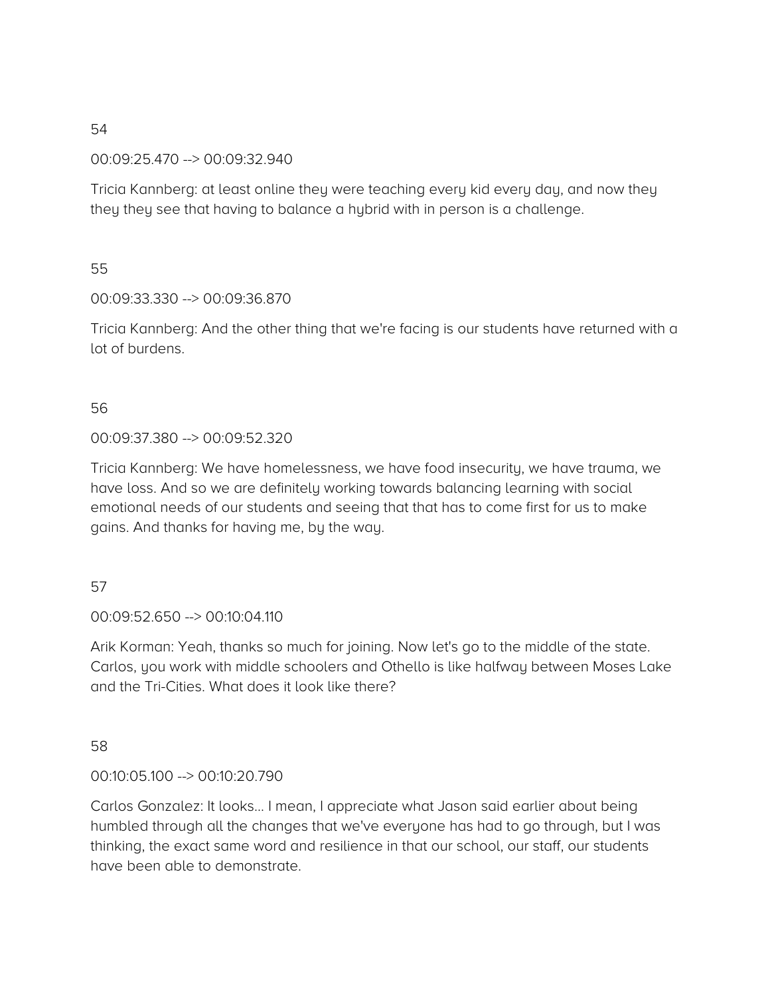00:09:25.470 --> 00:09:32.940

Tricia Kannberg: at least online they were teaching every kid every day, and now they they they see that having to balance a hybrid with in person is a challenge.

### 55

### 00:09:33.330 --> 00:09:36.870

Tricia Kannberg: And the other thing that we're facing is our students have returned with a lot of burdens.

## 56

### 00:09:37.380 --> 00:09:52.320

Tricia Kannberg: We have homelessness, we have food insecurity, we have trauma, we have loss. And so we are definitely working towards balancing learning with social emotional needs of our students and seeing that that has to come first for us to make gains. And thanks for having me, by the way.

### 57

00:09:52.650 --> 00:10:04.110

Arik Korman: Yeah, thanks so much for joining. Now let's go to the middle of the state. Carlos, you work with middle schoolers and Othello is like halfway between Moses Lake and the Tri-Cities. What does it look like there?

## 58

### 00:10:05.100 --> 00:10:20.790

Carlos Gonzalez: It looks… I mean, I appreciate what Jason said earlier about being humbled through all the changes that we've everyone has had to go through, but I was thinking, the exact same word and resilience in that our school, our staff, our students have been able to demonstrate.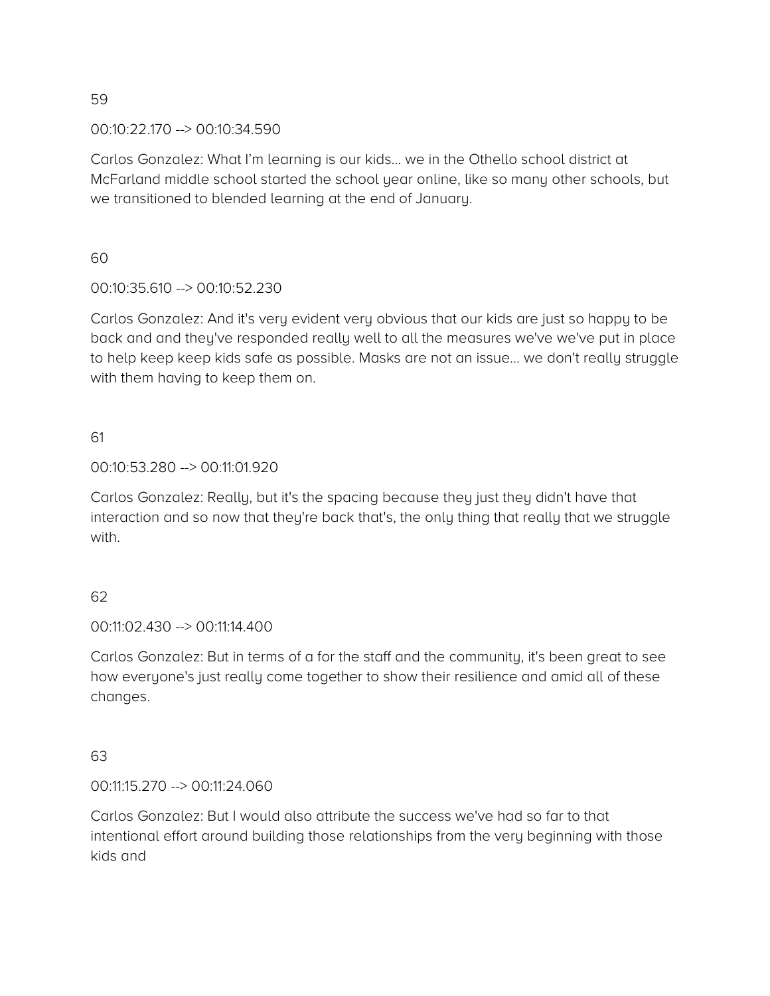00:10:22.170 --> 00:10:34.590

Carlos Gonzalez: What I'm learning is our kids… we in the Othello school district at McFarland middle school started the school year online, like so many other schools, but we transitioned to blended learning at the end of January.

 $60$ 

00:10:35.610 --> 00:10:52.230

Carlos Gonzalez: And it's very evident very obvious that our kids are just so happy to be back and and they've responded really well to all the measures we've we've put in place to help keep keep kids safe as possible. Masks are not an issue… we don't really struggle with them having to keep them on.

61

00:10:53.280 --> 00:11:01.920

Carlos Gonzalez: Really, but it's the spacing because they just they didn't have that interaction and so now that they're back that's, the only thing that really that we struggle with.

62

00:11:02.430 --> 00:11:14.400

Carlos Gonzalez: But in terms of a for the staff and the community, it's been great to see how everyone's just really come together to show their resilience and amid all of these changes.

63

00:11:15.270 --> 00:11:24.060

Carlos Gonzalez: But I would also attribute the success we've had so far to that intentional effort around building those relationships from the very beginning with those kids and

59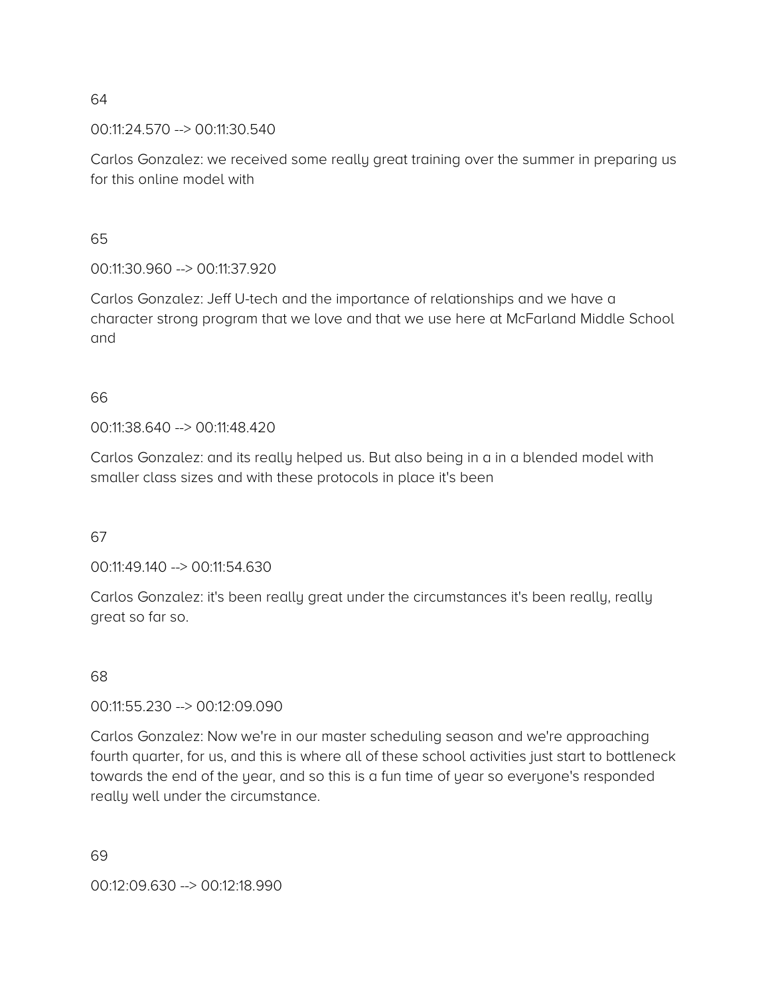00:11:24.570 --> 00:11:30.540

Carlos Gonzalez: we received some really great training over the summer in preparing us for this online model with

65

00:11:30.960 --> 00:11:37.920

Carlos Gonzalez: Jeff U-tech and the importance of relationships and we have a character strong program that we love and that we use here at McFarland Middle School and

### 66

00:11:38.640 --> 00:11:48.420

Carlos Gonzalez: and its really helped us. But also being in a in a blended model with smaller class sizes and with these protocols in place it's been

67

00:11:49.140 --> 00:11:54.630

Carlos Gonzalez: it's been really great under the circumstances it's been really, really great so far so.

68

00:11:55.230 --> 00:12:09.090

Carlos Gonzalez: Now we're in our master scheduling season and we're approaching fourth quarter, for us, and this is where all of these school activities just start to bottleneck towards the end of the year, and so this is a fun time of year so everyone's responded really well under the circumstance.

69

00:12:09.630 --> 00:12:18.990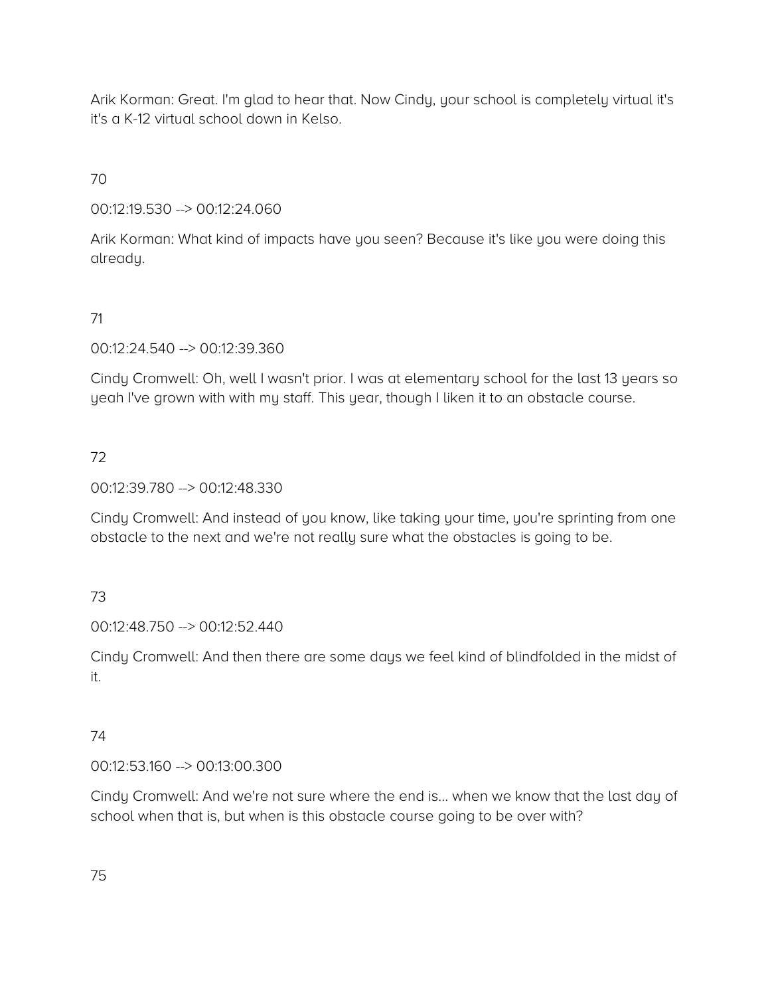Arik Korman: Great. I'm glad to hear that. Now Cindy, your school is completely virtual it's it's a K-12 virtual school down in Kelso.

70

00:12:19.530 --> 00:12:24.060

Arik Korman: What kind of impacts have you seen? Because it's like you were doing this already.

# 71

00:12:24.540 --> 00:12:39.360

Cindy Cromwell: Oh, well I wasn't prior. I was at elementary school for the last 13 years so yeah I've grown with with my staff. This year, though I liken it to an obstacle course.

# 72

00:12:39.780 --> 00:12:48.330

Cindy Cromwell: And instead of you know, like taking your time, you're sprinting from one obstacle to the next and we're not really sure what the obstacles is going to be.

## 73

00:12:48.750 --> 00:12:52.440

Cindy Cromwell: And then there are some days we feel kind of blindfolded in the midst of it.

## 74

00:12:53.160 --> 00:13:00.300

Cindy Cromwell: And we're not sure where the end is… when we know that the last day of school when that is, but when is this obstacle course going to be over with?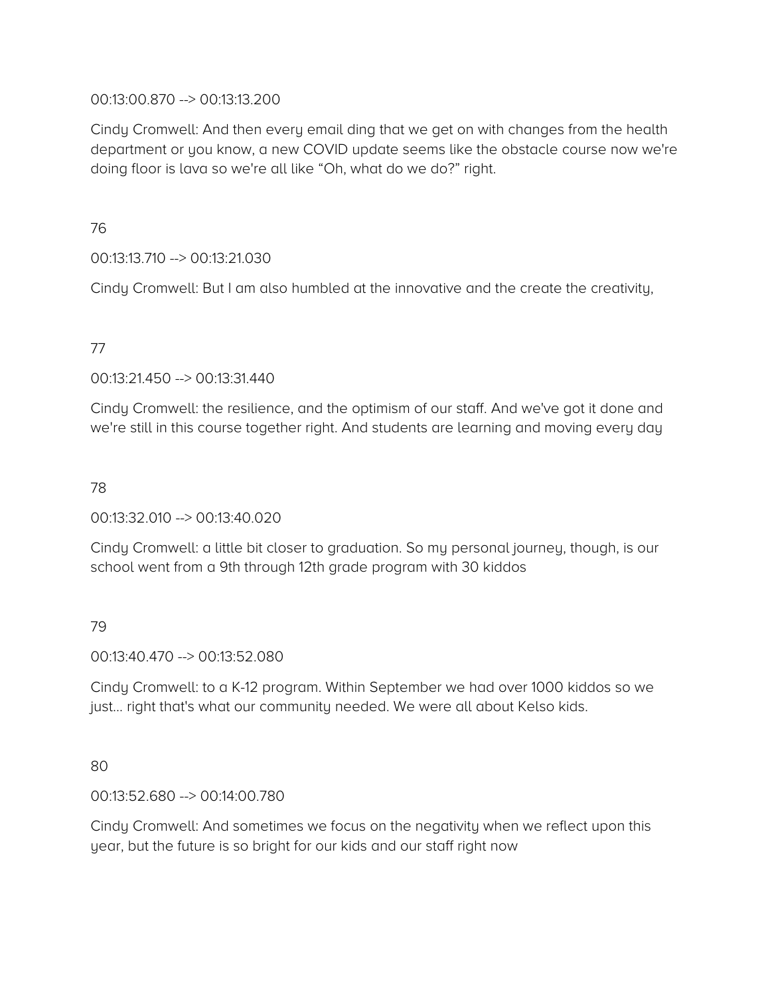### 00:13:00.870 --> 00:13:13.200

Cindy Cromwell: And then every email ding that we get on with changes from the health department or you know, a new COVID update seems like the obstacle course now we're doing floor is lava so we're all like "Oh, what do we do?" right.

76

00:13:13.710 --> 00:13:21.030

Cindy Cromwell: But I am also humbled at the innovative and the create the creativity,

### 77

00:13:21.450 --> 00:13:31.440

Cindy Cromwell: the resilience, and the optimism of our staff. And we've got it done and we're still in this course together right. And students are learning and moving every day

### 78

00:13:32.010 --> 00:13:40.020

Cindy Cromwell: a little bit closer to graduation. So my personal journey, though, is our school went from a 9th through 12th grade program with 30 kiddos

## 79

00:13:40.470 --> 00:13:52.080

Cindy Cromwell: to a K-12 program. Within September we had over 1000 kiddos so we just… right that's what our community needed. We were all about Kelso kids.

### 80

00:13:52.680 --> 00:14:00.780

Cindy Cromwell: And sometimes we focus on the negativity when we reflect upon this year, but the future is so bright for our kids and our staff right now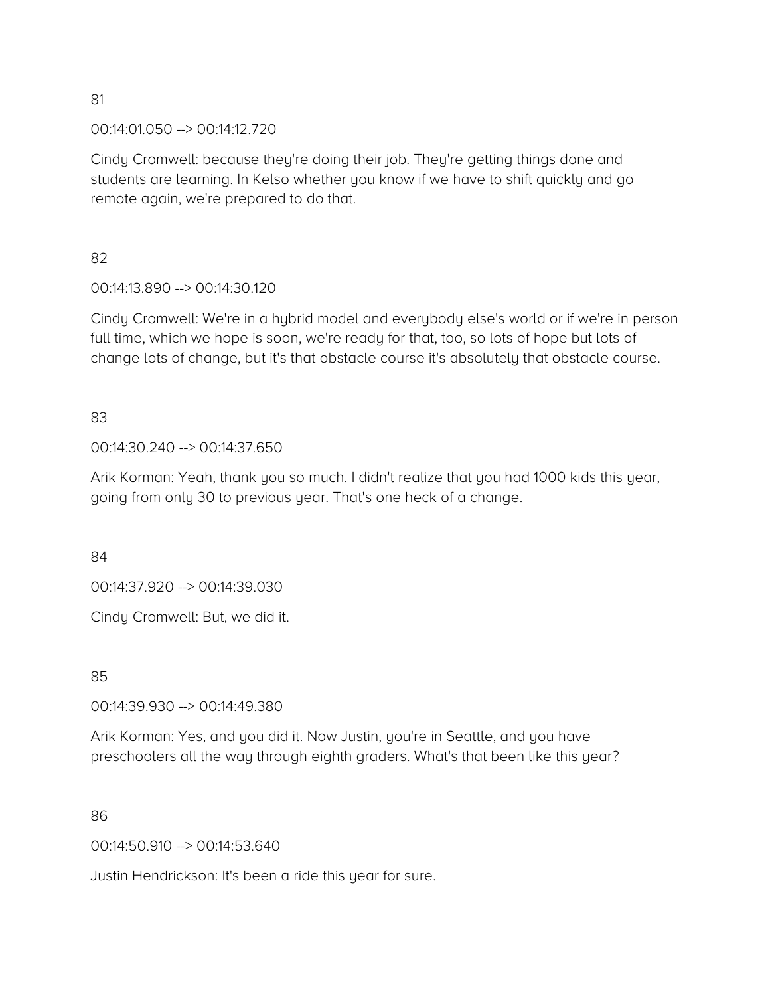00:14:01.050 --> 00:14:12.720

Cindy Cromwell: because they're doing their job. They're getting things done and students are learning. In Kelso whether you know if we have to shift quickly and go remote again, we're prepared to do that.

82

00:14:13.890 --> 00:14:30.120

Cindy Cromwell: We're in a hybrid model and everybody else's world or if we're in person full time, which we hope is soon, we're ready for that, too, so lots of hope but lots of change lots of change, but it's that obstacle course it's absolutely that obstacle course.

83

00:14:30.240 --> 00:14:37.650

Arik Korman: Yeah, thank you so much. I didn't realize that you had 1000 kids this year, going from only 30 to previous year. That's one heck of a change.

84

00:14:37.920 --> 00:14:39.030

Cindy Cromwell: But, we did it.

85

00:14:39.930 --> 00:14:49.380

Arik Korman: Yes, and you did it. Now Justin, you're in Seattle, and you have preschoolers all the way through eighth graders. What's that been like this year?

86

00:14:50.910 --> 00:14:53.640

Justin Hendrickson: It's been a ride this year for sure.

81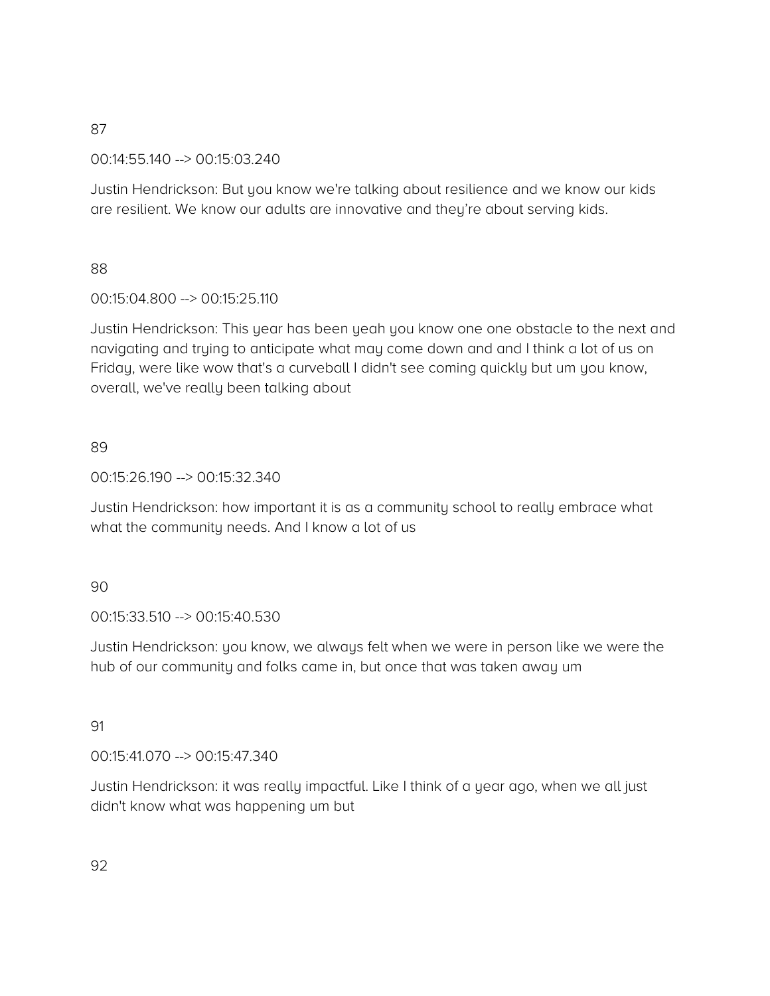00:14:55.140 --> 00:15:03.240

Justin Hendrickson: But you know we're talking about resilience and we know our kids are resilient. We know our adults are innovative and they're about serving kids.

## 88

# 00:15:04.800 --> 00:15:25.110

Justin Hendrickson: This year has been yeah you know one one obstacle to the next and navigating and trying to anticipate what may come down and and I think a lot of us on Friday, were like wow that's a curveball I didn't see coming quickly but um you know, overall, we've really been talking about

# 89

00:15:26.190 --> 00:15:32.340

Justin Hendrickson: how important it is as a community school to really embrace what what the community needs. And I know a lot of us

## 90

00:15:33.510 --> 00:15:40.530

Justin Hendrickson: you know, we always felt when we were in person like we were the hub of our community and folks came in, but once that was taken away um

## 91

00:15:41.070 --> 00:15:47.340

Justin Hendrickson: it was really impactful. Like I think of a year ago, when we all just didn't know what was happening um but

92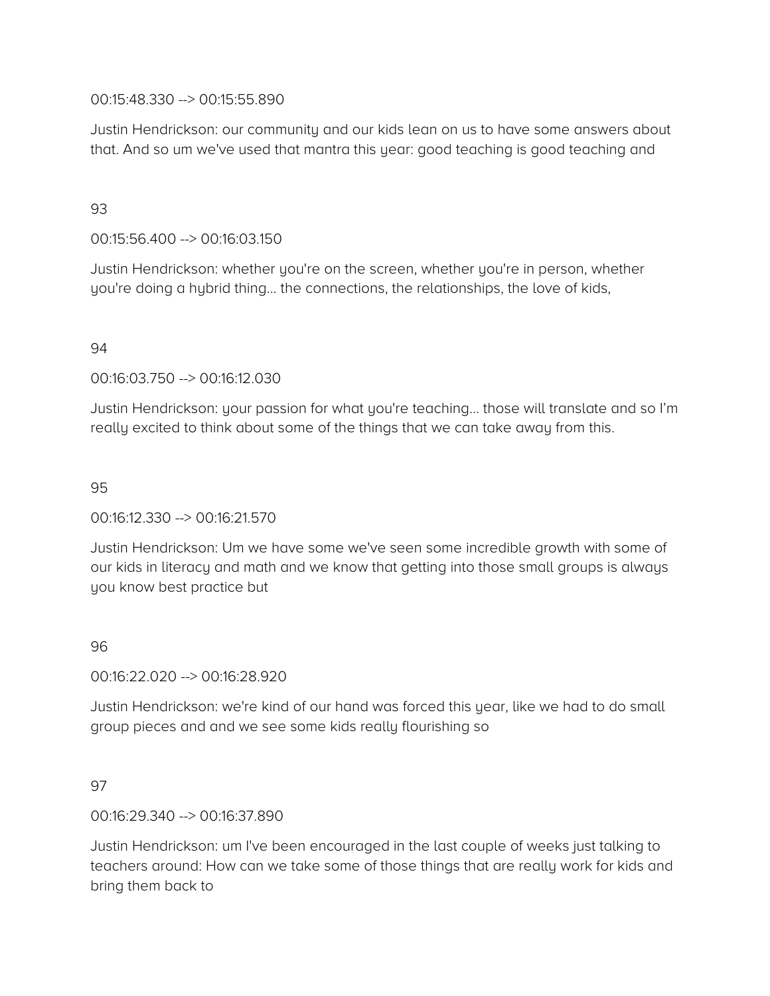### 00:15:48.330 --> 00:15:55.890

Justin Hendrickson: our community and our kids lean on us to have some answers about that. And so um we've used that mantra this year: good teaching is good teaching and

## 93

00:15:56.400 --> 00:16:03.150

Justin Hendrickson: whether you're on the screen, whether you're in person, whether you're doing a hybrid thing… the connections, the relationships, the love of kids,

### 94

00:16:03.750 --> 00:16:12.030

Justin Hendrickson: your passion for what you're teaching… those will translate and so I'm really excited to think about some of the things that we can take away from this.

#### 95

00:16:12.330 --> 00:16:21.570

Justin Hendrickson: Um we have some we've seen some incredible growth with some of our kids in literacy and math and we know that getting into those small groups is always you know best practice but

### 96

00:16:22.020 --> 00:16:28.920

Justin Hendrickson: we're kind of our hand was forced this year, like we had to do small group pieces and and we see some kids really flourishing so

#### 97

00:16:29.340 --> 00:16:37.890

Justin Hendrickson: um I've been encouraged in the last couple of weeks just talking to teachers around: How can we take some of those things that are really work for kids and bring them back to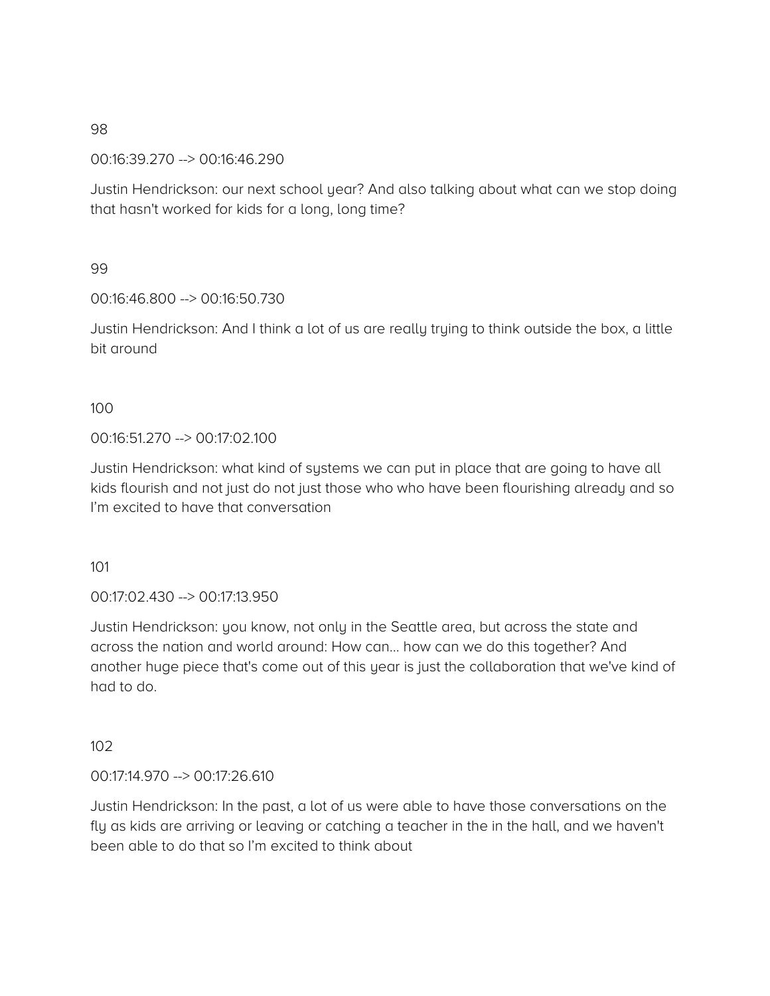00:16:39.270 --> 00:16:46.290

Justin Hendrickson: our next school year? And also talking about what can we stop doing that hasn't worked for kids for a long, long time?

### 99

00:16:46.800 --> 00:16:50.730

Justin Hendrickson: And I think a lot of us are really trying to think outside the box, a little bit around

### 100

00:16:51.270 --> 00:17:02.100

Justin Hendrickson: what kind of systems we can put in place that are going to have all kids flourish and not just do not just those who who have been flourishing already and so I'm excited to have that conversation

101

00:17:02.430 --> 00:17:13.950

Justin Hendrickson: you know, not only in the Seattle area, but across the state and across the nation and world around: How can… how can we do this together? And another huge piece that's come out of this year is just the collaboration that we've kind of had to do.

## 102

00:17:14.970 --> 00:17:26.610

Justin Hendrickson: In the past, a lot of us were able to have those conversations on the fly as kids are arriving or leaving or catching a teacher in the in the hall, and we haven't been able to do that so I'm excited to think about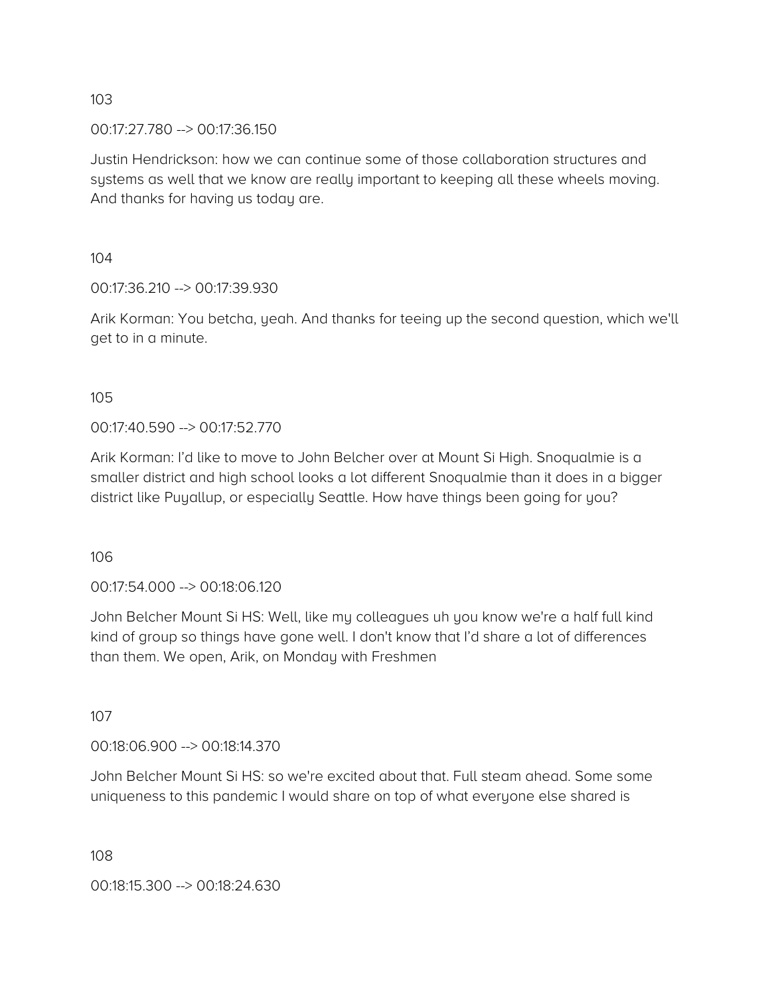00:17:27.780 --> 00:17:36.150

Justin Hendrickson: how we can continue some of those collaboration structures and systems as well that we know are really important to keeping all these wheels moving. And thanks for having us today are.

104

00:17:36.210 --> 00:17:39.930

Arik Korman: You betcha, yeah. And thanks for teeing up the second question, which we'll get to in a minute.

105

00:17:40.590 --> 00:17:52.770

Arik Korman: I'd like to move to John Belcher over at Mount Si High. Snoqualmie is a smaller district and high school looks a lot different Snoqualmie than it does in a bigger district like Puyallup, or especially Seattle. How have things been going for you?

106

00:17:54.000 --> 00:18:06.120

John Belcher Mount Si HS: Well, like my colleagues uh you know we're a half full kind kind of group so things have gone well. I don't know that I'd share a lot of differences than them. We open, Arik, on Monday with Freshmen

107

00:18:06.900 --> 00:18:14.370

John Belcher Mount Si HS: so we're excited about that. Full steam ahead. Some some uniqueness to this pandemic I would share on top of what everyone else shared is

108

00:18:15.300 --> 00:18:24.630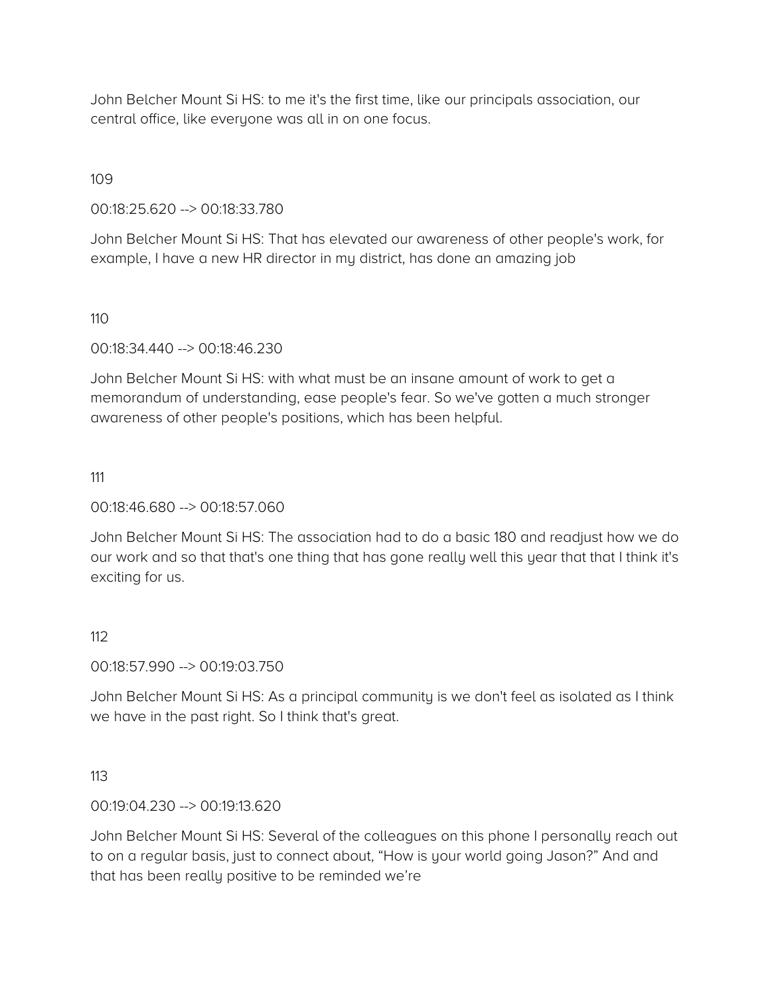John Belcher Mount Si HS: to me it's the first time, like our principals association, our central office, like everyone was all in on one focus.

109

00:18:25.620 --> 00:18:33.780

John Belcher Mount Si HS: That has elevated our awareness of other people's work, for example, I have a new HR director in my district, has done an amazing job

110

00:18:34.440 --> 00:18:46.230

John Belcher Mount Si HS: with what must be an insane amount of work to get a memorandum of understanding, ease people's fear. So we've gotten a much stronger awareness of other people's positions, which has been helpful.

111

00:18:46.680 --> 00:18:57.060

John Belcher Mount Si HS: The association had to do a basic 180 and readjust how we do our work and so that that's one thing that has gone really well this year that that I think it's exciting for us.

### 112

00:18:57.990 --> 00:19:03.750

John Belcher Mount Si HS: As a principal community is we don't feel as isolated as I think we have in the past right. So I think that's great.

### 113

00:19:04.230 --> 00:19:13.620

John Belcher Mount Si HS: Several of the colleagues on this phone I personally reach out to on a regular basis, just to connect about, "How is your world going Jason?" And and that has been really positive to be reminded we're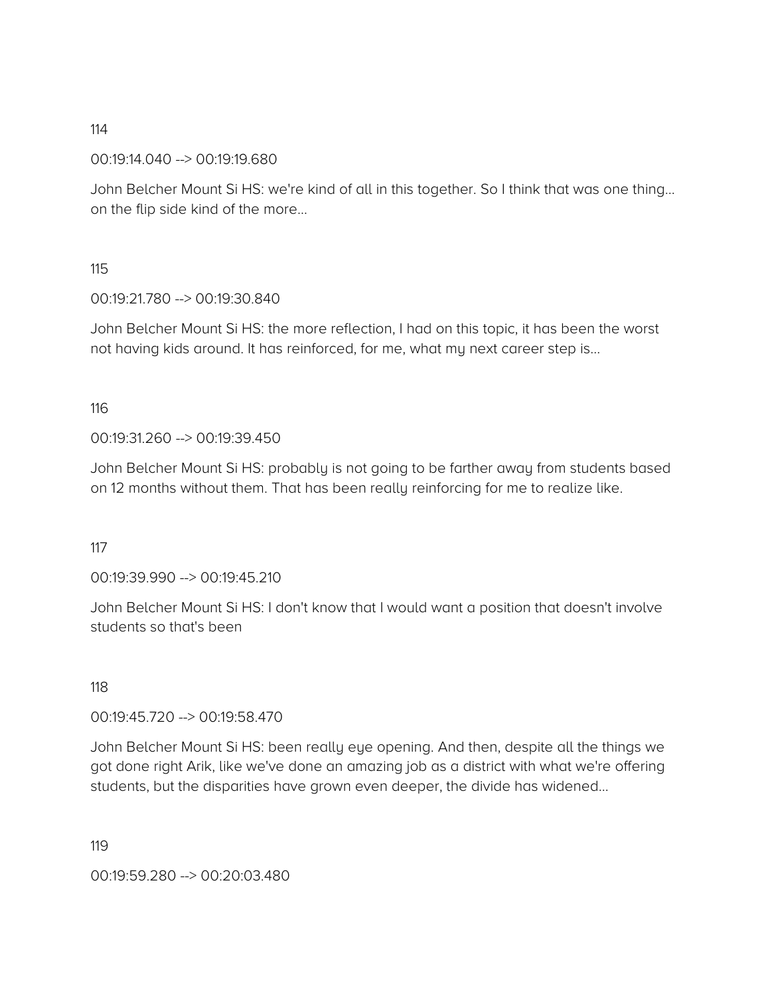00:19:14.040 --> 00:19:19.680

John Belcher Mount Si HS: we're kind of all in this together. So I think that was one thing… on the flip side kind of the more…

115

00:19:21.780 --> 00:19:30.840

John Belcher Mount Si HS: the more reflection, I had on this topic, it has been the worst not having kids around. It has reinforced, for me, what my next career step is...

116

00:19:31.260 --> 00:19:39.450

John Belcher Mount Si HS: probably is not going to be farther away from students based on 12 months without them. That has been really reinforcing for me to realize like.

117

00:19:39.990 --> 00:19:45.210

John Belcher Mount Si HS: I don't know that I would want a position that doesn't involve students so that's been

118

00:19:45.720 --> 00:19:58.470

John Belcher Mount Si HS: been really eye opening. And then, despite all the things we got done right Arik, like we've done an amazing job as a district with what we're offering students, but the disparities have grown even deeper, the divide has widened…

119

00:19:59.280 --> 00:20:03.480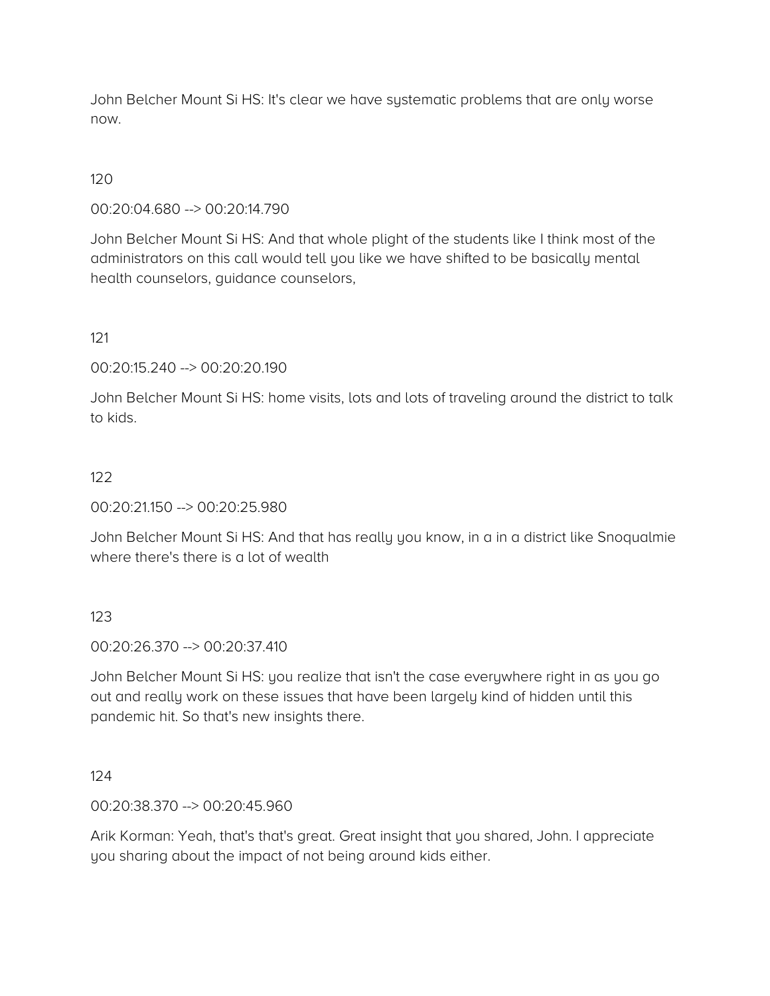John Belcher Mount Si HS: It's clear we have systematic problems that are only worse now.

## 120

00:20:04.680 --> 00:20:14.790

John Belcher Mount Si HS: And that whole plight of the students like I think most of the administrators on this call would tell you like we have shifted to be basically mental health counselors, guidance counselors,

121

00:20:15.240 --> 00:20:20.190

John Belcher Mount Si HS: home visits, lots and lots of traveling around the district to talk to kids.

### 122

00:20:21.150 --> 00:20:25.980

John Belcher Mount Si HS: And that has really you know, in a in a district like Snoqualmie where there's there is a lot of wealth

### 123

00:20:26.370 --> 00:20:37.410

John Belcher Mount Si HS: you realize that isn't the case everywhere right in as you go out and really work on these issues that have been largely kind of hidden until this pandemic hit. So that's new insights there.

#### 124

00:20:38.370 --> 00:20:45.960

Arik Korman: Yeah, that's that's great. Great insight that you shared, John. I appreciate you sharing about the impact of not being around kids either.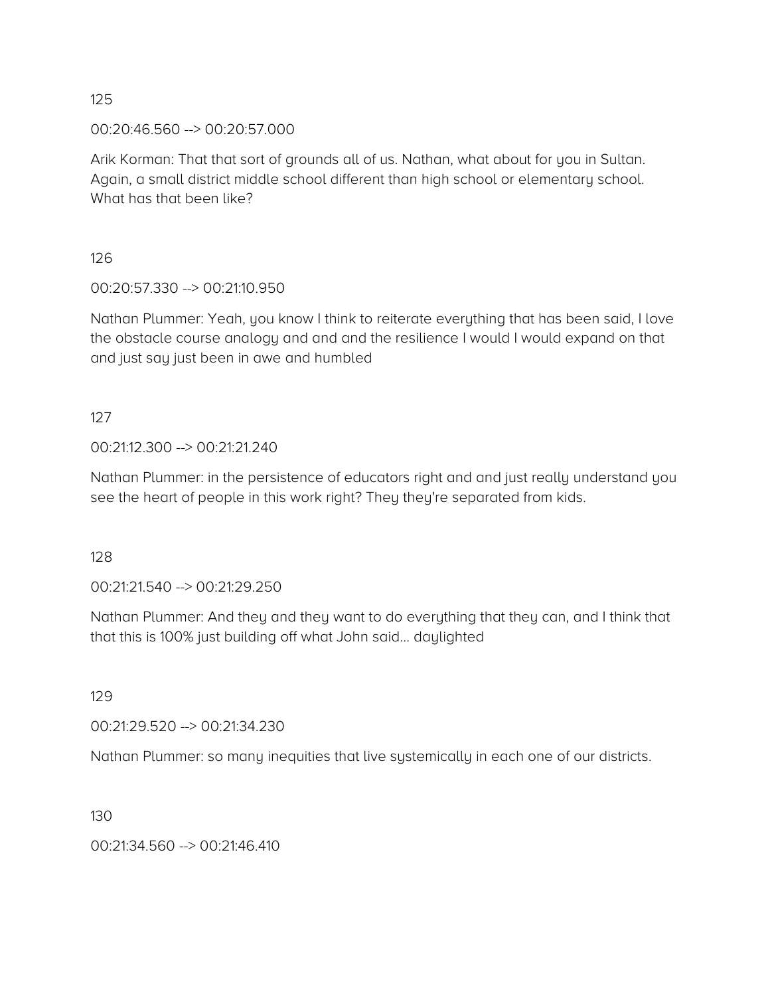00:20:46.560 --> 00:20:57.000

Arik Korman: That that sort of grounds all of us. Nathan, what about for you in Sultan. Again, a small district middle school different than high school or elementary school. What has that been like?

126

00:20:57.330 --> 00:21:10.950

Nathan Plummer: Yeah, you know I think to reiterate everything that has been said, I love the obstacle course analogy and and and the resilience I would I would expand on that and just say just been in awe and humbled

127

00:21:12.300 --> 00:21:21.240

Nathan Plummer: in the persistence of educators right and and just really understand you see the heart of people in this work right? They they're separated from kids.

128

00:21:21.540 --> 00:21:29.250

Nathan Plummer: And they and they want to do everything that they can, and I think that that this is 100% just building off what John said… daylighted

129

00:21:29.520 --> 00:21:34.230

Nathan Plummer: so many inequities that live systemically in each one of our districts.

130

00:21:34.560 --> 00:21:46.410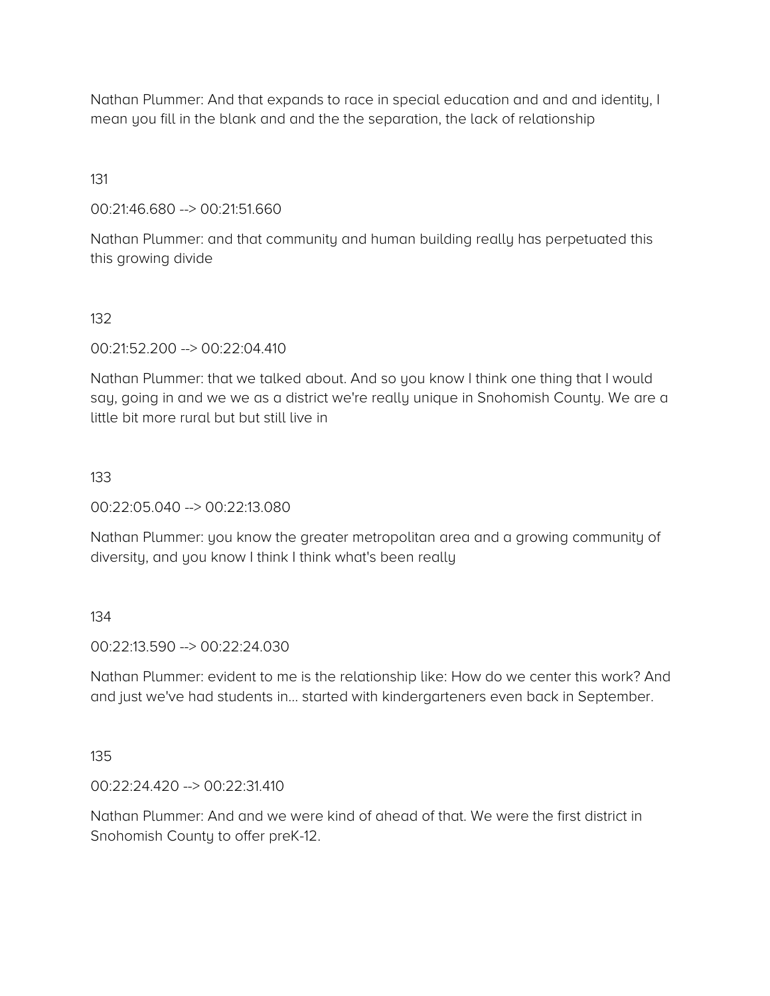Nathan Plummer: And that expands to race in special education and and and identity, I mean you fill in the blank and and the the separation, the lack of relationship

131

00:21:46.680 --> 00:21:51.660

Nathan Plummer: and that community and human building really has perpetuated this this growing divide

132

00:21:52.200 --> 00:22:04.410

Nathan Plummer: that we talked about. And so you know I think one thing that I would say, going in and we we as a district we're really unique in Snohomish County. We are a little bit more rural but but still live in

133

00:22:05.040 --> 00:22:13.080

Nathan Plummer: you know the greater metropolitan area and a growing community of diversity, and you know I think I think what's been really

134

00:22:13.590 --> 00:22:24.030

Nathan Plummer: evident to me is the relationship like: How do we center this work? And and just we've had students in... started with kindergarteners even back in September.

135

00:22:24.420 --> 00:22:31.410

Nathan Plummer: And and we were kind of ahead of that. We were the first district in Snohomish County to offer preK-12.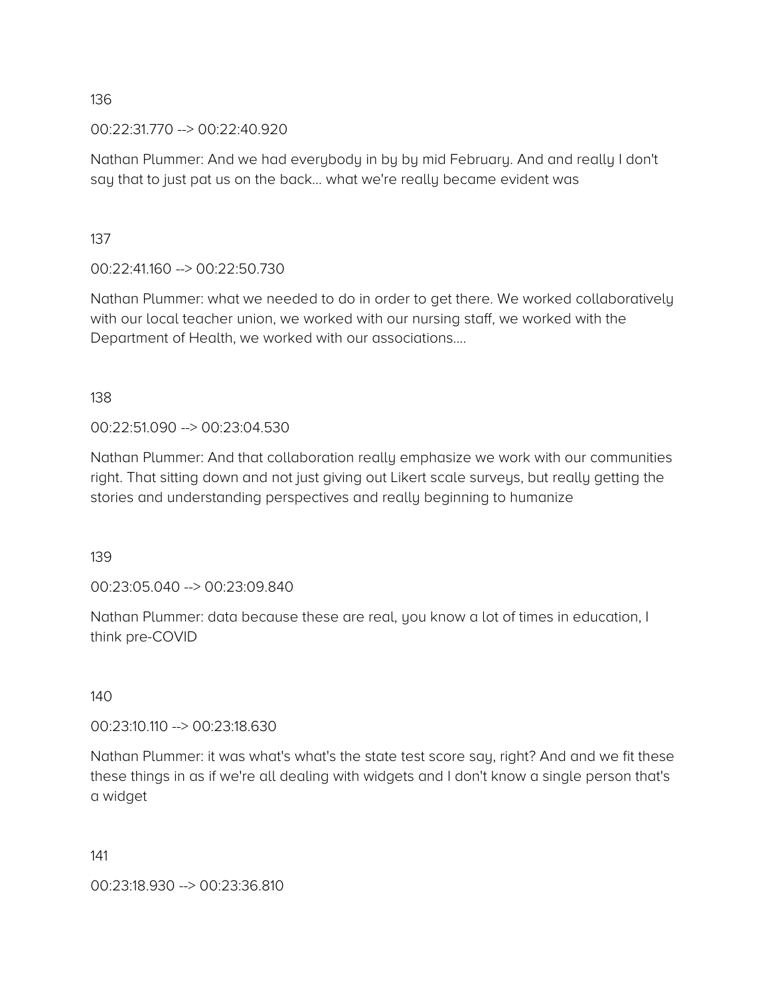00:22:31.770 --> 00:22:40.920

Nathan Plummer: And we had everybody in by by mid February. And and really I don't say that to just pat us on the back… what we're really became evident was

137

00:22:41.160 --> 00:22:50.730

Nathan Plummer: what we needed to do in order to get there. We worked collaboratively with our local teacher union, we worked with our nursing staff, we worked with the Department of Health, we worked with our associations….

138

00:22:51.090 --> 00:23:04.530

Nathan Plummer: And that collaboration really emphasize we work with our communities right. That sitting down and not just giving out Likert scale surveys, but really getting the stories and understanding perspectives and really beginning to humanize

139

00:23:05.040 --> 00:23:09.840

Nathan Plummer: data because these are real, you know a lot of times in education, I think pre-COVID

140

00:23:10.110 --> 00:23:18.630

Nathan Plummer: it was what's what's the state test score say, right? And and we fit these these things in as if we're all dealing with widgets and I don't know a single person that's a widget

141

00:23:18.930 --> 00:23:36.810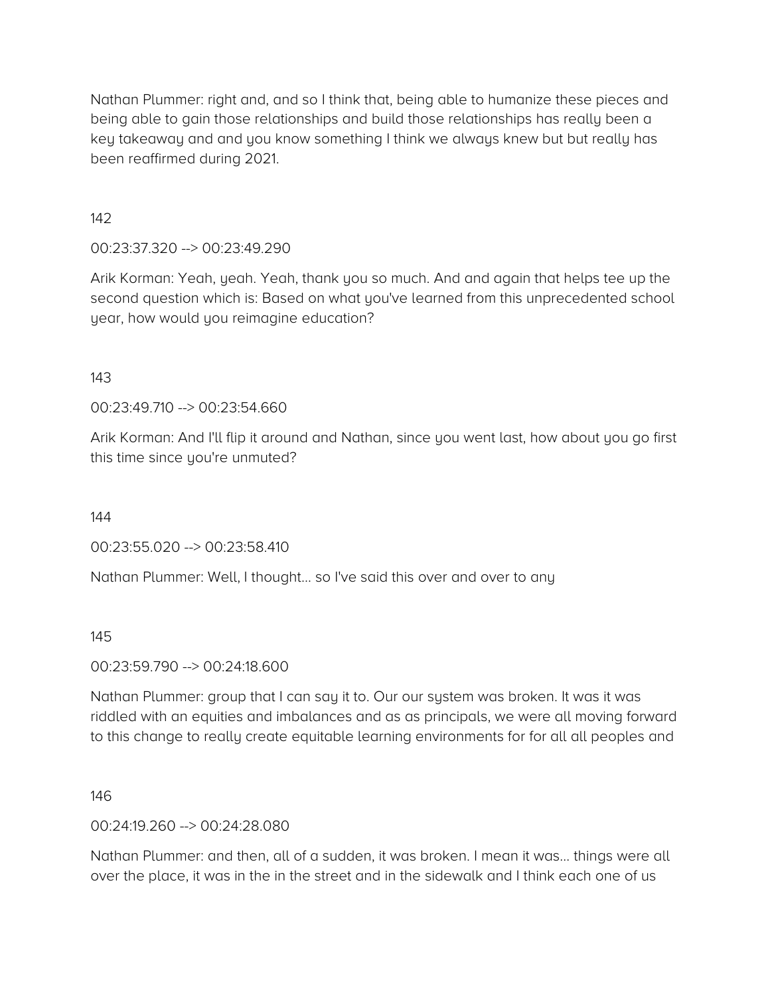Nathan Plummer: right and, and so I think that, being able to humanize these pieces and being able to gain those relationships and build those relationships has really been a key takeaway and and you know something I think we always knew but but really has been reaffirmed during 2021.

142

### 00:23:37.320 --> 00:23:49.290

Arik Korman: Yeah, yeah. Yeah, thank you so much. And and again that helps tee up the second question which is: Based on what you've learned from this unprecedented school year, how would you reimagine education?

### 143

00:23:49.710 --> 00:23:54.660

Arik Korman: And I'll flip it around and Nathan, since you went last, how about you go first this time since you're unmuted?

144

00:23:55.020 --> 00:23:58.410

Nathan Plummer: Well, I thought… so I've said this over and over to any

#### 145

### 00:23:59.790 --> 00:24:18.600

Nathan Plummer: group that I can say it to. Our our system was broken. It was it was riddled with an equities and imbalances and as as principals, we were all moving forward to this change to really create equitable learning environments for for all all peoples and

#### 146

### 00:24:19.260 --> 00:24:28.080

Nathan Plummer: and then, all of a sudden, it was broken. I mean it was… things were all over the place, it was in the in the street and in the sidewalk and I think each one of us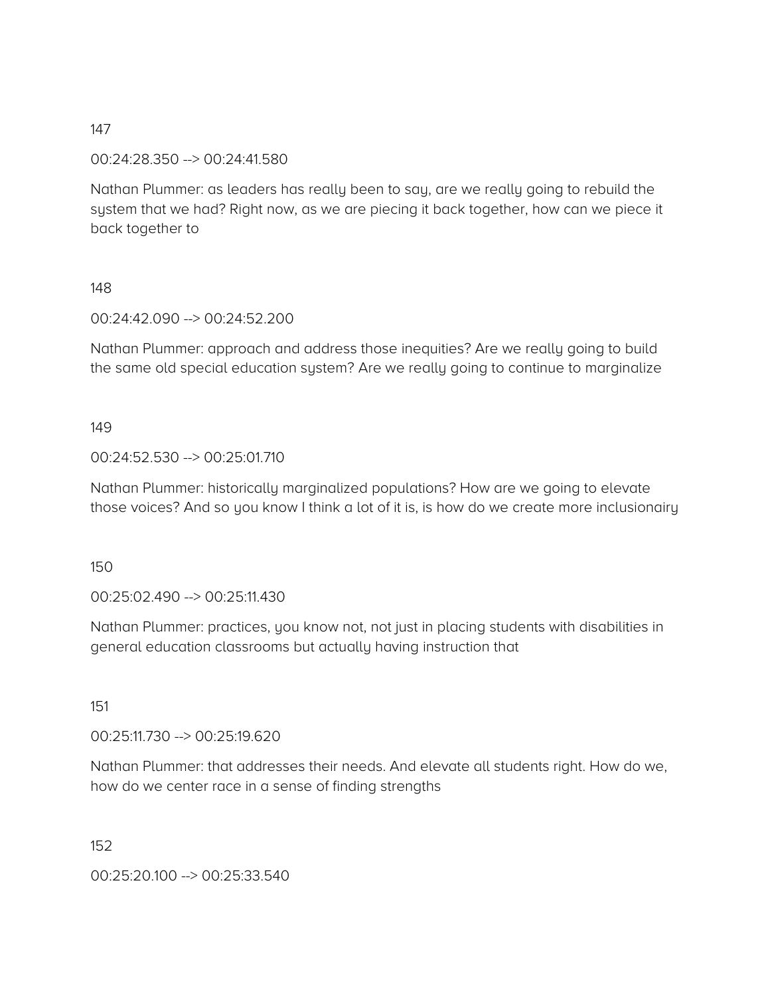00:24:28.350 --> 00:24:41.580

Nathan Plummer: as leaders has really been to say, are we really going to rebuild the system that we had? Right now, as we are piecing it back together, how can we piece it back together to

### 148

00:24:42.090 --> 00:24:52.200

Nathan Plummer: approach and address those inequities? Are we really going to build the same old special education system? Are we really going to continue to marginalize

### 149

### 00:24:52.530 --> 00:25:01.710

Nathan Plummer: historically marginalized populations? How are we going to elevate those voices? And so you know I think a lot of it is, is how do we create more inclusionairy

### 150

00:25:02.490 --> 00:25:11.430

Nathan Plummer: practices, you know not, not just in placing students with disabilities in general education classrooms but actually having instruction that

### 151

00:25:11.730 --> 00:25:19.620

Nathan Plummer: that addresses their needs. And elevate all students right. How do we, how do we center race in a sense of finding strengths

### 152

00:25:20.100 --> 00:25:33.540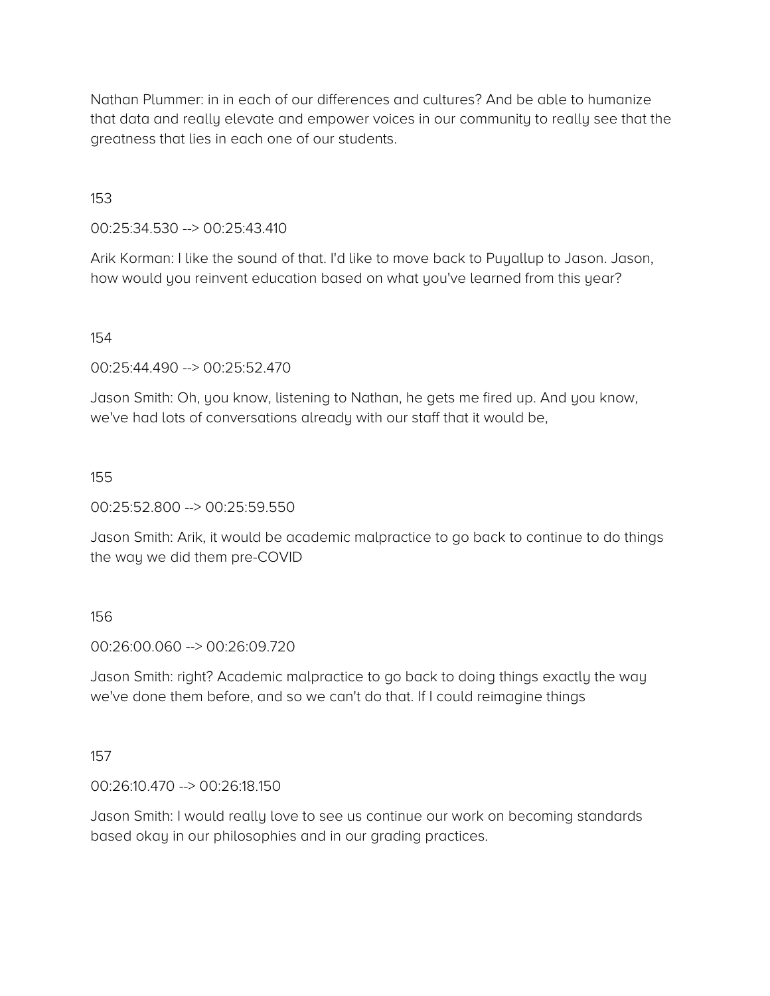Nathan Plummer: in in each of our differences and cultures? And be able to humanize that data and really elevate and empower voices in our community to really see that the greatness that lies in each one of our students.

153

00:25:34.530 --> 00:25:43.410

Arik Korman: I like the sound of that. I'd like to move back to Puyallup to Jason. Jason, how would you reinvent education based on what you've learned from this year?

154

00:25:44.490 --> 00:25:52.470

Jason Smith: Oh, you know, listening to Nathan, he gets me fired up. And you know, we've had lots of conversations already with our staff that it would be,

155

00:25:52.800 --> 00:25:59.550

Jason Smith: Arik, it would be academic malpractice to go back to continue to do things the way we did them pre-COVID

156

00:26:00.060 --> 00:26:09.720

Jason Smith: right? Academic malpractice to go back to doing things exactly the way we've done them before, and so we can't do that. If I could reimagine things

157

00:26:10.470 --> 00:26:18.150

Jason Smith: I would really love to see us continue our work on becoming standards based okay in our philosophies and in our grading practices.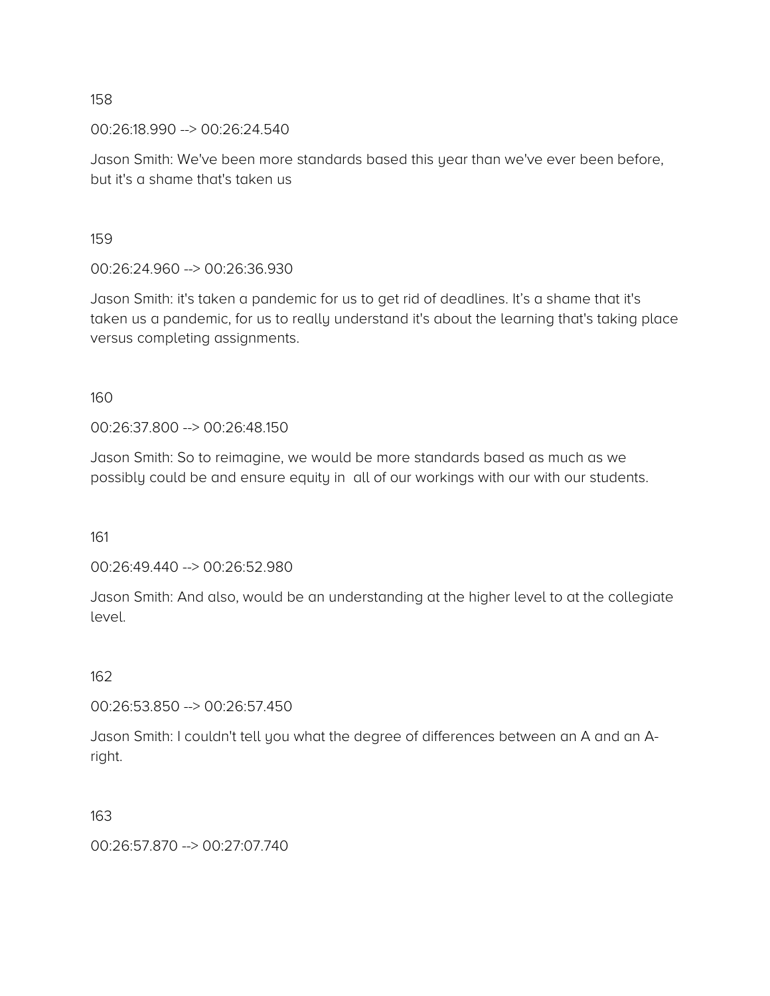00:26:18.990 --> 00:26:24.540

Jason Smith: We've been more standards based this year than we've ever been before, but it's a shame that's taken us

159

00:26:24.960 --> 00:26:36.930

Jason Smith: it's taken a pandemic for us to get rid of deadlines. It's a shame that it's taken us a pandemic, for us to really understand it's about the learning that's taking place versus completing assignments.

160

00:26:37.800 --> 00:26:48.150

Jason Smith: So to reimagine, we would be more standards based as much as we possibly could be and ensure equity in all of our workings with our with our students.

161

00:26:49.440 --> 00:26:52.980

Jason Smith: And also, would be an understanding at the higher level to at the collegiate level.

162

00:26:53.850 --> 00:26:57.450

Jason Smith: I couldn't tell you what the degree of differences between an A and an Aright.

163

00:26:57.870 --> 00:27:07.740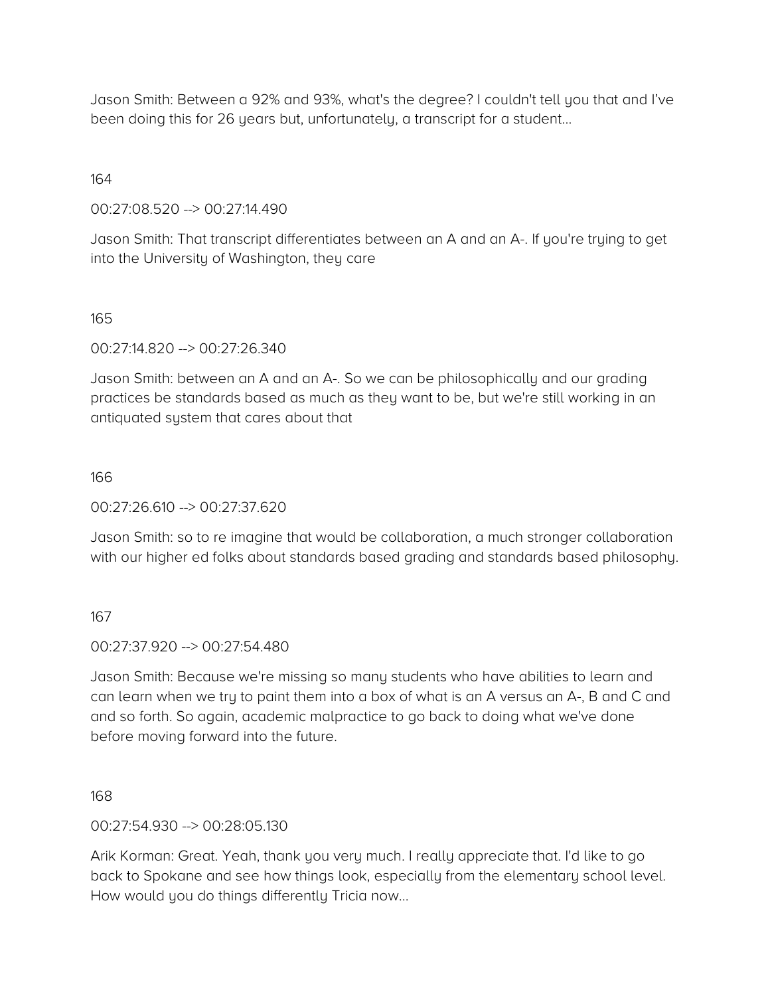Jason Smith: Between a 92% and 93%, what's the degree? I couldn't tell you that and I've been doing this for 26 years but, unfortunately, a transcript for a student…

164

00:27:08.520 --> 00:27:14.490

Jason Smith: That transcript differentiates between an A and an A-. If you're trying to get into the University of Washington, they care

165

00:27:14.820 --> 00:27:26.340

Jason Smith: between an A and an A-. So we can be philosophically and our grading practices be standards based as much as they want to be, but we're still working in an antiquated system that cares about that

166

00:27:26.610 --> 00:27:37.620

Jason Smith: so to re imagine that would be collaboration, a much stronger collaboration with our higher ed folks about standards based grading and standards based philosophy.

167

00:27:37.920 --> 00:27:54.480

Jason Smith: Because we're missing so many students who have abilities to learn and can learn when we try to paint them into a box of what is an A versus an A-, B and C and and so forth. So again, academic malpractice to go back to doing what we've done before moving forward into the future.

168

00:27:54.930 --> 00:28:05.130

Arik Korman: Great. Yeah, thank you very much. I really appreciate that. I'd like to go back to Spokane and see how things look, especially from the elementary school level. How would you do things differently Tricia now…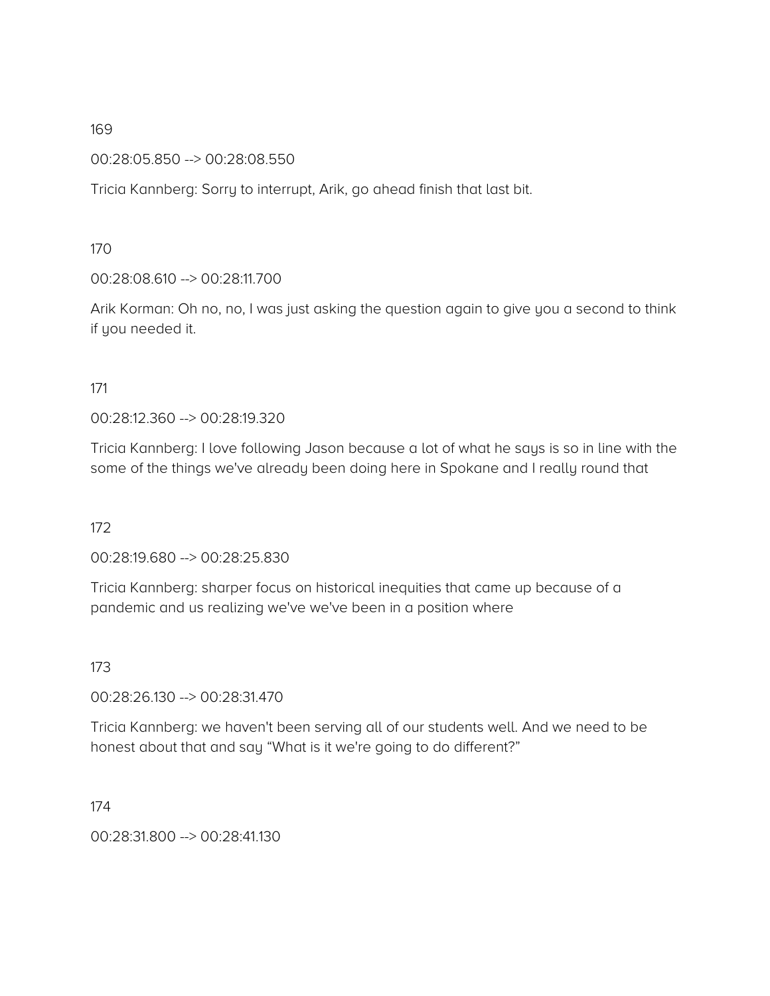00:28:05.850 --> 00:28:08.550

Tricia Kannberg: Sorry to interrupt, Arik, go ahead finish that last bit.

170

00:28:08.610 --> 00:28:11.700

Arik Korman: Oh no, no, I was just asking the question again to give you a second to think if you needed it.

171

00:28:12.360 --> 00:28:19.320

Tricia Kannberg: I love following Jason because a lot of what he says is so in line with the some of the things we've already been doing here in Spokane and I really round that

172

00:28:19.680 --> 00:28:25.830

Tricia Kannberg: sharper focus on historical inequities that came up because of a pandemic and us realizing we've we've been in a position where

173

00:28:26.130 --> 00:28:31.470

Tricia Kannberg: we haven't been serving all of our students well. And we need to be honest about that and say "What is it we're going to do different?"

174

00:28:31.800 --> 00:28:41.130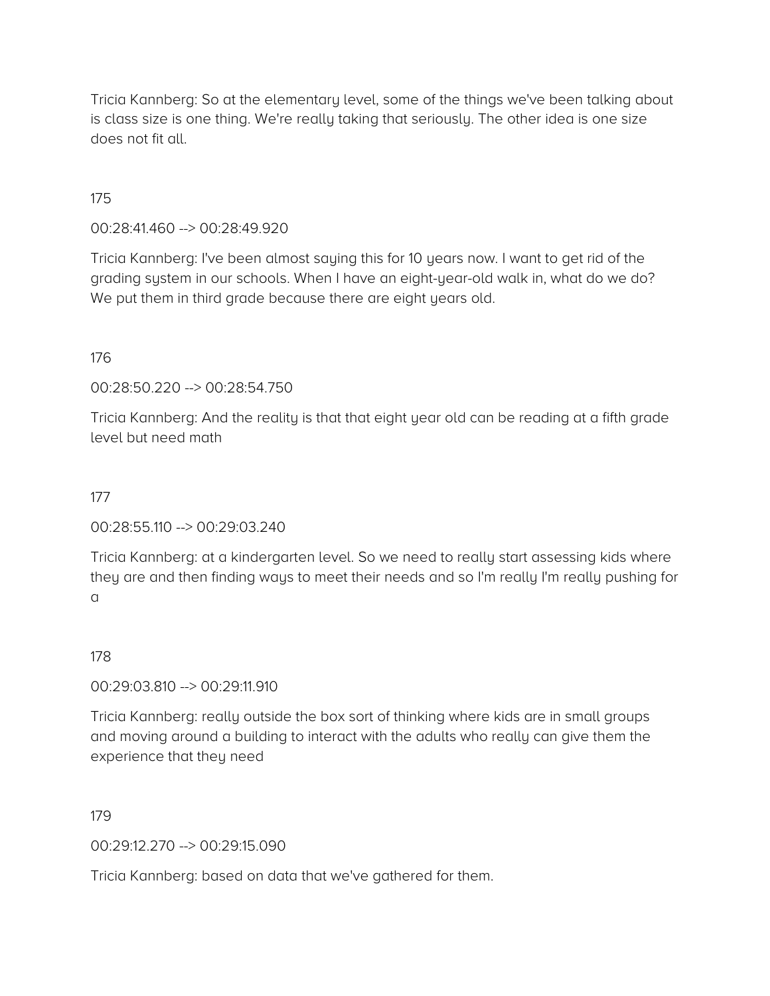Tricia Kannberg: So at the elementary level, some of the things we've been talking about is class size is one thing. We're really taking that seriously. The other idea is one size does not fit all.

175

00:28:41.460 --> 00:28:49.920

Tricia Kannberg: I've been almost saying this for 10 years now. I want to get rid of the grading system in our schools. When I have an eight-year-old walk in, what do we do? We put them in third grade because there are eight years old.

176

00:28:50.220 --> 00:28:54.750

Tricia Kannberg: And the reality is that that eight year old can be reading at a fifth grade level but need math

177

00:28:55.110 --> 00:29:03.240

Tricia Kannberg: at a kindergarten level. So we need to really start assessing kids where they are and then finding ways to meet their needs and so I'm really I'm really pushing for a

178

00:29:03.810 --> 00:29:11.910

Tricia Kannberg: really outside the box sort of thinking where kids are in small groups and moving around a building to interact with the adults who really can give them the experience that they need

179

00:29:12.270 --> 00:29:15.090

Tricia Kannberg: based on data that we've gathered for them.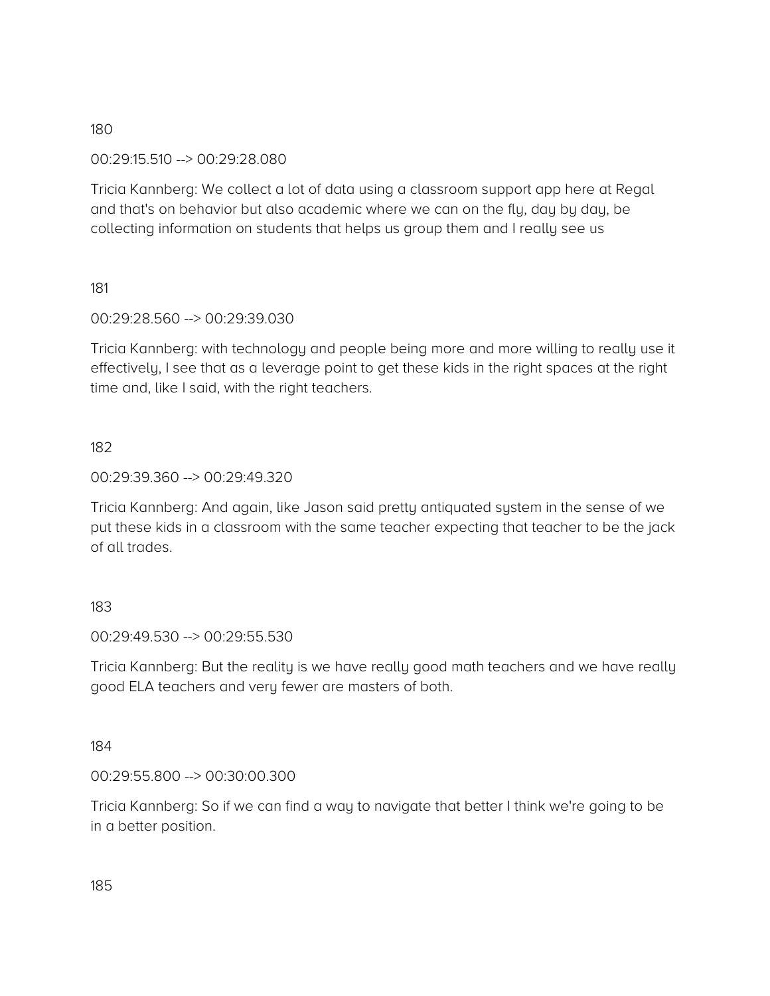### 00:29:15.510 --> 00:29:28.080

Tricia Kannberg: We collect a lot of data using a classroom support app here at Regal and that's on behavior but also academic where we can on the fly, day by day, be collecting information on students that helps us group them and I really see us

### 181

### 00:29:28.560 --> 00:29:39.030

Tricia Kannberg: with technology and people being more and more willing to really use it effectively, I see that as a leverage point to get these kids in the right spaces at the right time and, like I said, with the right teachers.

### 182

### 00:29:39.360 --> 00:29:49.320

Tricia Kannberg: And again, like Jason said pretty antiquated system in the sense of we put these kids in a classroom with the same teacher expecting that teacher to be the jack of all trades.

### 183

### 00:29:49.530 --> 00:29:55.530

Tricia Kannberg: But the reality is we have really good math teachers and we have really good ELA teachers and very fewer are masters of both.

### 184

### 00:29:55.800 --> 00:30:00.300

Tricia Kannberg: So if we can find a way to navigate that better I think we're going to be in a better position.

185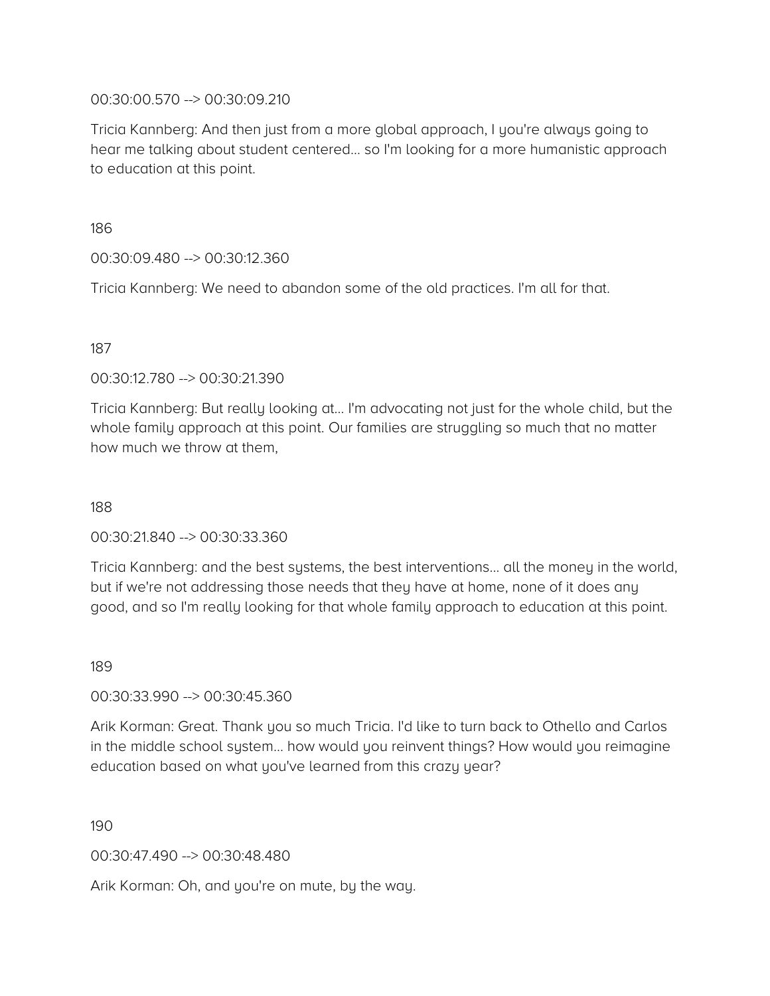### 00:30:00.570 --> 00:30:09.210

Tricia Kannberg: And then just from a more global approach, I you're always going to hear me talking about student centered… so I'm looking for a more humanistic approach to education at this point.

186

00:30:09.480 --> 00:30:12.360

Tricia Kannberg: We need to abandon some of the old practices. I'm all for that.

### 187

00:30:12.780 --> 00:30:21.390

Tricia Kannberg: But really looking at… I'm advocating not just for the whole child, but the whole family approach at this point. Our families are struggling so much that no matter how much we throw at them,

188

00:30:21.840 --> 00:30:33.360

Tricia Kannberg: and the best systems, the best interventions… all the money in the world, but if we're not addressing those needs that they have at home, none of it does any good, and so I'm really looking for that whole family approach to education at this point.

189

00:30:33.990 --> 00:30:45.360

Arik Korman: Great. Thank you so much Tricia. I'd like to turn back to Othello and Carlos in the middle school system… how would you reinvent things? How would you reimagine education based on what you've learned from this crazy year?

190

00:30:47.490 --> 00:30:48.480

Arik Korman: Oh, and you're on mute, by the way.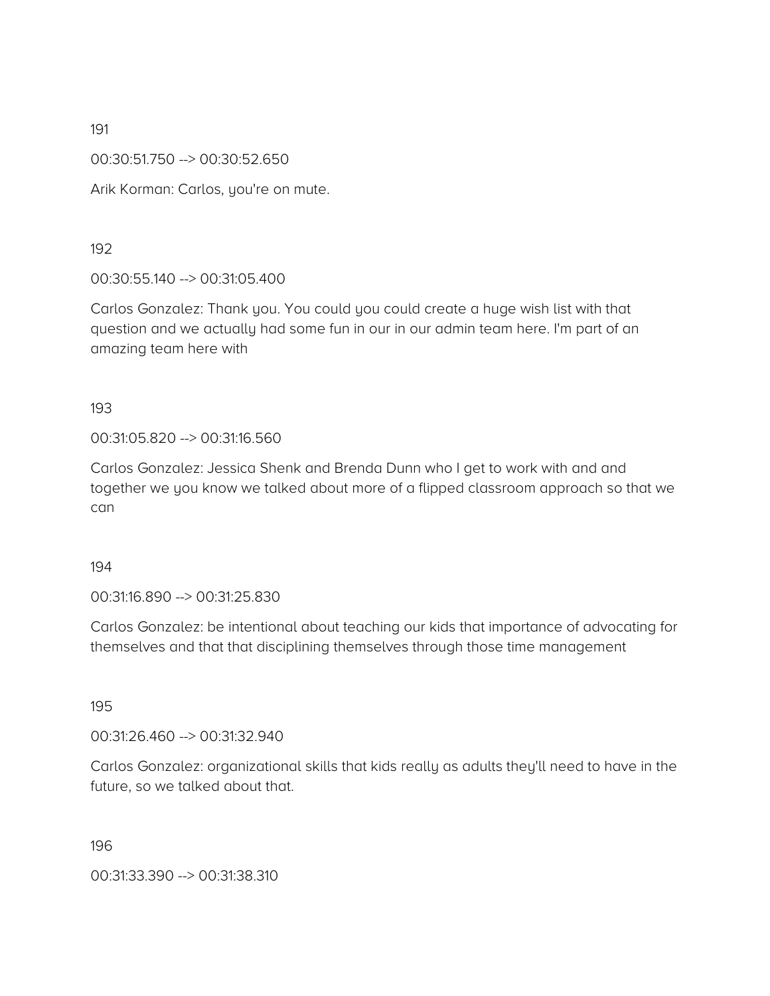00:30:51.750 --> 00:30:52.650

Arik Korman: Carlos, you're on mute.

192

00:30:55.140 --> 00:31:05.400

Carlos Gonzalez: Thank you. You could you could create a huge wish list with that question and we actually had some fun in our in our admin team here. I'm part of an amazing team here with

193

00:31:05.820 --> 00:31:16.560

Carlos Gonzalez: Jessica Shenk and Brenda Dunn who I get to work with and and together we you know we talked about more of a flipped classroom approach so that we can

194

00:31:16.890 --> 00:31:25.830

Carlos Gonzalez: be intentional about teaching our kids that importance of advocating for themselves and that that disciplining themselves through those time management

195

00:31:26.460 --> 00:31:32.940

Carlos Gonzalez: organizational skills that kids really as adults they'll need to have in the future, so we talked about that.

196

00:31:33.390 --> 00:31:38.310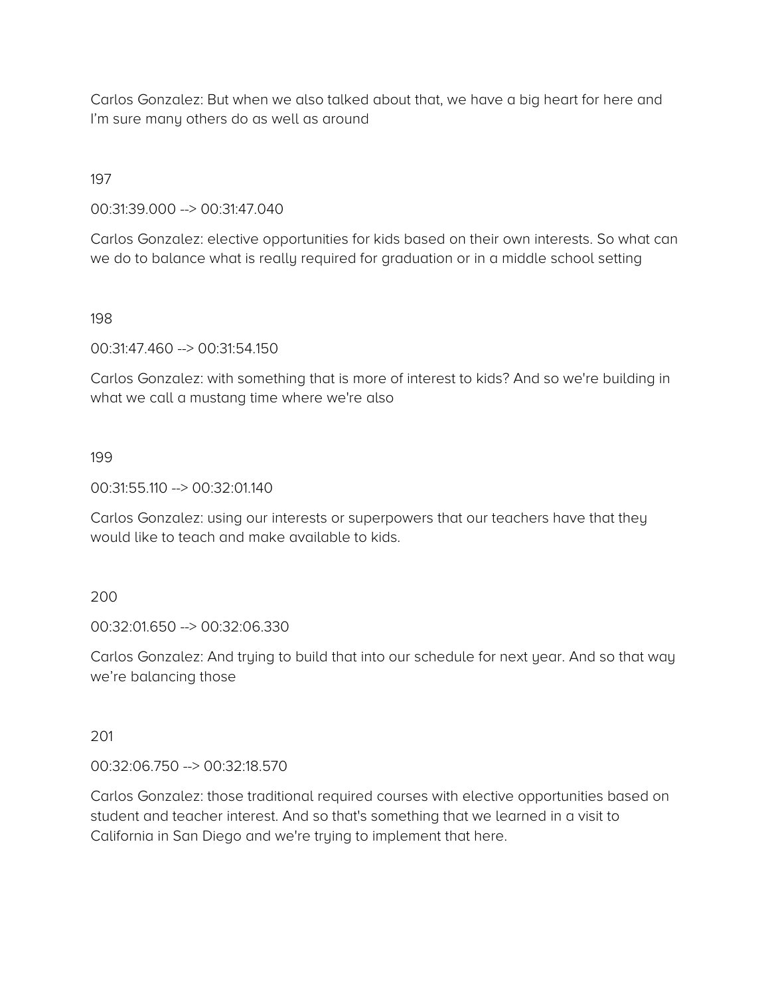Carlos Gonzalez: But when we also talked about that, we have a big heart for here and I'm sure many others do as well as around

197

00:31:39.000 --> 00:31:47.040

Carlos Gonzalez: elective opportunities for kids based on their own interests. So what can we do to balance what is really required for graduation or in a middle school setting

198

00:31:47.460 --> 00:31:54.150

Carlos Gonzalez: with something that is more of interest to kids? And so we're building in what we call a mustang time where we're also

199

00:31:55.110 --> 00:32:01.140

Carlos Gonzalez: using our interests or superpowers that our teachers have that they would like to teach and make available to kids.

200

00:32:01.650 --> 00:32:06.330

Carlos Gonzalez: And trying to build that into our schedule for next year. And so that way we're balancing those

201

00:32:06.750 --> 00:32:18.570

Carlos Gonzalez: those traditional required courses with elective opportunities based on student and teacher interest. And so that's something that we learned in a visit to California in San Diego and we're trying to implement that here.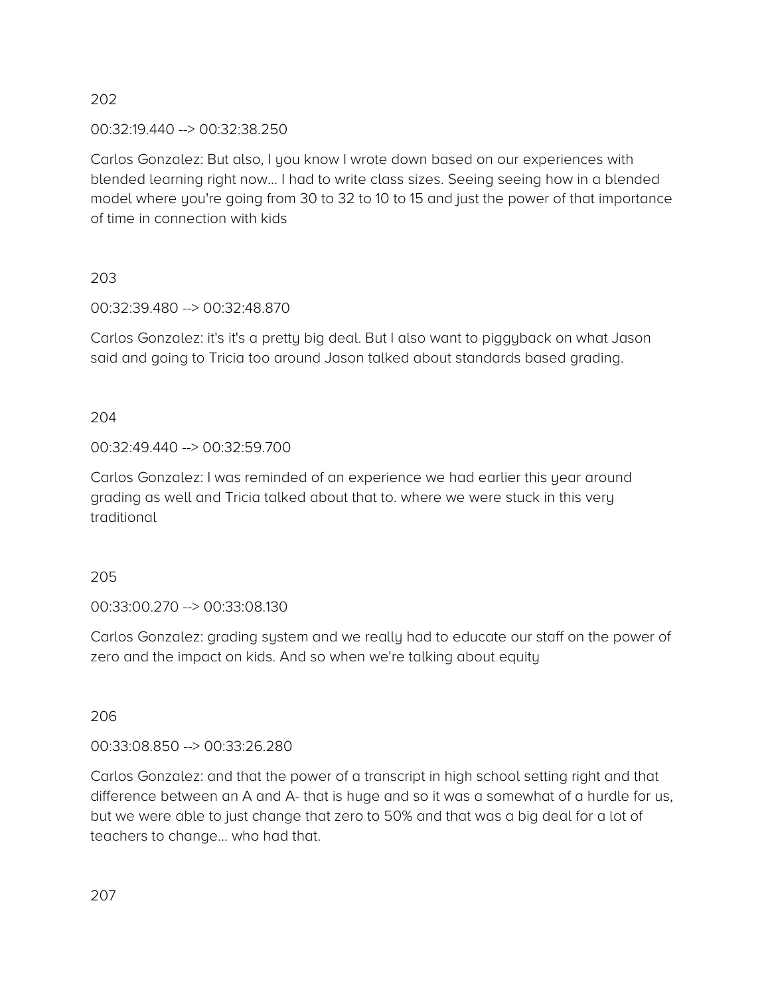00:32:19.440 --> 00:32:38.250

Carlos Gonzalez: But also, I you know I wrote down based on our experiences with blended learning right now… I had to write class sizes. Seeing seeing how in a blended model where you're going from 30 to 32 to 10 to 15 and just the power of that importance of time in connection with kids

203

00:32:39.480 --> 00:32:48.870

Carlos Gonzalez: it's it's a pretty big deal. But I also want to piggyback on what Jason said and going to Tricia too around Jason talked about standards based grading.

204

00:32:49.440 --> 00:32:59.700

Carlos Gonzalez: I was reminded of an experience we had earlier this year around grading as well and Tricia talked about that to. where we were stuck in this very traditional

205

00:33:00.270 --> 00:33:08.130

Carlos Gonzalez: grading system and we really had to educate our staff on the power of zero and the impact on kids. And so when we're talking about equity

206

00:33:08.850 --> 00:33:26.280

Carlos Gonzalez: and that the power of a transcript in high school setting right and that difference between an A and A- that is huge and so it was a somewhat of a hurdle for us, but we were able to just change that zero to 50% and that was a big deal for a lot of teachers to change… who had that.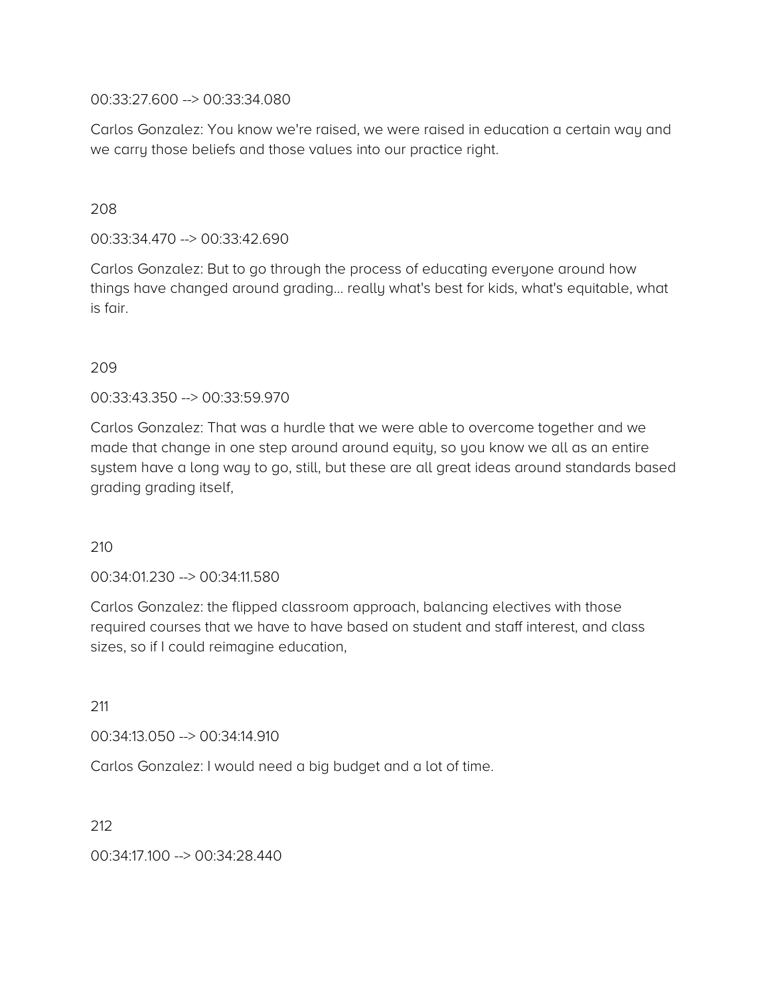00:33:27.600 --> 00:33:34.080

Carlos Gonzalez: You know we're raised, we were raised in education a certain way and we carry those beliefs and those values into our practice right.

### 208

00:33:34.470 --> 00:33:42.690

Carlos Gonzalez: But to go through the process of educating everyone around how things have changed around grading… really what's best for kids, what's equitable, what is fair.

### 209

00:33:43.350 --> 00:33:59.970

Carlos Gonzalez: That was a hurdle that we were able to overcome together and we made that change in one step around around equity, so you know we all as an entire system have a long way to go, still, but these are all great ideas around standards based grading grading itself,

210

00:34:01.230 --> 00:34:11.580

Carlos Gonzalez: the flipped classroom approach, balancing electives with those required courses that we have to have based on student and staff interest, and class sizes, so if I could reimagine education,

211

00:34:13.050 --> 00:34:14.910

Carlos Gonzalez: I would need a big budget and a lot of time.

212

00:34:17.100 --> 00:34:28.440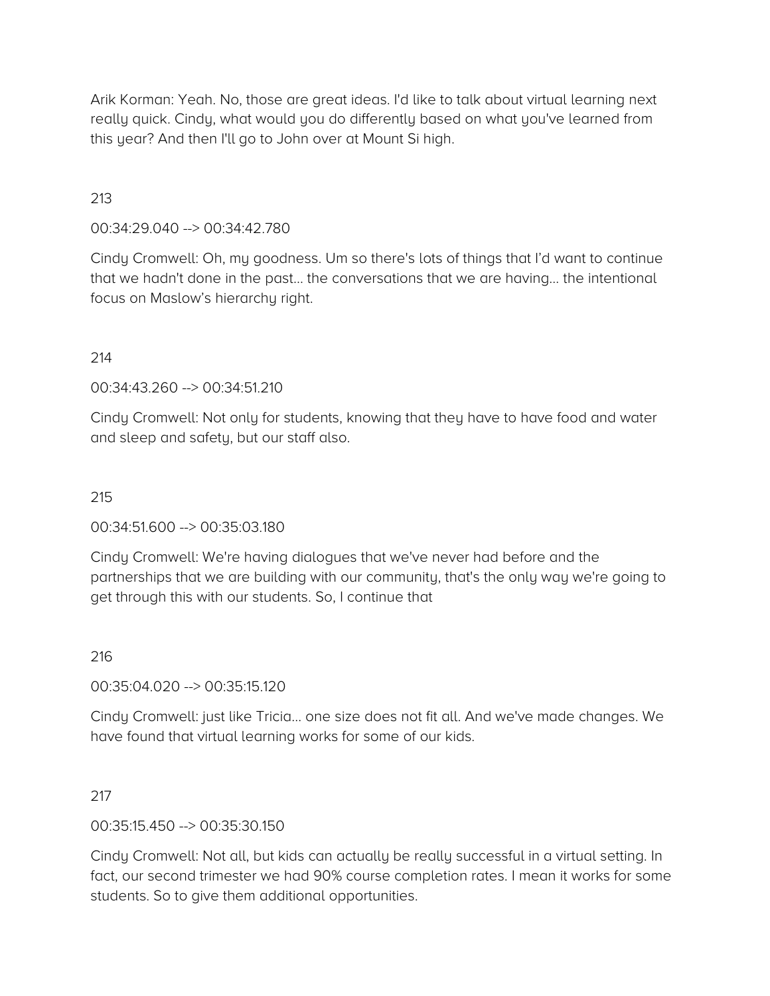Arik Korman: Yeah. No, those are great ideas. I'd like to talk about virtual learning next really quick. Cindy, what would you do differently based on what you've learned from this year? And then I'll go to John over at Mount Si high.

# 213

00:34:29.040 --> 00:34:42.780

Cindy Cromwell: Oh, my goodness. Um so there's lots of things that I'd want to continue that we hadn't done in the past… the conversations that we are having… the intentional focus on Maslow's hierarchy right.

#### 214

00:34:43.260 --> 00:34:51.210

Cindy Cromwell: Not only for students, knowing that they have to have food and water and sleep and safety, but our staff also.

#### 215

00:34:51.600 --> 00:35:03.180

Cindy Cromwell: We're having dialogues that we've never had before and the partnerships that we are building with our community, that's the only way we're going to get through this with our students. So, I continue that

#### 216

00:35:04.020 --> 00:35:15.120

Cindy Cromwell: just like Tricia… one size does not fit all. And we've made changes. We have found that virtual learning works for some of our kids.

#### 217

00:35:15.450 --> 00:35:30.150

Cindy Cromwell: Not all, but kids can actually be really successful in a virtual setting. In fact, our second trimester we had 90% course completion rates. I mean it works for some students. So to give them additional opportunities.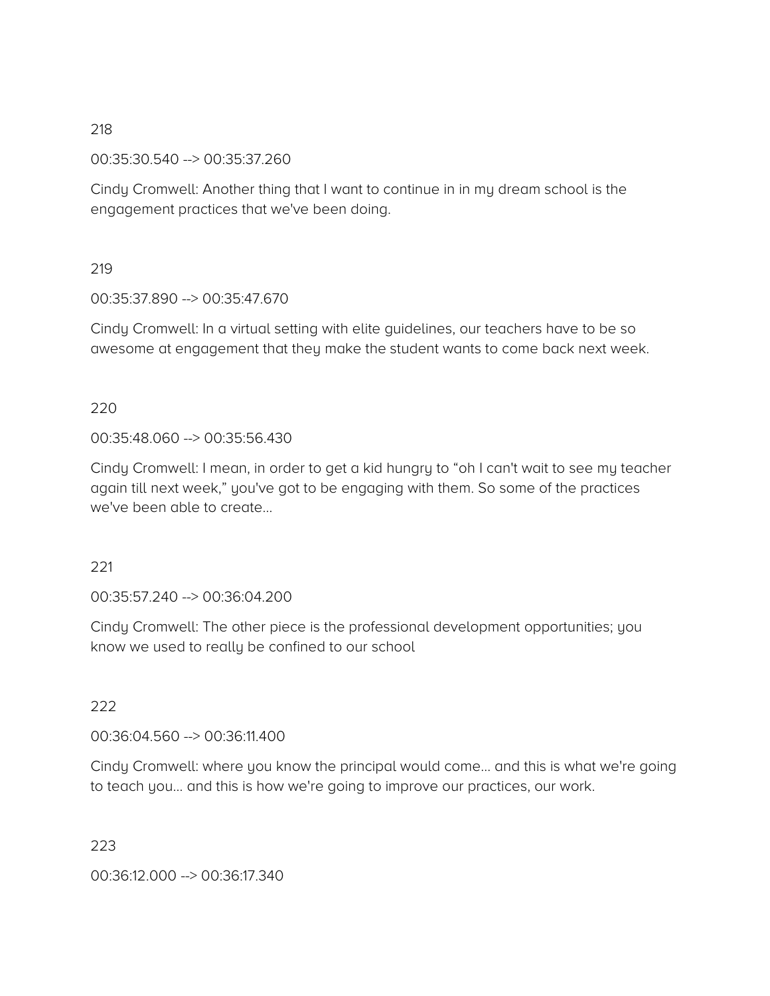00:35:30.540 --> 00:35:37.260

Cindy Cromwell: Another thing that I want to continue in in my dream school is the engagement practices that we've been doing.

#### 219

00:35:37.890 --> 00:35:47.670

Cindy Cromwell: In a virtual setting with elite guidelines, our teachers have to be so awesome at engagement that they make the student wants to come back next week.

### 220

00:35:48.060 --> 00:35:56.430

Cindy Cromwell: I mean, in order to get a kid hungry to "oh I can't wait to see my teacher again till next week," you've got to be engaging with them. So some of the practices we've been able to create

#### 221

00:35:57.240 --> 00:36:04.200

Cindy Cromwell: The other piece is the professional development opportunities; you know we used to really be confined to our school

#### 222

00:36:04.560 --> 00:36:11.400

Cindy Cromwell: where you know the principal would come… and this is what we're going to teach you… and this is how we're going to improve our practices, our work.

#### 223

00:36:12.000 --> 00:36:17.340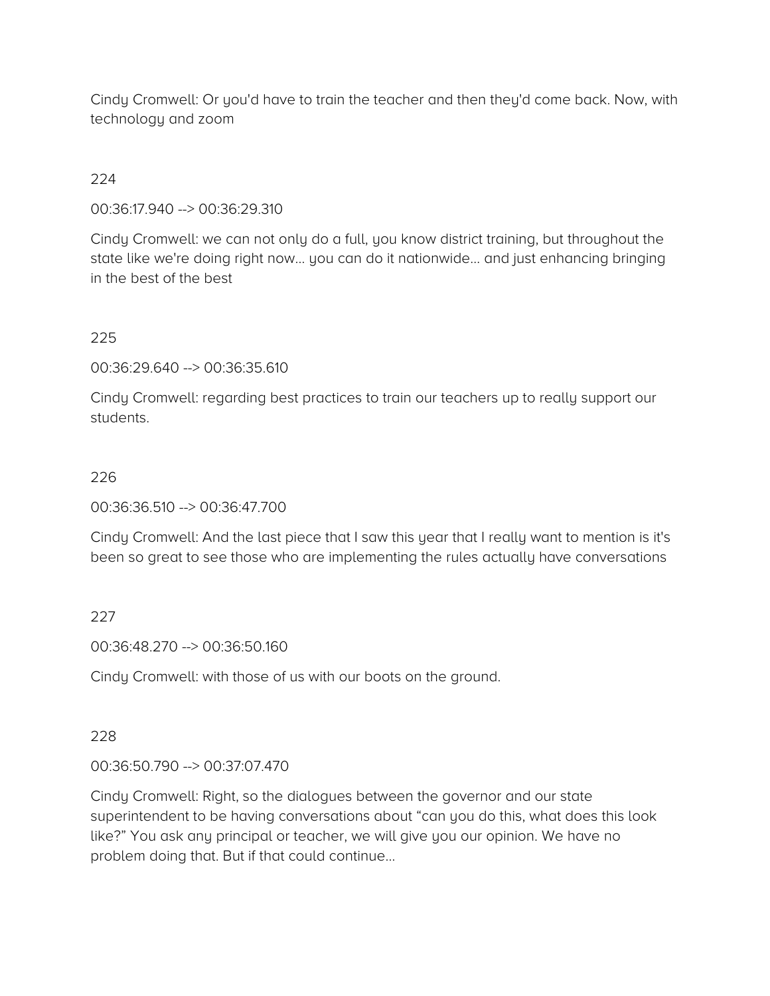Cindy Cromwell: Or you'd have to train the teacher and then they'd come back. Now, with technology and zoom

# 224

00:36:17.940 --> 00:36:29.310

Cindy Cromwell: we can not only do a full, you know district training, but throughout the state like we're doing right now… you can do it nationwide… and just enhancing bringing in the best of the best

# 225

00:36:29.640 --> 00:36:35.610

Cindy Cromwell: regarding best practices to train our teachers up to really support our students.

# 226

00:36:36.510 --> 00:36:47.700

Cindy Cromwell: And the last piece that I saw this year that I really want to mention is it's been so great to see those who are implementing the rules actually have conversations

# 227

00:36:48.270 --> 00:36:50.160

Cindy Cromwell: with those of us with our boots on the ground.

#### 228

00:36:50.790 --> 00:37:07.470

Cindy Cromwell: Right, so the dialogues between the governor and our state superintendent to be having conversations about "can you do this, what does this look like?" You ask any principal or teacher, we will give you our opinion. We have no problem doing that. But if that could continue…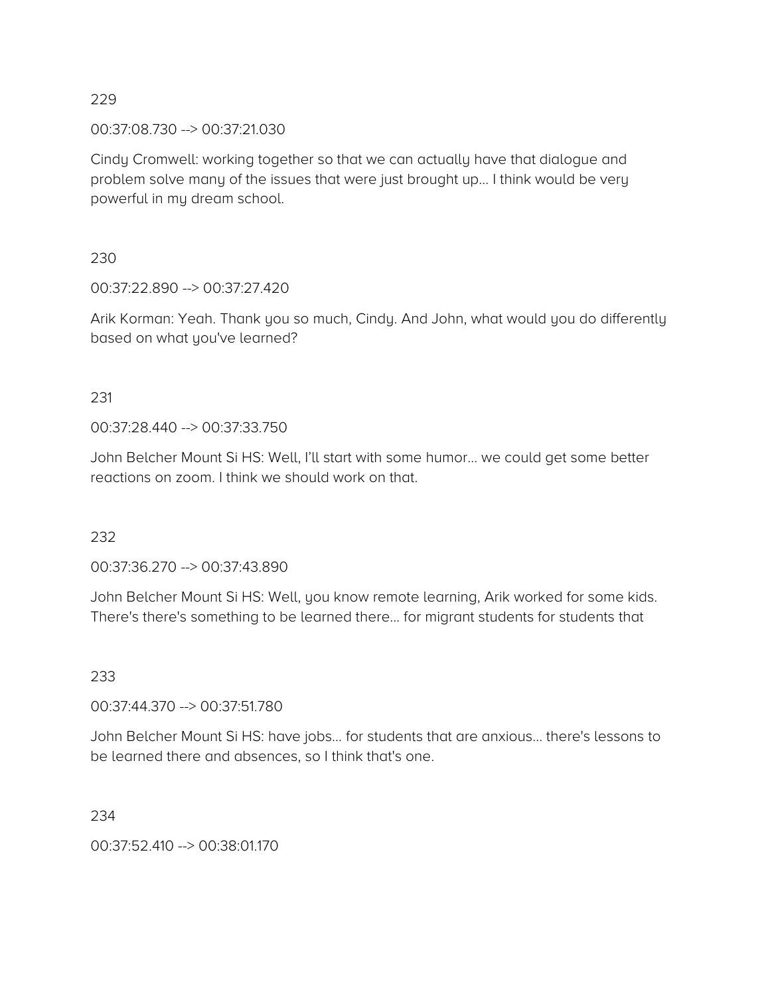00:37:08.730 --> 00:37:21.030

Cindy Cromwell: working together so that we can actually have that dialogue and problem solve many of the issues that were just brought up… I think would be very powerful in my dream school.

230

00:37:22.890 --> 00:37:27.420

Arik Korman: Yeah. Thank you so much, Cindy. And John, what would you do differently based on what you've learned?

231

00:37:28.440 --> 00:37:33.750

John Belcher Mount Si HS: Well, I'll start with some humor… we could get some better reactions on zoom. I think we should work on that.

232

00:37:36.270 --> 00:37:43.890

John Belcher Mount Si HS: Well, you know remote learning, Arik worked for some kids. There's there's something to be learned there… for migrant students for students that

233

00:37:44.370 --> 00:37:51.780

John Belcher Mount Si HS: have jobs… for students that are anxious… there's lessons to be learned there and absences, so I think that's one.

234

00:37:52.410 --> 00:38:01.170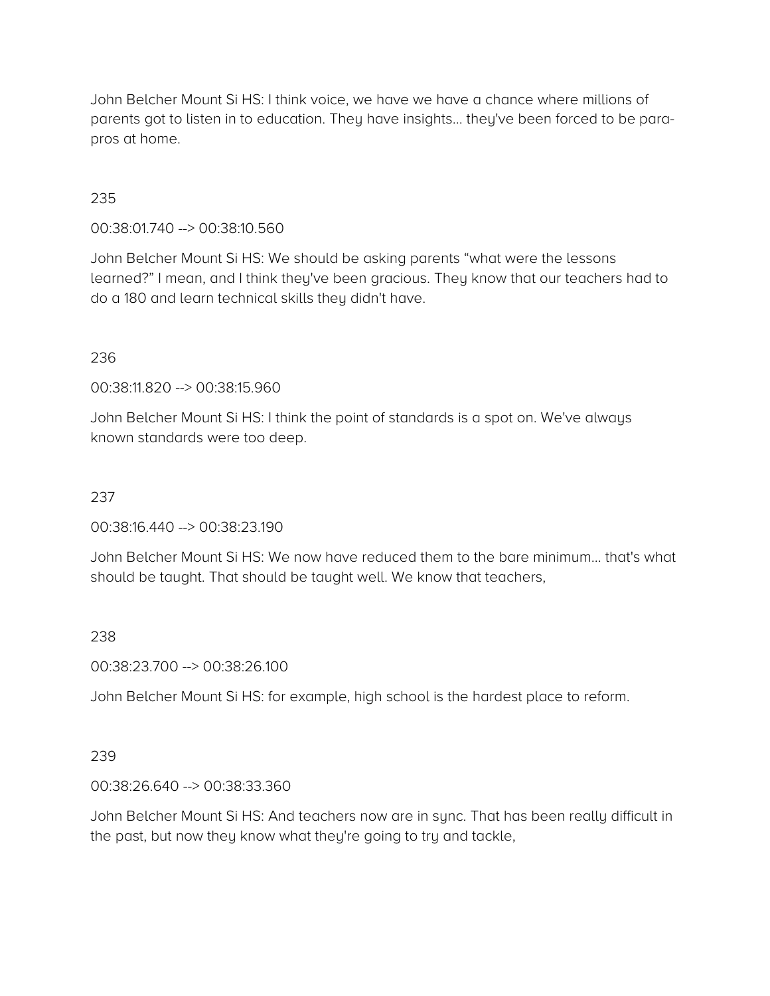John Belcher Mount Si HS: I think voice, we have we have a chance where millions of parents got to listen in to education. They have insights… they've been forced to be parapros at home.

### 235

00:38:01.740 --> 00:38:10.560

John Belcher Mount Si HS: We should be asking parents "what were the lessons learned?" I mean, and I think they've been gracious. They know that our teachers had to do a 180 and learn technical skills they didn't have.

#### 236

00:38:11.820 --> 00:38:15.960

John Belcher Mount Si HS: I think the point of standards is a spot on. We've always known standards were too deep.

# 237

00:38:16.440 --> 00:38:23.190

John Belcher Mount Si HS: We now have reduced them to the bare minimum… that's what should be taught. That should be taught well. We know that teachers,

#### 238

00:38:23.700 --> 00:38:26.100

John Belcher Mount Si HS: for example, high school is the hardest place to reform.

# 239

00:38:26.640 --> 00:38:33.360

John Belcher Mount Si HS: And teachers now are in sync. That has been really difficult in the past, but now they know what they're going to try and tackle,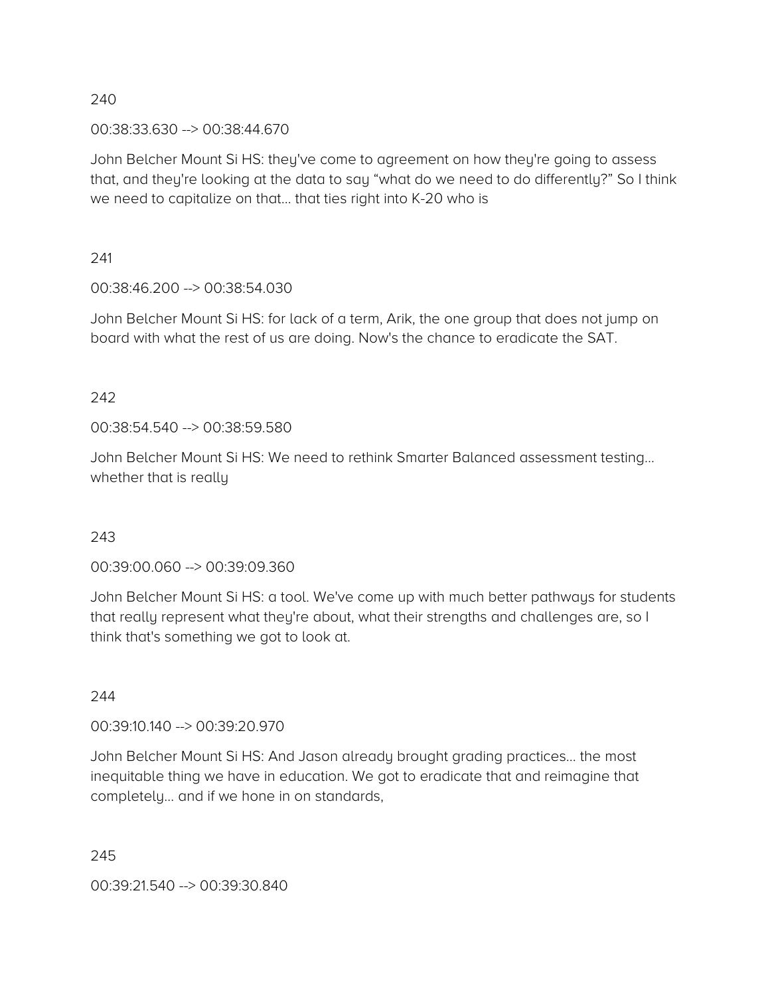#### 00:38:33.630 --> 00:38:44.670

John Belcher Mount Si HS: they've come to agreement on how they're going to assess that, and they're looking at the data to say "what do we need to do differently?" So I think we need to capitalize on that… that ties right into K-20 who is

241

00:38:46.200 --> 00:38:54.030

John Belcher Mount Si HS: for lack of a term, Arik, the one group that does not jump on board with what the rest of us are doing. Now's the chance to eradicate the SAT.

# 242

00:38:54.540 --> 00:38:59.580

John Belcher Mount Si HS: We need to rethink Smarter Balanced assessment testing… whether that is really

# 243

00:39:00.060 --> 00:39:09.360

John Belcher Mount Si HS: a tool. We've come up with much better pathways for students that really represent what they're about, what their strengths and challenges are, so I think that's something we got to look at.

#### 244

00:39:10.140 --> 00:39:20.970

John Belcher Mount Si HS: And Jason already brought grading practices… the most inequitable thing we have in education. We got to eradicate that and reimagine that completely… and if we hone in on standards,

245

00:39:21.540 --> 00:39:30.840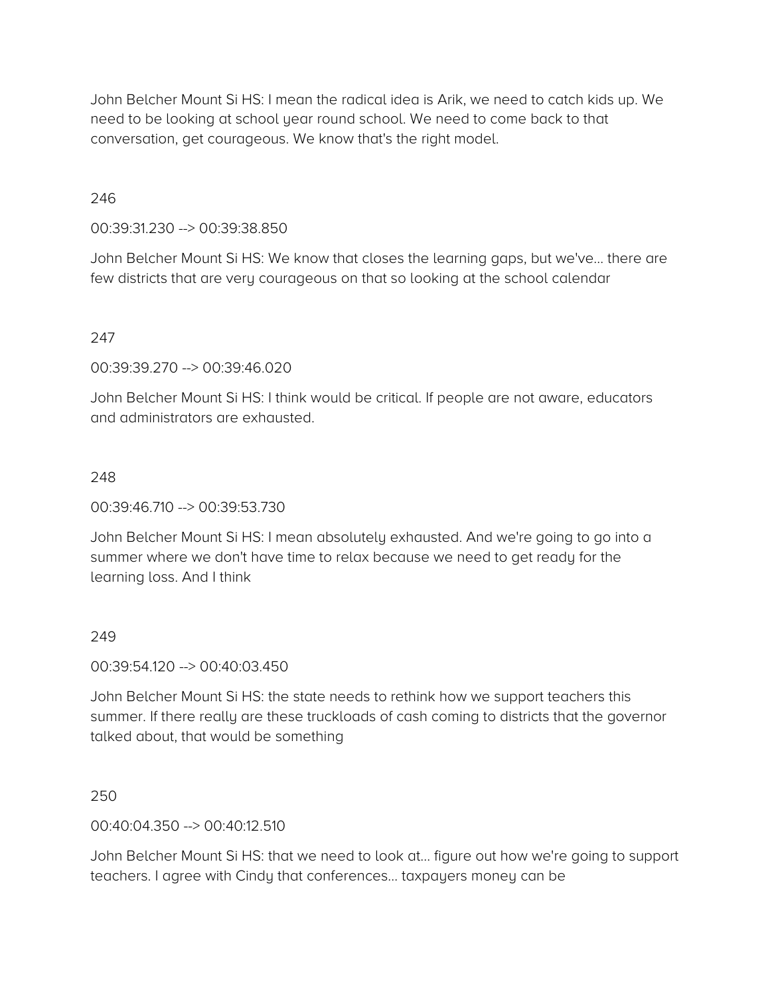John Belcher Mount Si HS: I mean the radical idea is Arik, we need to catch kids up. We need to be looking at school year round school. We need to come back to that conversation, get courageous. We know that's the right model.

### 246

00:39:31.230 --> 00:39:38.850

John Belcher Mount Si HS: We know that closes the learning gaps, but we've… there are few districts that are very courageous on that so looking at the school calendar

### 247

00:39:39.270 --> 00:39:46.020

John Belcher Mount Si HS: I think would be critical. If people are not aware, educators and administrators are exhausted.

#### 248

00:39:46.710 --> 00:39:53.730

John Belcher Mount Si HS: I mean absolutely exhausted. And we're going to go into a summer where we don't have time to relax because we need to get ready for the learning loss. And I think

#### 249

00:39:54.120 --> 00:40:03.450

John Belcher Mount Si HS: the state needs to rethink how we support teachers this summer. If there really are these truckloads of cash coming to districts that the governor talked about, that would be something

250

00:40:04.350 --> 00:40:12.510

John Belcher Mount Si HS: that we need to look at… figure out how we're going to support teachers. I agree with Cindy that conferences… taxpayers money can be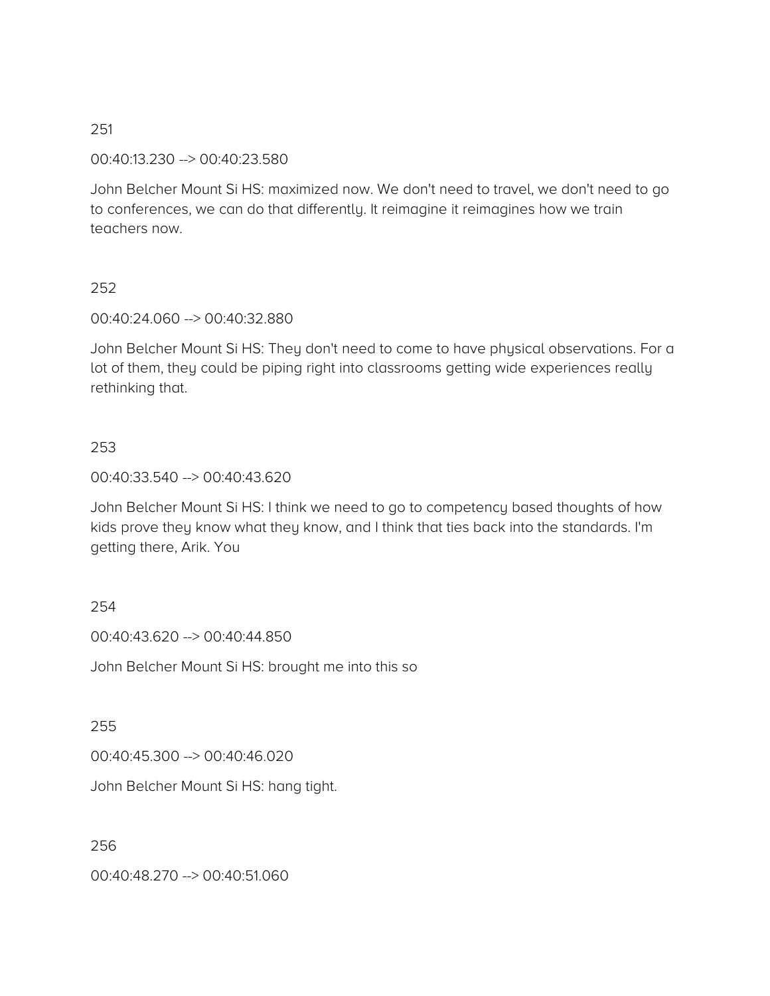00:40:13.230 --> 00:40:23.580

John Belcher Mount Si HS: maximized now. We don't need to travel, we don't need to go to conferences, we can do that differently. It reimagine it reimagines how we train teachers now.

### 252

00:40:24.060 --> 00:40:32.880

John Belcher Mount Si HS: They don't need to come to have physical observations. For a lot of them, they could be piping right into classrooms getting wide experiences really rethinking that.

### 253

00:40:33.540 --> 00:40:43.620

John Belcher Mount Si HS: I think we need to go to competency based thoughts of how kids prove they know what they know, and I think that ties back into the standards. I'm getting there, Arik. You

#### 254

00:40:43.620 --> 00:40:44.850

John Belcher Mount Si HS: brought me into this so

#### 255

00:40:45.300 --> 00:40:46.020

John Belcher Mount Si HS: hang tight.

#### 256

00:40:48.270 --> 00:40:51.060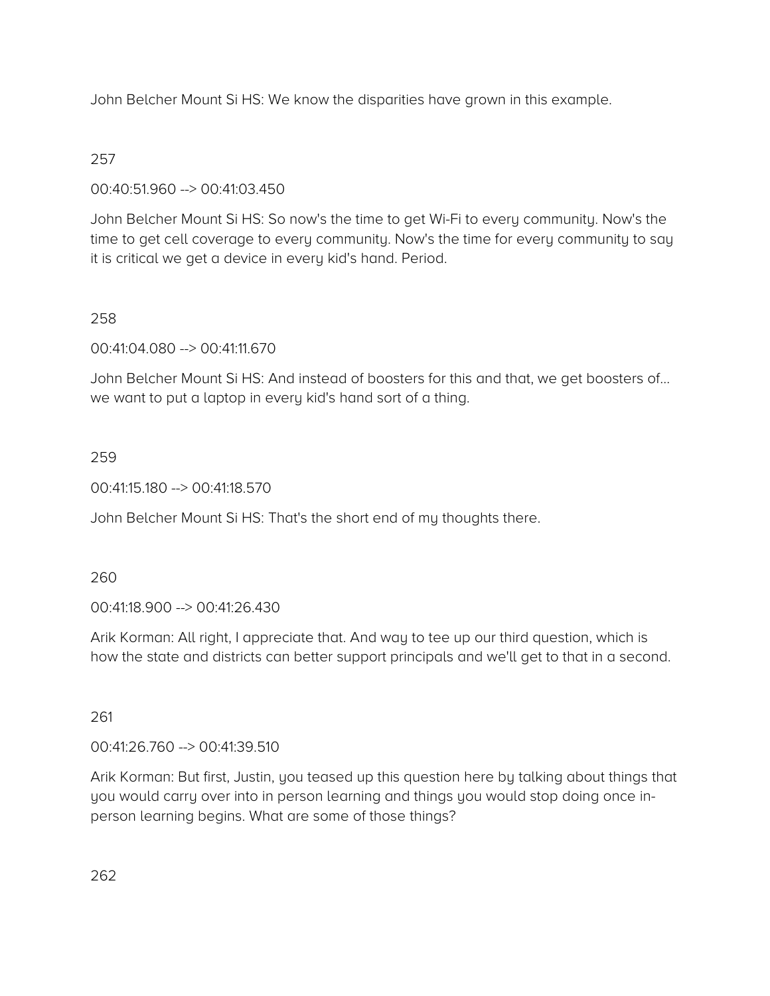John Belcher Mount Si HS: We know the disparities have grown in this example.

# 257

00:40:51.960 --> 00:41:03.450

John Belcher Mount Si HS: So now's the time to get Wi-Fi to every community. Now's the time to get cell coverage to every community. Now's the time for every community to say it is critical we get a device in every kid's hand. Period.

# 258

00:41:04.080 --> 00:41:11.670

John Belcher Mount Si HS: And instead of boosters for this and that, we get boosters of… we want to put a laptop in every kid's hand sort of a thing.

# 259

00:41:15.180 --> 00:41:18.570

John Belcher Mount Si HS: That's the short end of my thoughts there.

# 260

00:41:18.900 --> 00:41:26.430

Arik Korman: All right, I appreciate that. And way to tee up our third question, which is how the state and districts can better support principals and we'll get to that in a second.

# 261

00:41:26.760 --> 00:41:39.510

Arik Korman: But first, Justin, you teased up this question here by talking about things that you would carry over into in person learning and things you would stop doing once inperson learning begins. What are some of those things?

262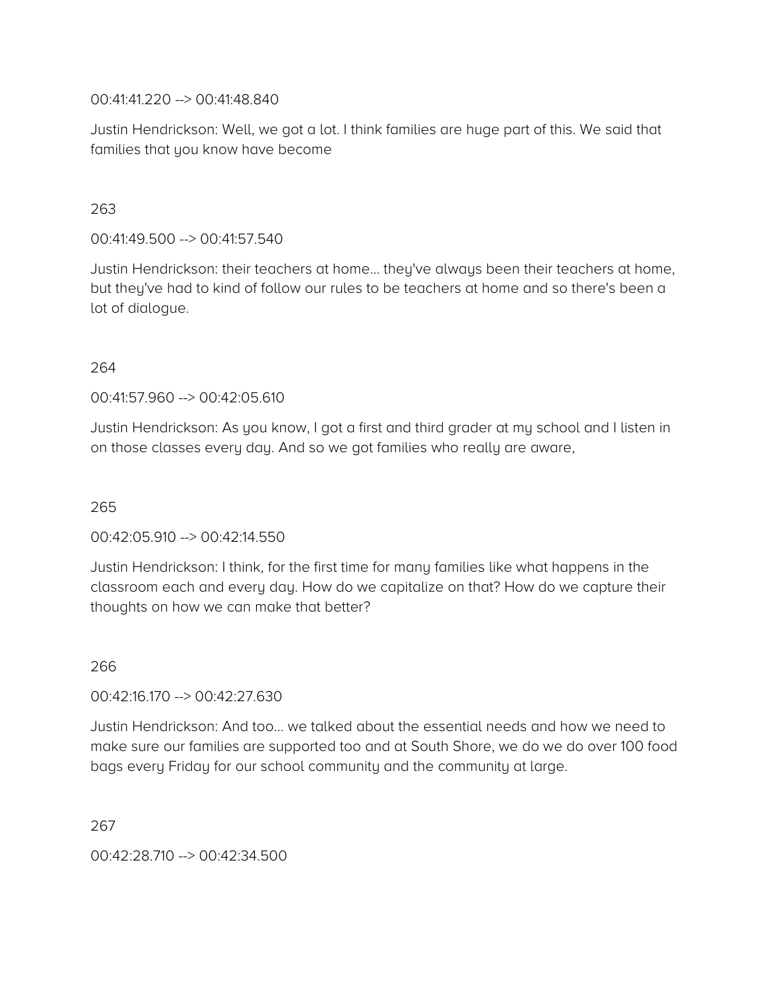00:41:41.220 --> 00:41:48.840

Justin Hendrickson: Well, we got a lot. I think families are huge part of this. We said that families that you know have become

# 263

00:41:49.500 --> 00:41:57.540

Justin Hendrickson: their teachers at home… they've always been their teachers at home, but they've had to kind of follow our rules to be teachers at home and so there's been a lot of dialogue.

### 264

00:41:57.960 --> 00:42:05.610

Justin Hendrickson: As you know, I got a first and third grader at my school and I listen in on those classes every day. And so we got families who really are aware,

### 265

# 00:42:05.910 --> 00:42:14.550

Justin Hendrickson: I think, for the first time for many families like what happens in the classroom each and every day. How do we capitalize on that? How do we capture their thoughts on how we can make that better?

#### 266

#### 00:42:16.170 --> 00:42:27.630

Justin Hendrickson: And too… we talked about the essential needs and how we need to make sure our families are supported too and at South Shore, we do we do over 100 food bags every Friday for our school community and the community at large.

267

00:42:28.710 --> 00:42:34.500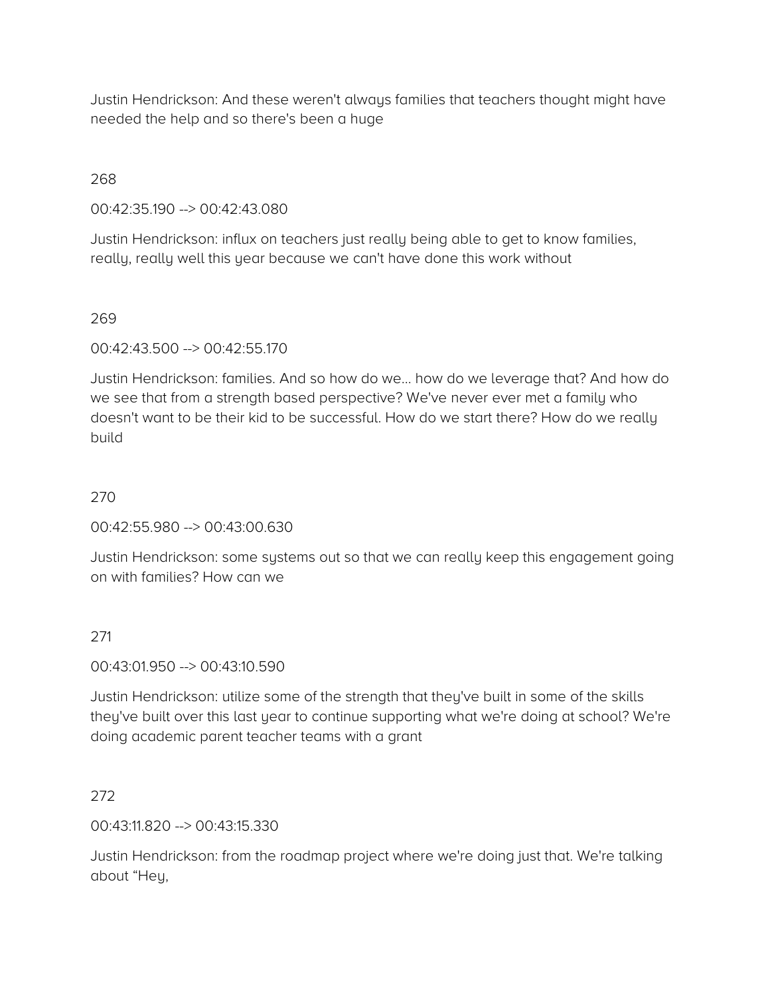Justin Hendrickson: And these weren't always families that teachers thought might have needed the help and so there's been a huge

### 268

00:42:35.190 --> 00:42:43.080

Justin Hendrickson: influx on teachers just really being able to get to know families, really, really well this year because we can't have done this work without

### 269

00:42:43.500 --> 00:42:55.170

Justin Hendrickson: families. And so how do we… how do we leverage that? And how do we see that from a strength based perspective? We've never ever met a family who doesn't want to be their kid to be successful. How do we start there? How do we really build

# 270

00:42:55.980 --> 00:43:00.630

Justin Hendrickson: some systems out so that we can really keep this engagement going on with families? How can we

# 271

00:43:01.950 --> 00:43:10.590

Justin Hendrickson: utilize some of the strength that they've built in some of the skills they've built over this last year to continue supporting what we're doing at school? We're doing academic parent teacher teams with a grant

# 272

00:43:11.820 --> 00:43:15.330

Justin Hendrickson: from the roadmap project where we're doing just that. We're talking about "Hey,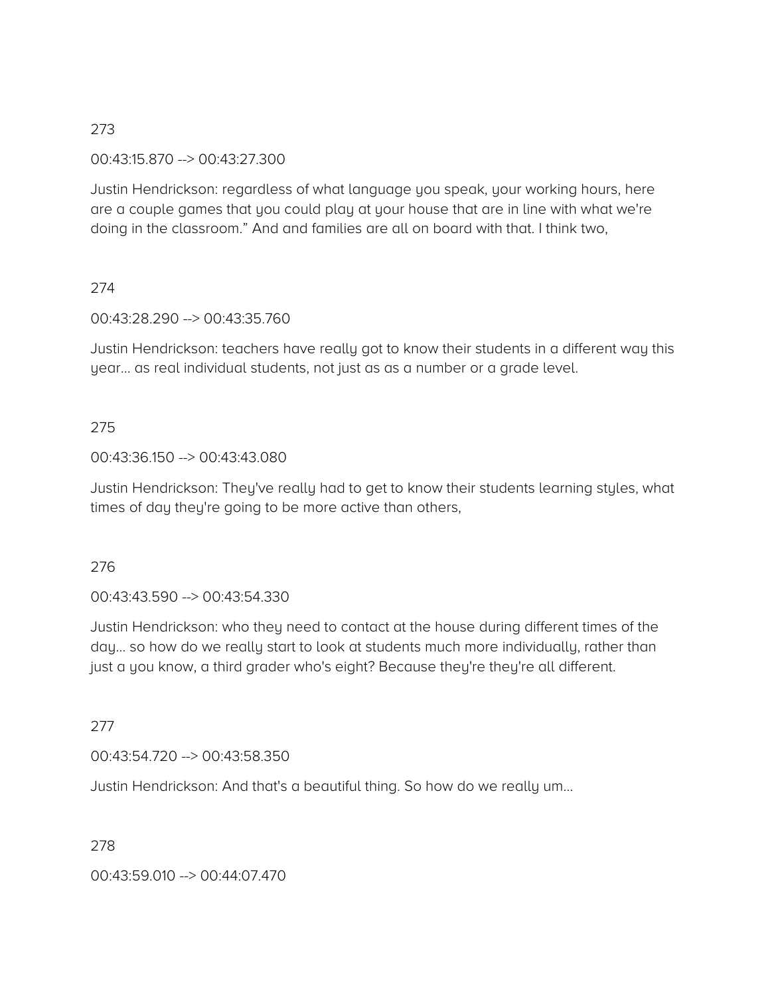00:43:15.870 --> 00:43:27.300

Justin Hendrickson: regardless of what language you speak, your working hours, here are a couple games that you could play at your house that are in line with what we're doing in the classroom." And and families are all on board with that. I think two,

# 274

00:43:28.290 --> 00:43:35.760

Justin Hendrickson: teachers have really got to know their students in a different way this year… as real individual students, not just as as a number or a grade level.

# 275

### 00:43:36.150 --> 00:43:43.080

Justin Hendrickson: They've really had to get to know their students learning styles, what times of day they're going to be more active than others,

# 276

00:43:43.590 --> 00:43:54.330

Justin Hendrickson: who they need to contact at the house during different times of the day… so how do we really start to look at students much more individually, rather than just a you know, a third grader who's eight? Because they're they're all different.

277

00:43:54.720 --> 00:43:58.350

Justin Hendrickson: And that's a beautiful thing. So how do we really um…

278

00:43:59.010 --> 00:44:07.470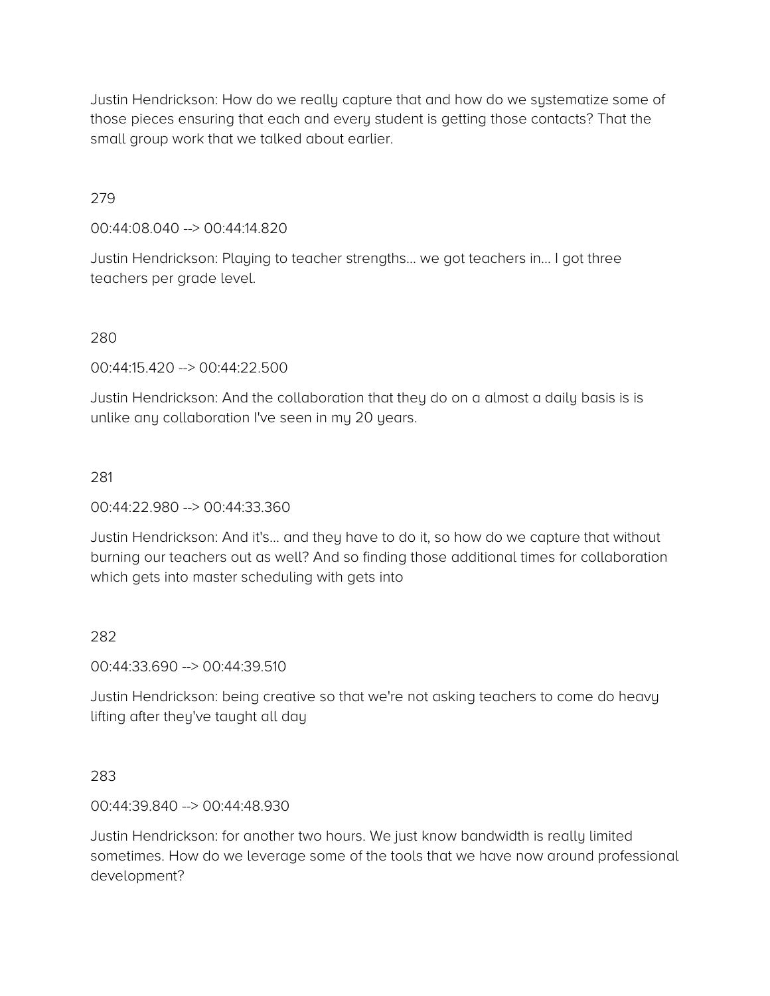Justin Hendrickson: How do we really capture that and how do we systematize some of those pieces ensuring that each and every student is getting those contacts? That the small group work that we talked about earlier.

### 279

#### 00:44:08.040 --> 00:44:14.820

Justin Hendrickson: Playing to teacher strengths… we got teachers in… I got three teachers per grade level.

### 280

00:44:15.420 --> 00:44:22.500

Justin Hendrickson: And the collaboration that they do on a almost a daily basis is is unlike any collaboration I've seen in my 20 years.

### 281

00:44:22.980 --> 00:44:33.360

Justin Hendrickson: And it's… and they have to do it, so how do we capture that without burning our teachers out as well? And so finding those additional times for collaboration which gets into master scheduling with gets into

# 282

00:44:33.690 --> 00:44:39.510

Justin Hendrickson: being creative so that we're not asking teachers to come do heavy lifting after they've taught all day

#### 283

00:44:39.840 --> 00:44:48.930

Justin Hendrickson: for another two hours. We just know bandwidth is really limited sometimes. How do we leverage some of the tools that we have now around professional development?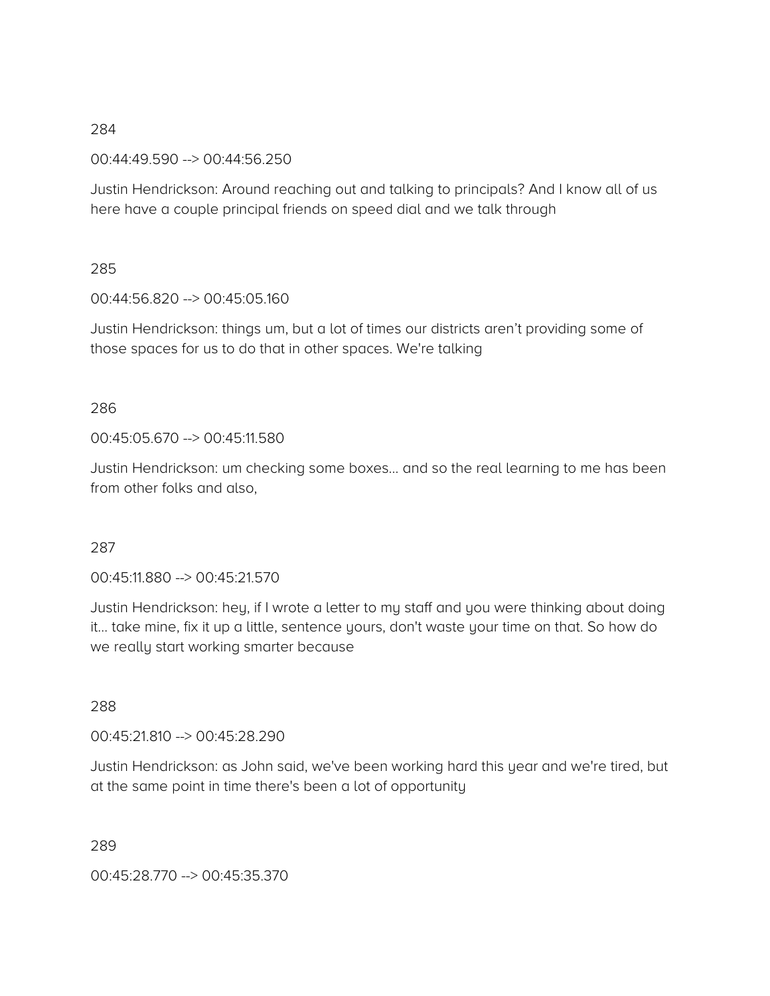00:44:49.590 --> 00:44:56.250

Justin Hendrickson: Around reaching out and talking to principals? And I know all of us here have a couple principal friends on speed dial and we talk through

### 285

00:44:56.820 --> 00:45:05.160

Justin Hendrickson: things um, but a lot of times our districts aren't providing some of those spaces for us to do that in other spaces. We're talking

# 286

00:45:05.670 --> 00:45:11.580

Justin Hendrickson: um checking some boxes… and so the real learning to me has been from other folks and also,

# 287

00:45:11.880 --> 00:45:21.570

Justin Hendrickson: hey, if I wrote a letter to my staff and you were thinking about doing it… take mine, fix it up a little, sentence yours, don't waste your time on that. So how do we really start working smarter because

# 288

00:45:21.810 --> 00:45:28.290

Justin Hendrickson: as John said, we've been working hard this year and we're tired, but at the same point in time there's been a lot of opportunity

289

00:45:28.770 --> 00:45:35.370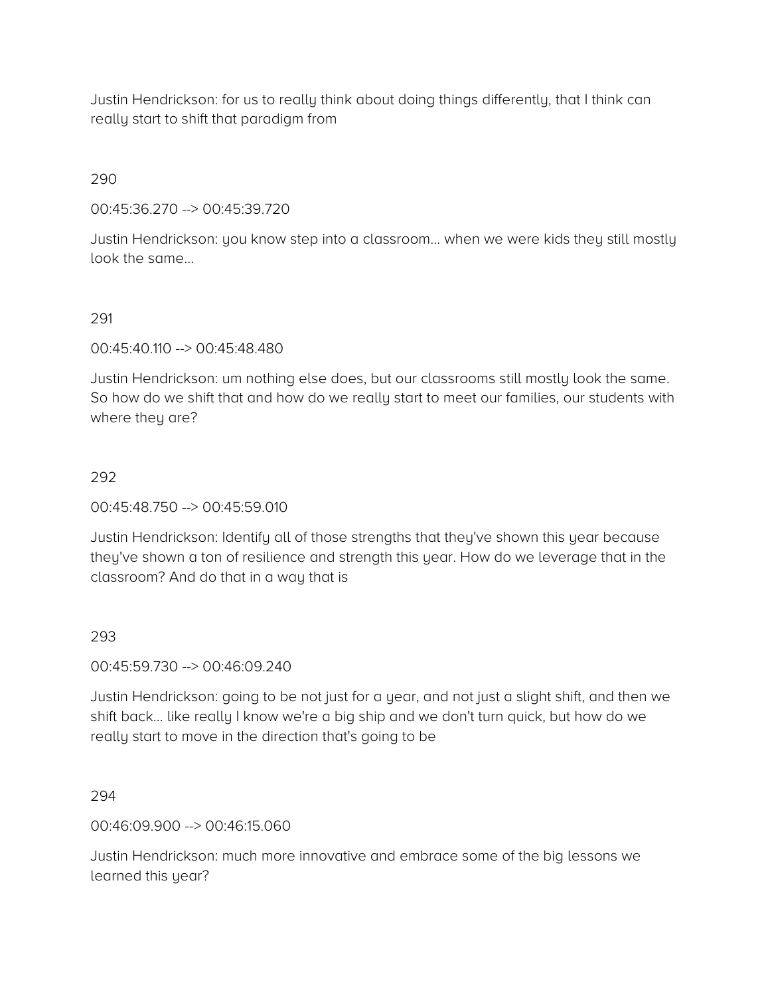Justin Hendrickson: for us to really think about doing things differently, that I think can really start to shift that paradigm from

290

00:45:36.270 --> 00:45:39.720

Justin Hendrickson: you know step into a classroom… when we were kids they still mostly look the same…

291

00:45:40.110 --> 00:45:48.480

Justin Hendrickson: um nothing else does, but our classrooms still mostly look the same. So how do we shift that and how do we really start to meet our families, our students with where they are?

### 292

00:45:48.750 --> 00:45:59.010

Justin Hendrickson: Identify all of those strengths that they've shown this year because they've shown a ton of resilience and strength this year. How do we leverage that in the classroom? And do that in a way that is

# 293

00:45:59.730 --> 00:46:09.240

Justin Hendrickson: going to be not just for a year, and not just a slight shift, and then we shift back… like really I know we're a big ship and we don't turn quick, but how do we really start to move in the direction that's going to be

294

00:46:09.900 --> 00:46:15.060

Justin Hendrickson: much more innovative and embrace some of the big lessons we learned this year?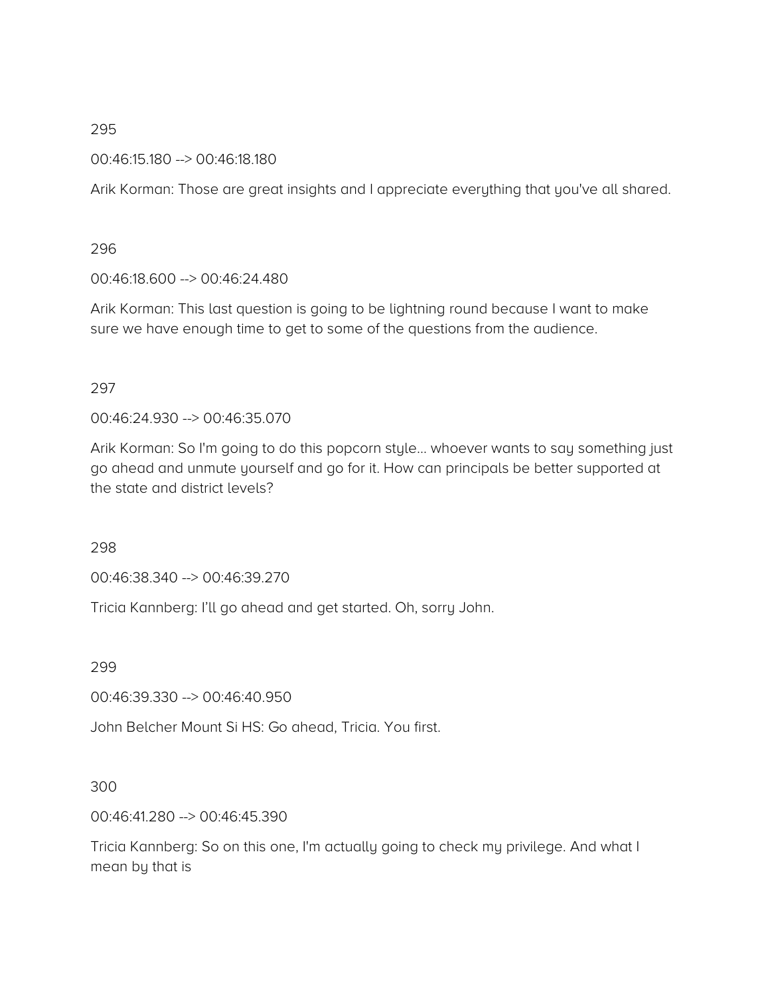00:46:15.180 --> 00:46:18.180

Arik Korman: Those are great insights and I appreciate everything that you've all shared.

296

00:46:18.600 --> 00:46:24.480

Arik Korman: This last question is going to be lightning round because I want to make sure we have enough time to get to some of the questions from the audience.

### 297

00:46:24.930 --> 00:46:35.070

Arik Korman: So I'm going to do this popcorn style… whoever wants to say something just go ahead and unmute yourself and go for it. How can principals be better supported at the state and district levels?

298

00:46:38.340 --> 00:46:39.270

Tricia Kannberg: I'll go ahead and get started. Oh, sorry John.

299

00:46:39.330 --> 00:46:40.950

John Belcher Mount Si HS: Go ahead, Tricia. You first.

# 300

00:46:41.280 --> 00:46:45.390

Tricia Kannberg: So on this one, I'm actually going to check my privilege. And what I mean by that is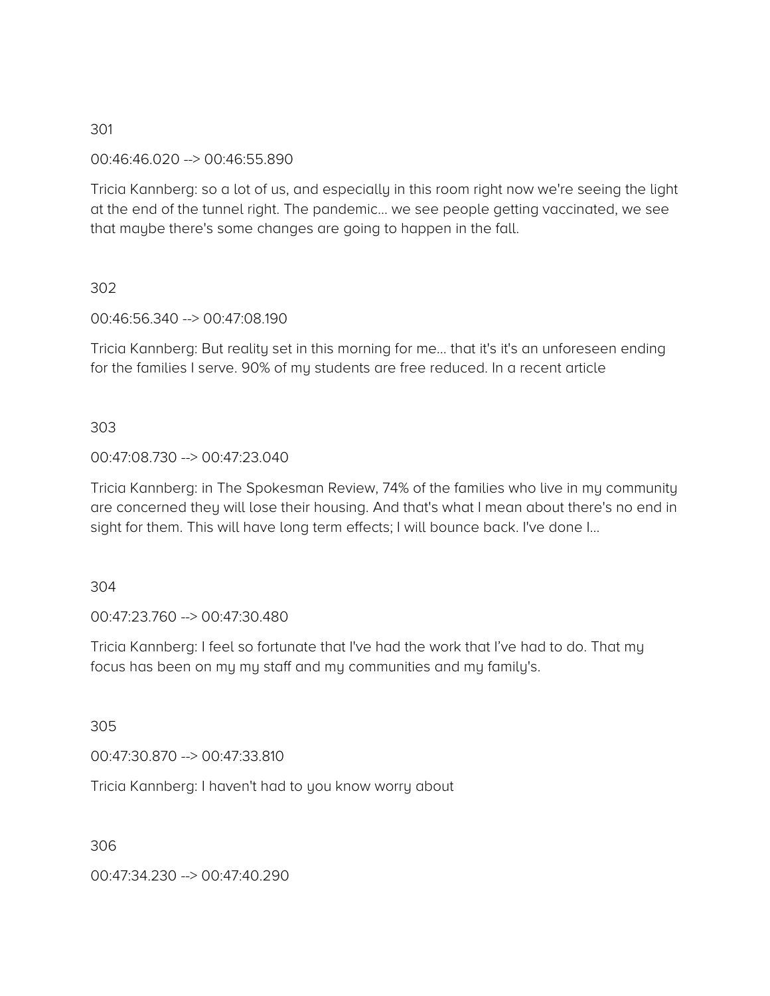00:46:46.020 --> 00:46:55.890

Tricia Kannberg: so a lot of us, and especially in this room right now we're seeing the light at the end of the tunnel right. The pandemic… we see people getting vaccinated, we see that maybe there's some changes are going to happen in the fall.

#### 302

00:46:56.340 --> 00:47:08.190

Tricia Kannberg: But reality set in this morning for me… that it's it's an unforeseen ending for the families I serve. 90% of my students are free reduced. In a recent article

#### 303

#### 00:47:08.730 --> 00:47:23.040

Tricia Kannberg: in The Spokesman Review, 74% of the families who live in my community are concerned they will lose their housing. And that's what I mean about there's no end in sight for them. This will have long term effects; I will bounce back. I've done I…

#### 304

00:47:23.760 --> 00:47:30.480

Tricia Kannberg: I feel so fortunate that I've had the work that I've had to do. That my focus has been on my my staff and my communities and my family's.

305

00:47:30.870 --> 00:47:33.810

Tricia Kannberg: I haven't had to you know worry about

306

00:47:34.230 --> 00:47:40.290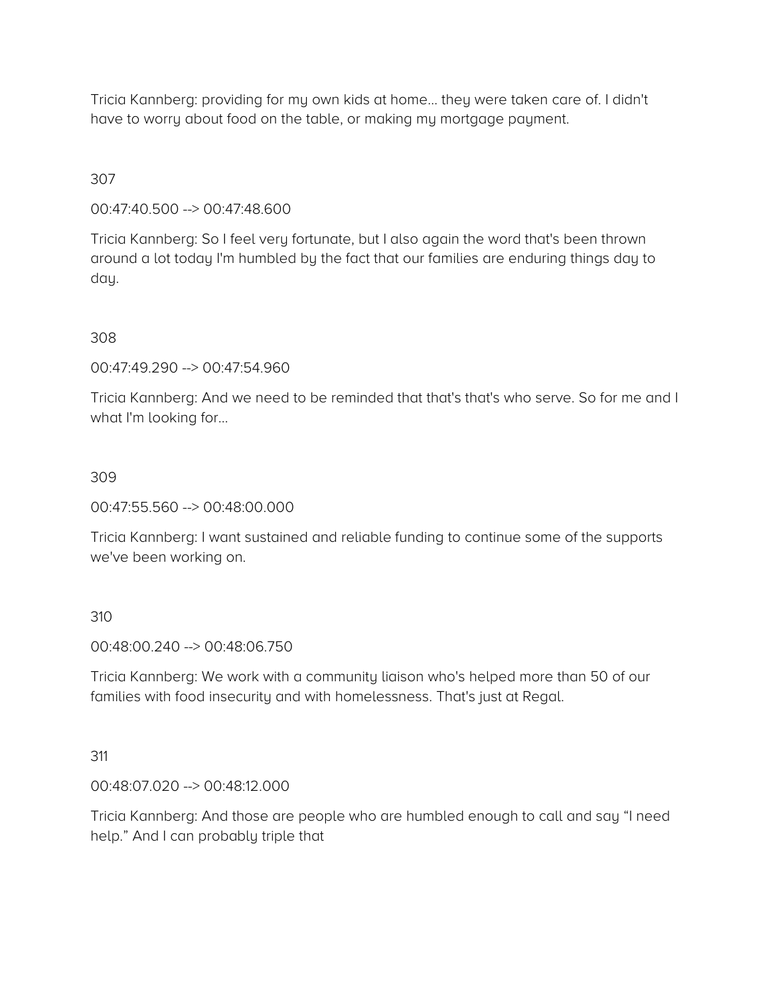Tricia Kannberg: providing for my own kids at home… they were taken care of. I didn't have to worry about food on the table, or making my mortgage payment.

# 307

00:47:40.500 --> 00:47:48.600

Tricia Kannberg: So I feel very fortunate, but I also again the word that's been thrown around a lot today I'm humbled by the fact that our families are enduring things day to day.

### 308

00:47:49.290 --> 00:47:54.960

Tricia Kannberg: And we need to be reminded that that's that's who serve. So for me and I what I'm looking for…

### 309

00:47:55.560 --> 00:48:00.000

Tricia Kannberg: I want sustained and reliable funding to continue some of the supports we've been working on.

#### 310

00:48:00.240 --> 00:48:06.750

Tricia Kannberg: We work with a community liaison who's helped more than 50 of our families with food insecurity and with homelessness. That's just at Regal.

#### 311

00:48:07.020 --> 00:48:12.000

Tricia Kannberg: And those are people who are humbled enough to call and say "I need help." And I can probably triple that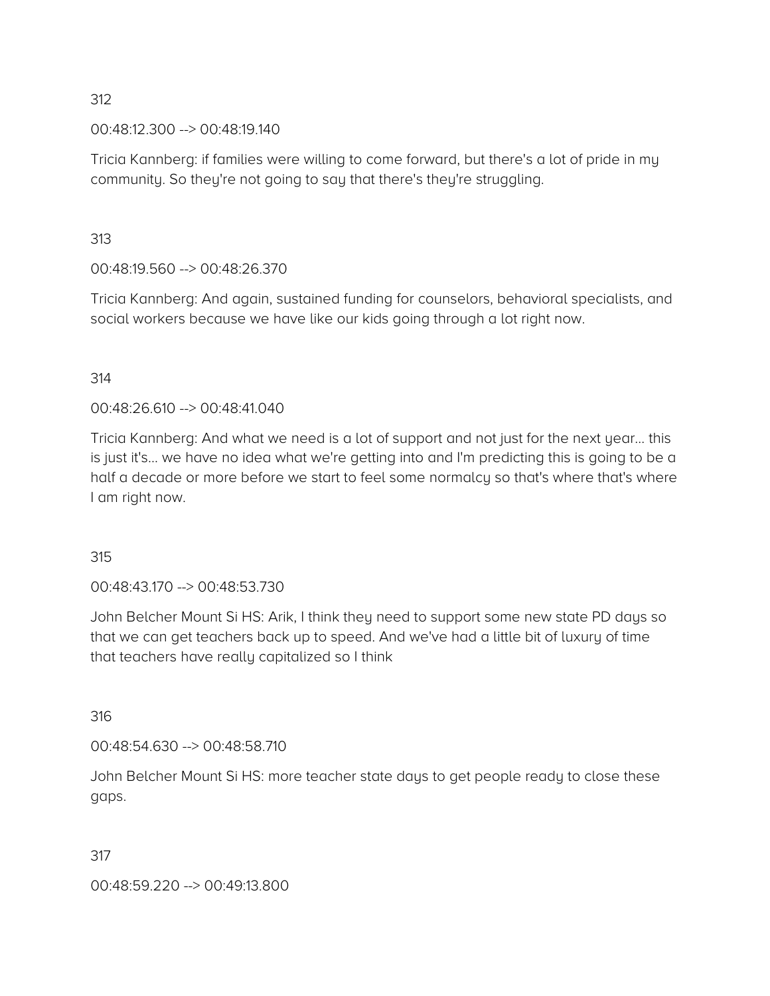00:48:12.300 --> 00:48:19.140

Tricia Kannberg: if families were willing to come forward, but there's a lot of pride in my community. So they're not going to say that there's they're struggling.

313

00:48:19.560 --> 00:48:26.370

Tricia Kannberg: And again, sustained funding for counselors, behavioral specialists, and social workers because we have like our kids going through a lot right now.

314

00:48:26.610 --> 00:48:41.040

Tricia Kannberg: And what we need is a lot of support and not just for the next year… this is just it's… we have no idea what we're getting into and I'm predicting this is going to be a half a decade or more before we start to feel some normalcy so that's where that's where I am right now.

315

00:48:43.170 --> 00:48:53.730

John Belcher Mount Si HS: Arik, I think they need to support some new state PD days so that we can get teachers back up to speed. And we've had a little bit of luxury of time that teachers have really capitalized so I think

316

00:48:54.630 --> 00:48:58.710

John Belcher Mount Si HS: more teacher state days to get people ready to close these gaps.

317

00:48:59.220 --> 00:49:13.800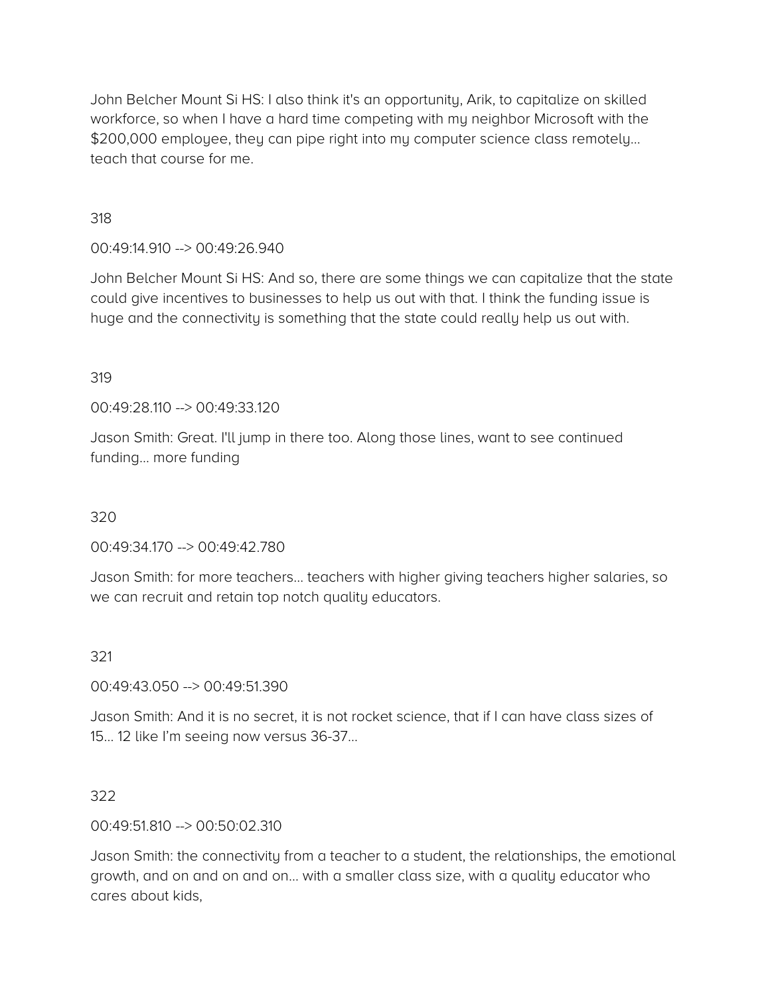John Belcher Mount Si HS: I also think it's an opportunity, Arik, to capitalize on skilled workforce, so when I have a hard time competing with my neighbor Microsoft with the \$200,000 employee, they can pipe right into my computer science class remotely… teach that course for me.

318

# 00:49:14.910 --> 00:49:26.940

John Belcher Mount Si HS: And so, there are some things we can capitalize that the state could give incentives to businesses to help us out with that. I think the funding issue is huge and the connectivity is something that the state could really help us out with.

### 319

00:49:28.110 --> 00:49:33.120

Jason Smith: Great. I'll jump in there too. Along those lines, want to see continued funding… more funding

#### 320

00:49:34.170 --> 00:49:42.780

Jason Smith: for more teachers… teachers with higher giving teachers higher salaries, so we can recruit and retain top notch quality educators.

#### 321

00:49:43.050 --> 00:49:51.390

Jason Smith: And it is no secret, it is not rocket science, that if I can have class sizes of 15… 12 like I'm seeing now versus 36-37…

#### 322

#### 00:49:51.810 --> 00:50:02.310

Jason Smith: the connectivity from a teacher to a student, the relationships, the emotional growth, and on and on and on… with a smaller class size, with a quality educator who cares about kids,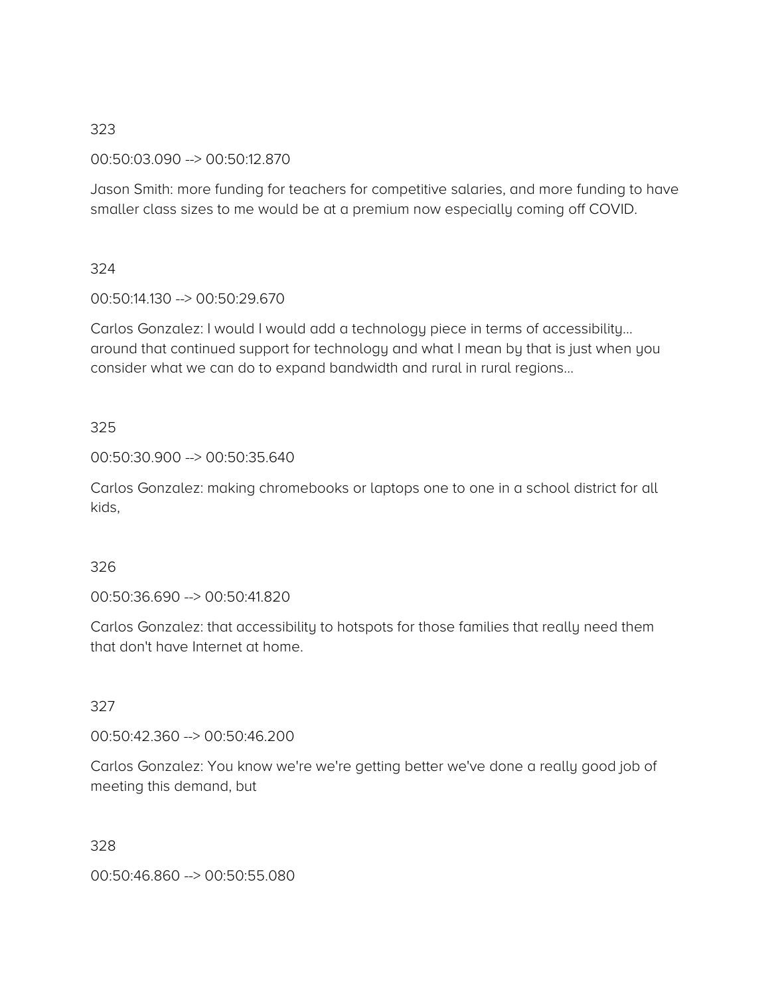00:50:03.090 --> 00:50:12.870

Jason Smith: more funding for teachers for competitive salaries, and more funding to have smaller class sizes to me would be at a premium now especially coming off COVID.

# 324

00:50:14.130 --> 00:50:29.670

Carlos Gonzalez: I would I would add a technology piece in terms of accessibility… around that continued support for technology and what I mean by that is just when you consider what we can do to expand bandwidth and rural in rural regions…

# 325

00:50:30.900 --> 00:50:35.640

Carlos Gonzalez: making chromebooks or laptops one to one in a school district for all kids,

# 326

00:50:36.690 --> 00:50:41.820

Carlos Gonzalez: that accessibility to hotspots for those families that really need them that don't have Internet at home.

# 327

00:50:42.360 --> 00:50:46.200

Carlos Gonzalez: You know we're we're getting better we've done a really good job of meeting this demand, but

# 328

00:50:46.860 --> 00:50:55.080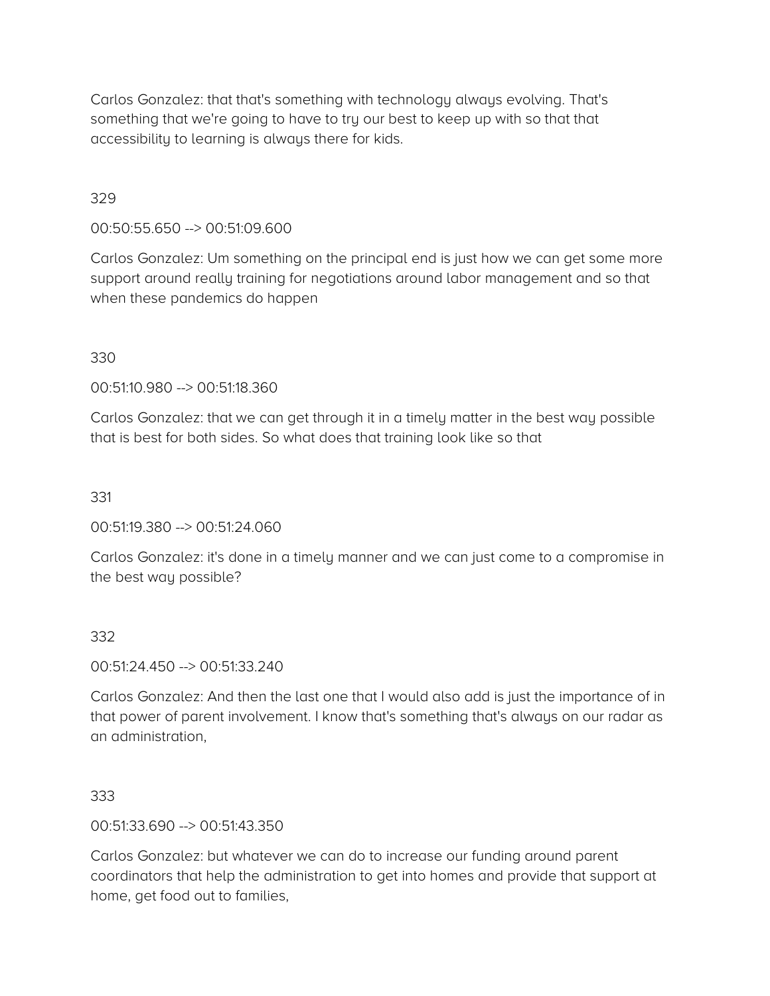Carlos Gonzalez: that that's something with technology always evolving. That's something that we're going to have to try our best to keep up with so that that accessibility to learning is always there for kids.

### 329

00:50:55.650 --> 00:51:09.600

Carlos Gonzalez: Um something on the principal end is just how we can get some more support around really training for negotiations around labor management and so that when these pandemics do happen

#### 330

00:51:10.980 --> 00:51:18.360

Carlos Gonzalez: that we can get through it in a timely matter in the best way possible that is best for both sides. So what does that training look like so that

331

00:51:19.380 --> 00:51:24.060

Carlos Gonzalez: it's done in a timely manner and we can just come to a compromise in the best way possible?

#### 332

00:51:24.450 --> 00:51:33.240

Carlos Gonzalez: And then the last one that I would also add is just the importance of in that power of parent involvement. I know that's something that's always on our radar as an administration,

#### 333

00:51:33.690 --> 00:51:43.350

Carlos Gonzalez: but whatever we can do to increase our funding around parent coordinators that help the administration to get into homes and provide that support at home, get food out to families,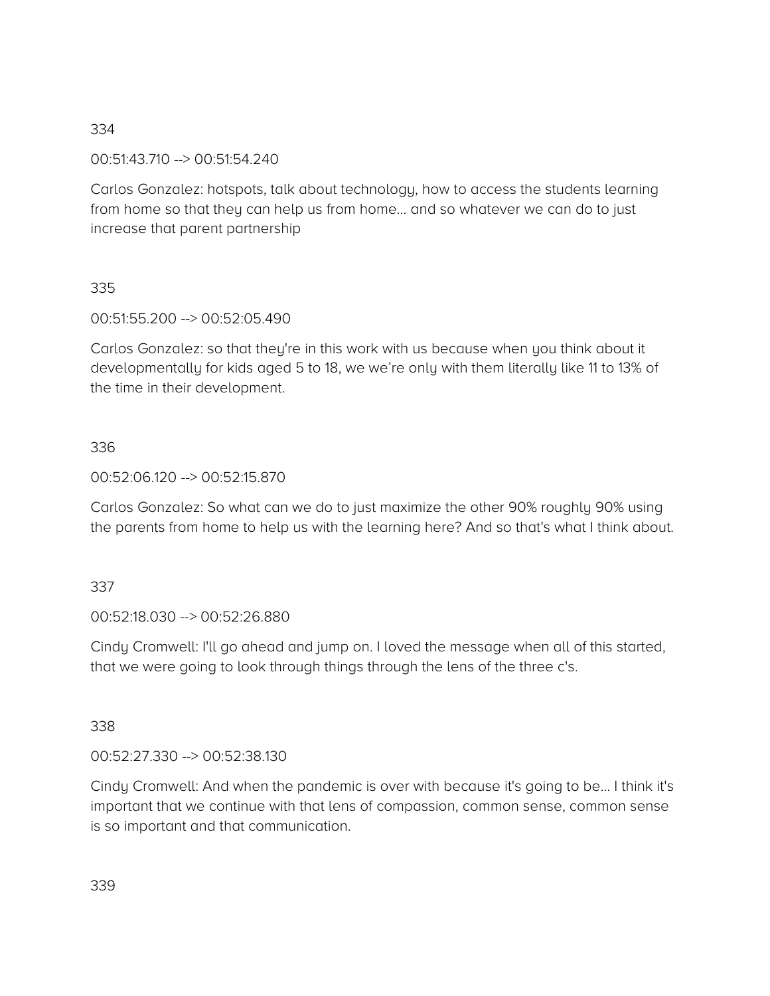00:51:43.710 --> 00:51:54.240

Carlos Gonzalez: hotspots, talk about technology, how to access the students learning from home so that they can help us from home… and so whatever we can do to just increase that parent partnership

# 335

00:51:55.200 --> 00:52:05.490

Carlos Gonzalez: so that they're in this work with us because when you think about it developmentally for kids aged 5 to 18, we we're only with them literally like 11 to 13% of the time in their development.

# 336

00:52:06.120 --> 00:52:15.870

Carlos Gonzalez: So what can we do to just maximize the other 90% roughly 90% using the parents from home to help us with the learning here? And so that's what I think about.

# 337

00:52:18.030 --> 00:52:26.880

Cindy Cromwell: I'll go ahead and jump on. I loved the message when all of this started, that we were going to look through things through the lens of the three c's.

# 338

00:52:27.330 --> 00:52:38.130

Cindy Cromwell: And when the pandemic is over with because it's going to be… I think it's important that we continue with that lens of compassion, common sense, common sense is so important and that communication.

339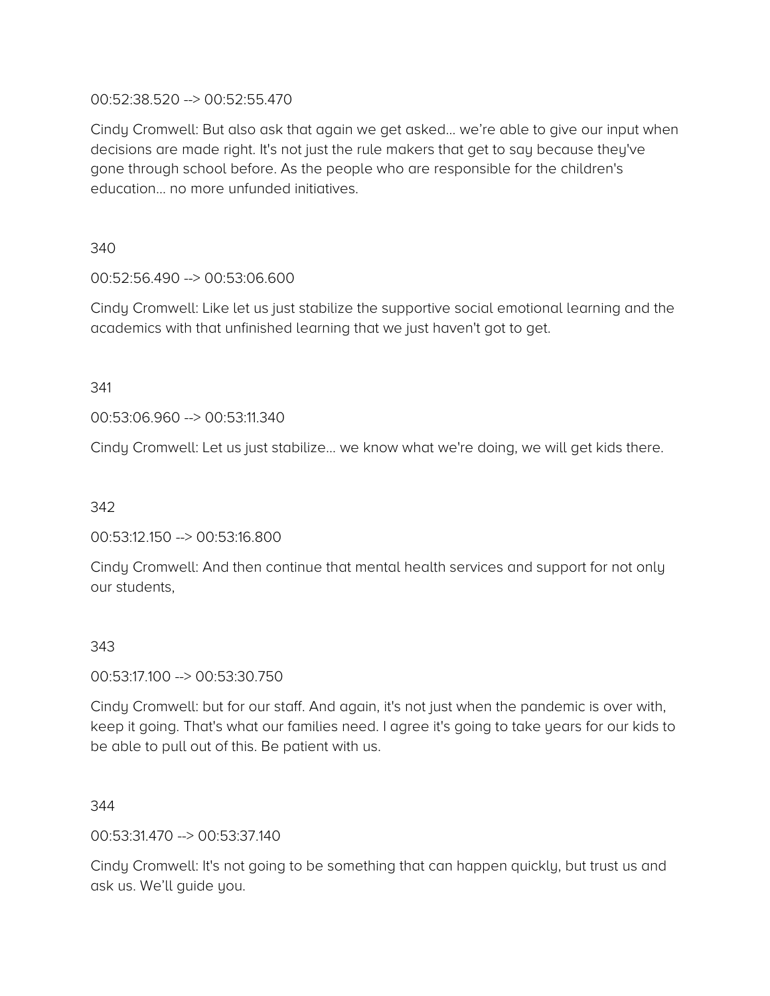### 00:52:38.520 --> 00:52:55.470

Cindy Cromwell: But also ask that again we get asked… we're able to give our input when decisions are made right. It's not just the rule makers that get to say because they've gone through school before. As the people who are responsible for the children's education… no more unfunded initiatives.

340

# 00:52:56.490 --> 00:53:06.600

Cindy Cromwell: Like let us just stabilize the supportive social emotional learning and the academics with that unfinished learning that we just haven't got to get.

341

00:53:06.960 --> 00:53:11.340

Cindy Cromwell: Let us just stabilize… we know what we're doing, we will get kids there.

342

00:53:12.150 --> 00:53:16.800

Cindy Cromwell: And then continue that mental health services and support for not only our students,

# 343

00:53:17.100 --> 00:53:30.750

Cindy Cromwell: but for our staff. And again, it's not just when the pandemic is over with, keep it going. That's what our families need. I agree it's going to take years for our kids to be able to pull out of this. Be patient with us.

344

00:53:31.470 --> 00:53:37.140

Cindy Cromwell: It's not going to be something that can happen quickly, but trust us and ask us. We'll guide you.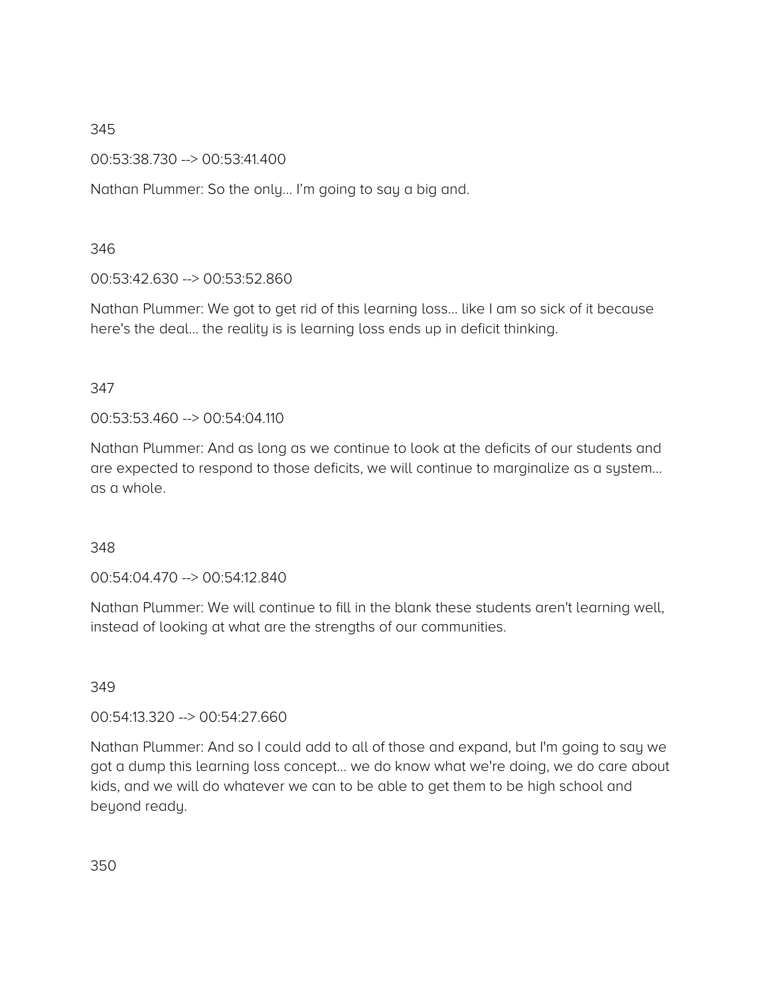00:53:38.730 --> 00:53:41.400

Nathan Plummer: So the only… I'm going to say a big and.

### 346

# 00:53:42.630 --> 00:53:52.860

Nathan Plummer: We got to get rid of this learning loss… like I am so sick of it because here's the deal… the reality is is learning loss ends up in deficit thinking.

# 347

00:53:53.460 --> 00:54:04.110

Nathan Plummer: And as long as we continue to look at the deficits of our students and are expected to respond to those deficits, we will continue to marginalize as a system… as a whole.

# 348

00:54:04.470 --> 00:54:12.840

Nathan Plummer: We will continue to fill in the blank these students aren't learning well, instead of looking at what are the strengths of our communities.

#### 349

00:54:13.320 --> 00:54:27.660

Nathan Plummer: And so I could add to all of those and expand, but I'm going to say we got a dump this learning loss concept… we do know what we're doing, we do care about kids, and we will do whatever we can to be able to get them to be high school and beyond ready.

350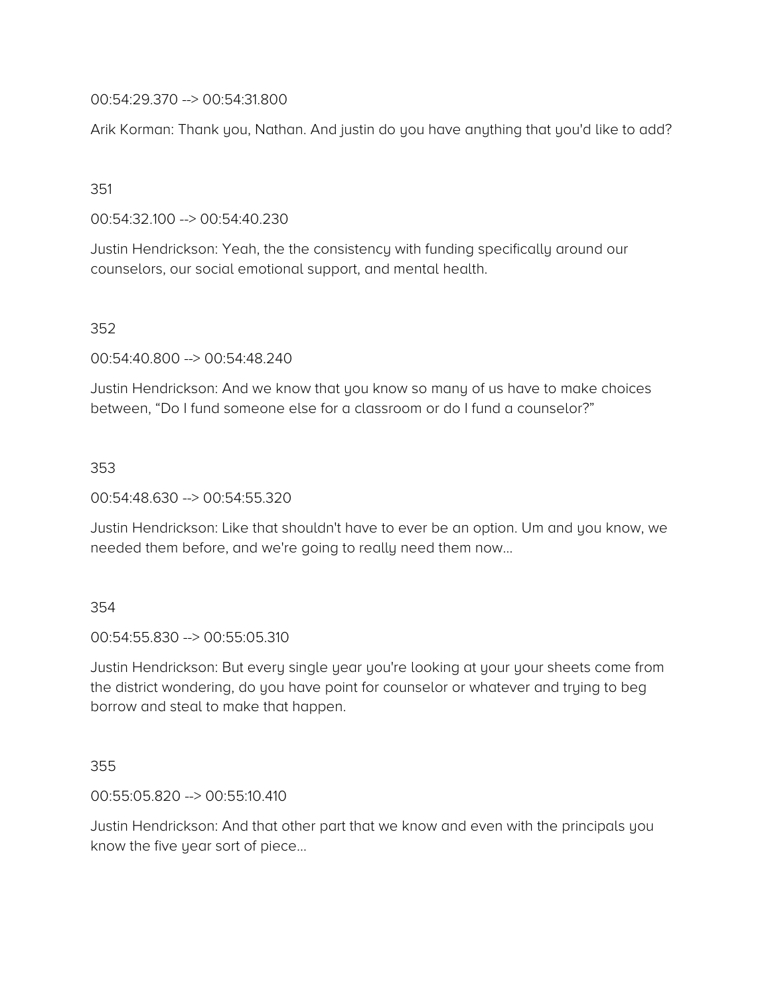00:54:29.370 --> 00:54:31.800

Arik Korman: Thank you, Nathan. And justin do you have anything that you'd like to add?

### 351

00:54:32.100 --> 00:54:40.230

Justin Hendrickson: Yeah, the the consistency with funding specifically around our counselors, our social emotional support, and mental health.

### 352

00:54:40.800 --> 00:54:48.240

Justin Hendrickson: And we know that you know so many of us have to make choices between, "Do I fund someone else for a classroom or do I fund a counselor?"

### 353

00:54:48.630 --> 00:54:55.320

Justin Hendrickson: Like that shouldn't have to ever be an option. Um and you know, we needed them before, and we're going to really need them now…

#### 354

00:54:55.830 --> 00:55:05.310

Justin Hendrickson: But every single year you're looking at your your sheets come from the district wondering, do you have point for counselor or whatever and trying to beg borrow and steal to make that happen.

#### 355

00:55:05.820 --> 00:55:10.410

Justin Hendrickson: And that other part that we know and even with the principals you know the five year sort of piece…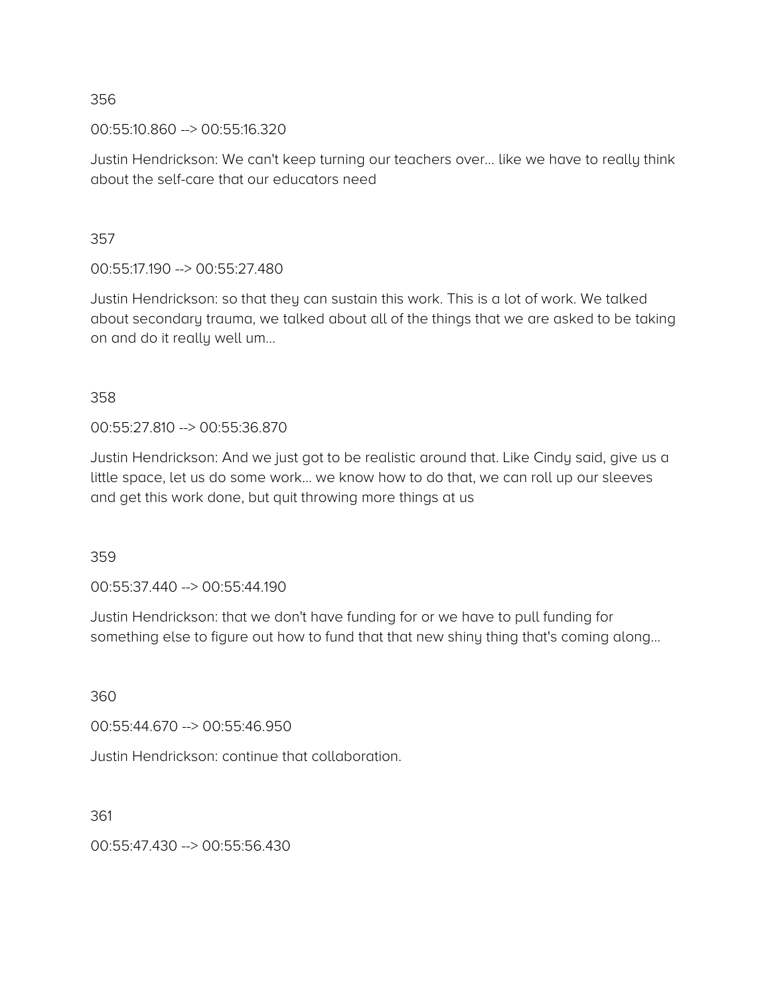00:55:10.860 --> 00:55:16.320

Justin Hendrickson: We can't keep turning our teachers over… like we have to really think about the self-care that our educators need

357

00:55:17.190 --> 00:55:27.480

Justin Hendrickson: so that they can sustain this work. This is a lot of work. We talked about secondary trauma, we talked about all of the things that we are asked to be taking on and do it really well um…

358

00:55:27.810 --> 00:55:36.870

Justin Hendrickson: And we just got to be realistic around that. Like Cindy said, give us a little space, let us do some work… we know how to do that, we can roll up our sleeves and get this work done, but quit throwing more things at us

359

00:55:37.440 --> 00:55:44.190

Justin Hendrickson: that we don't have funding for or we have to pull funding for something else to figure out how to fund that that new shiny thing that's coming along...

360

00:55:44.670 --> 00:55:46.950

Justin Hendrickson: continue that collaboration.

361

00:55:47.430 --> 00:55:56.430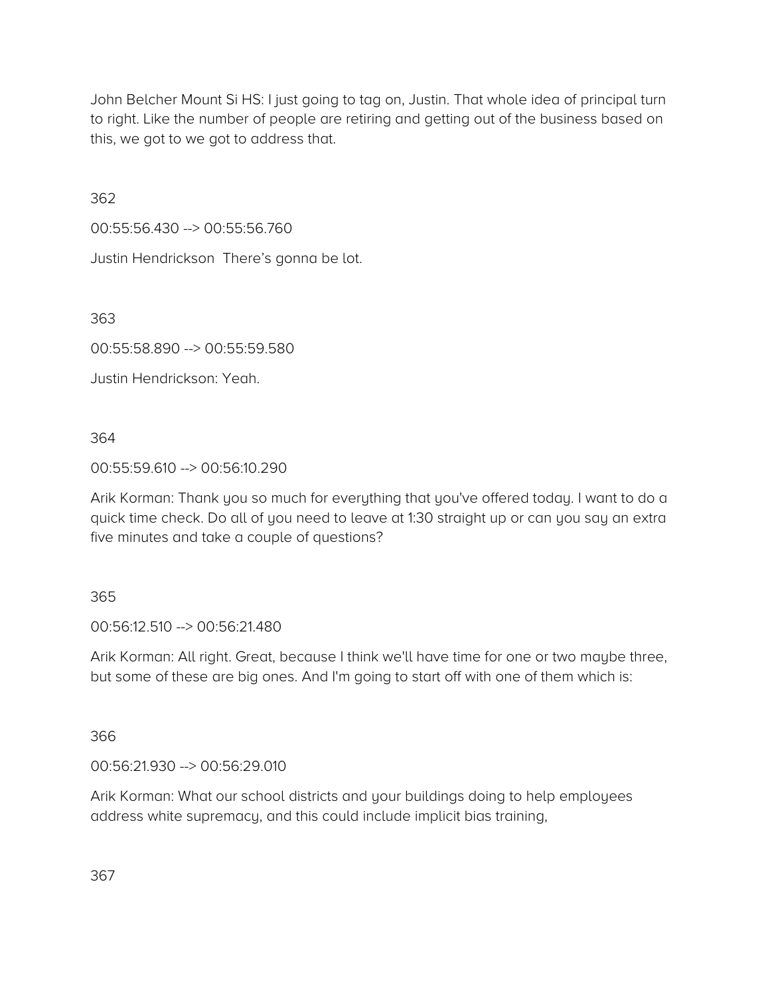John Belcher Mount Si HS: I just going to tag on, Justin. That whole idea of principal turn to right. Like the number of people are retiring and getting out of the business based on this, we got to we got to address that.

362

00:55:56.430 --> 00:55:56.760

Justin Hendrickson There's gonna be lot.

363

00:55:58.890 --> 00:55:59.580

Justin Hendrickson: Yeah.

364

00:55:59.610 --> 00:56:10.290

Arik Korman: Thank you so much for everything that you've offered today. I want to do a quick time check. Do all of you need to leave at 1:30 straight up or can you say an extra five minutes and take a couple of questions?

365

00:56:12.510 --> 00:56:21.480

Arik Korman: All right. Great, because I think we'll have time for one or two maybe three, but some of these are big ones. And I'm going to start off with one of them which is:

366

00:56:21.930 --> 00:56:29.010

Arik Korman: What our school districts and your buildings doing to help employees address white supremacy, and this could include implicit bias training,

367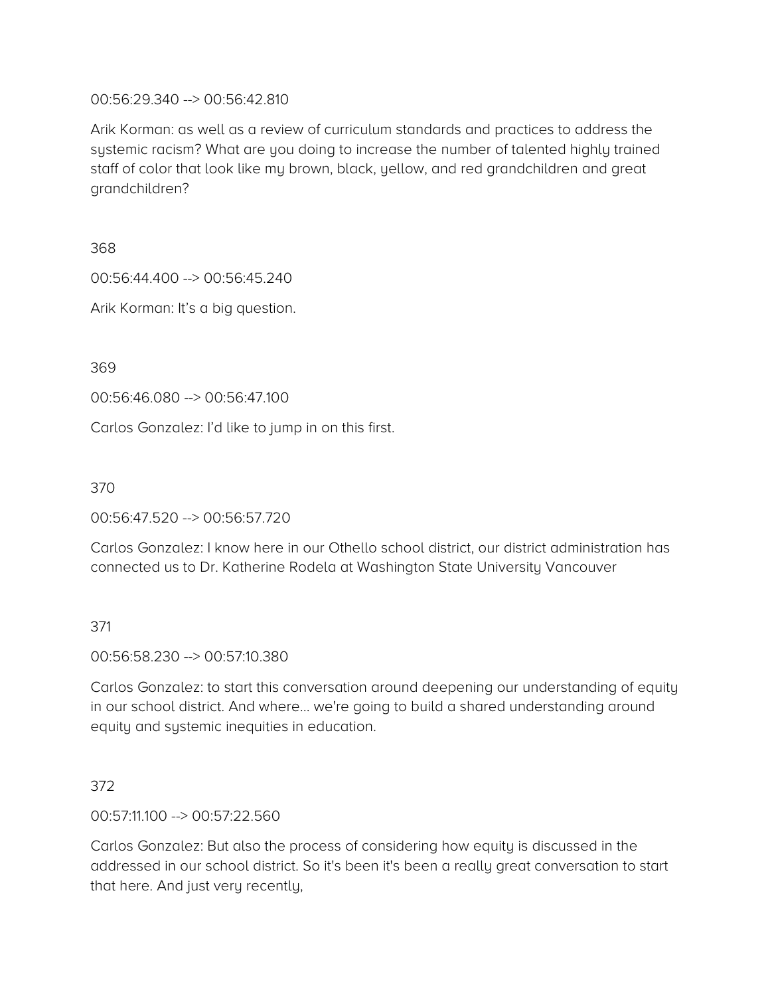### 00:56:29.340 --> 00:56:42.810

Arik Korman: as well as a review of curriculum standards and practices to address the systemic racism? What are you doing to increase the number of talented highly trained staff of color that look like my brown, black, yellow, and red grandchildren and great grandchildren?

368

00:56:44.400 --> 00:56:45.240

Arik Korman: It's a big question.

369

00:56:46.080 --> 00:56:47.100

Carlos Gonzalez: I'd like to jump in on this first.

370

00:56:47.520 --> 00:56:57.720

Carlos Gonzalez: I know here in our Othello school district, our district administration has connected us to Dr. Katherine Rodela at Washington State University Vancouver

371

00:56:58.230 --> 00:57:10.380

Carlos Gonzalez: to start this conversation around deepening our understanding of equity in our school district. And where… we're going to build a shared understanding around equity and systemic inequities in education.

# 372

00:57:11.100 --> 00:57:22.560

Carlos Gonzalez: But also the process of considering how equity is discussed in the addressed in our school district. So it's been it's been a really great conversation to start that here. And just very recently,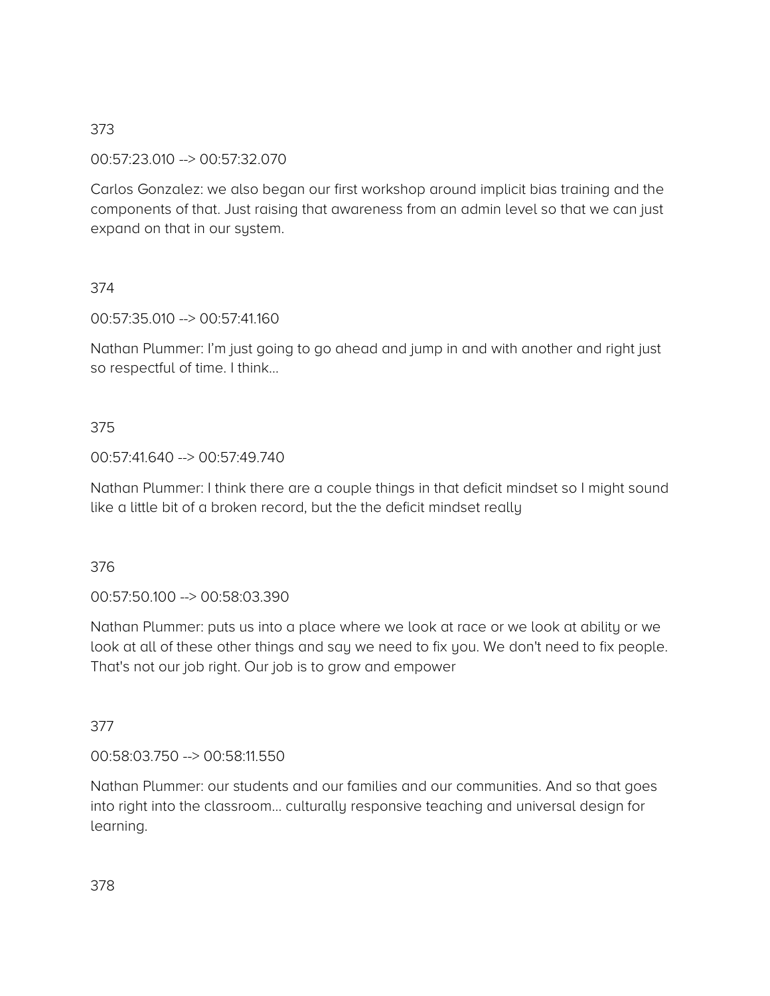# 00:57:23.010 --> 00:57:32.070

Carlos Gonzalez: we also began our first workshop around implicit bias training and the components of that. Just raising that awareness from an admin level so that we can just expand on that in our system.

# 374

00:57:35.010 --> 00:57:41.160

Nathan Plummer: I'm just going to go ahead and jump in and with another and right just so respectful of time. I think…

### 375

### 00:57:41.640 --> 00:57:49.740

Nathan Plummer: I think there are a couple things in that deficit mindset so I might sound like a little bit of a broken record, but the the deficit mindset really

#### 376

00:57:50.100 --> 00:58:03.390

Nathan Plummer: puts us into a place where we look at race or we look at ability or we look at all of these other things and say we need to fix you. We don't need to fix people. That's not our job right. Our job is to grow and empower

# 377

00:58:03.750 --> 00:58:11.550

Nathan Plummer: our students and our families and our communities. And so that goes into right into the classroom… culturally responsive teaching and universal design for learning.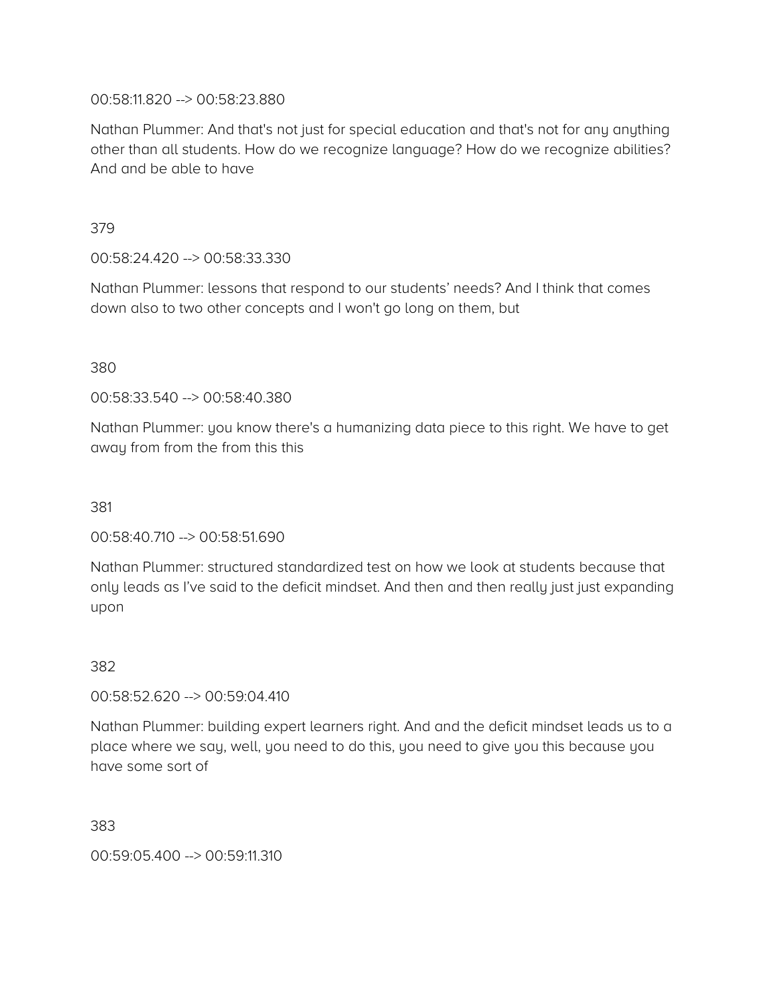### 00:58:11.820 --> 00:58:23.880

Nathan Plummer: And that's not just for special education and that's not for any anything other than all students. How do we recognize language? How do we recognize abilities? And and be able to have

379

00:58:24.420 --> 00:58:33.330

Nathan Plummer: lessons that respond to our students' needs? And I think that comes down also to two other concepts and I won't go long on them, but

380

00:58:33.540 --> 00:58:40.380

Nathan Plummer: you know there's a humanizing data piece to this right. We have to get away from from the from this this

381

00:58:40.710 --> 00:58:51.690

Nathan Plummer: structured standardized test on how we look at students because that only leads as I've said to the deficit mindset. And then and then really just just expanding upon

382

00:58:52.620 --> 00:59:04.410

Nathan Plummer: building expert learners right. And and the deficit mindset leads us to a place where we say, well, you need to do this, you need to give you this because you have some sort of

383

00:59:05.400 --> 00:59:11.310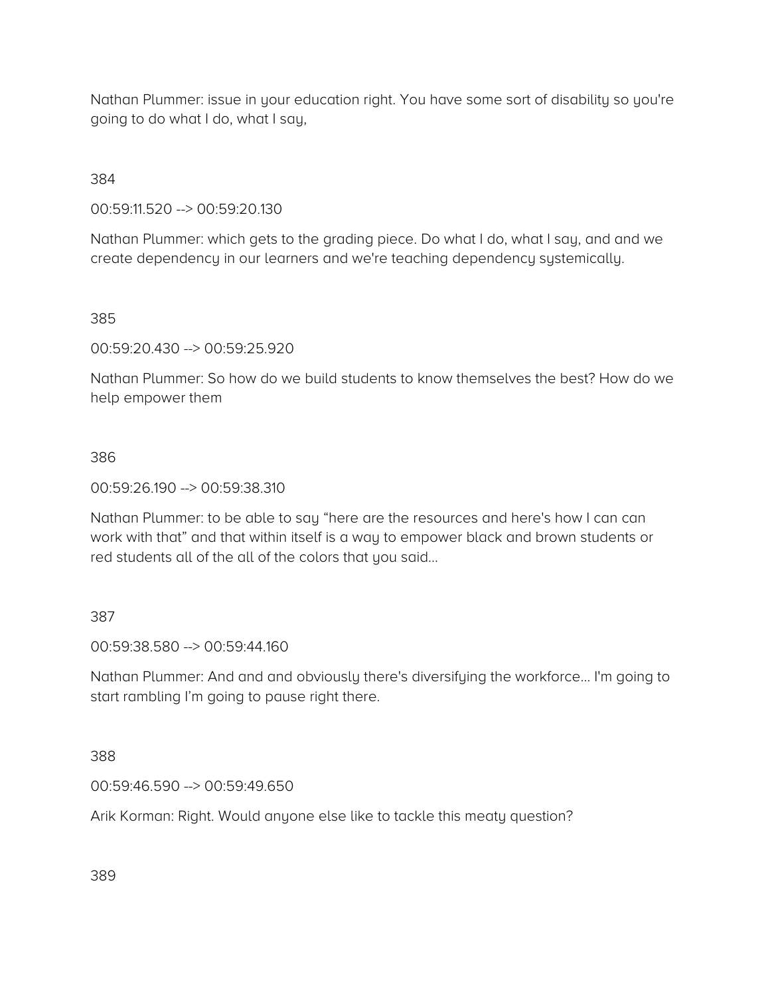Nathan Plummer: issue in your education right. You have some sort of disability so you're going to do what I do, what I say,

384

00:59:11.520 --> 00:59:20.130

Nathan Plummer: which gets to the grading piece. Do what I do, what I say, and and we create dependency in our learners and we're teaching dependency systemically.

385

00:59:20.430 --> 00:59:25.920

Nathan Plummer: So how do we build students to know themselves the best? How do we help empower them

### 386

00:59:26.190 --> 00:59:38.310

Nathan Plummer: to be able to say "here are the resources and here's how I can can work with that" and that within itself is a way to empower black and brown students or red students all of the all of the colors that you said…

# 387

00:59:38.580 --> 00:59:44.160

Nathan Plummer: And and and obviously there's diversifying the workforce… I'm going to start rambling I'm going to pause right there.

388

00:59:46.590 --> 00:59:49.650

Arik Korman: Right. Would anyone else like to tackle this meaty question?

389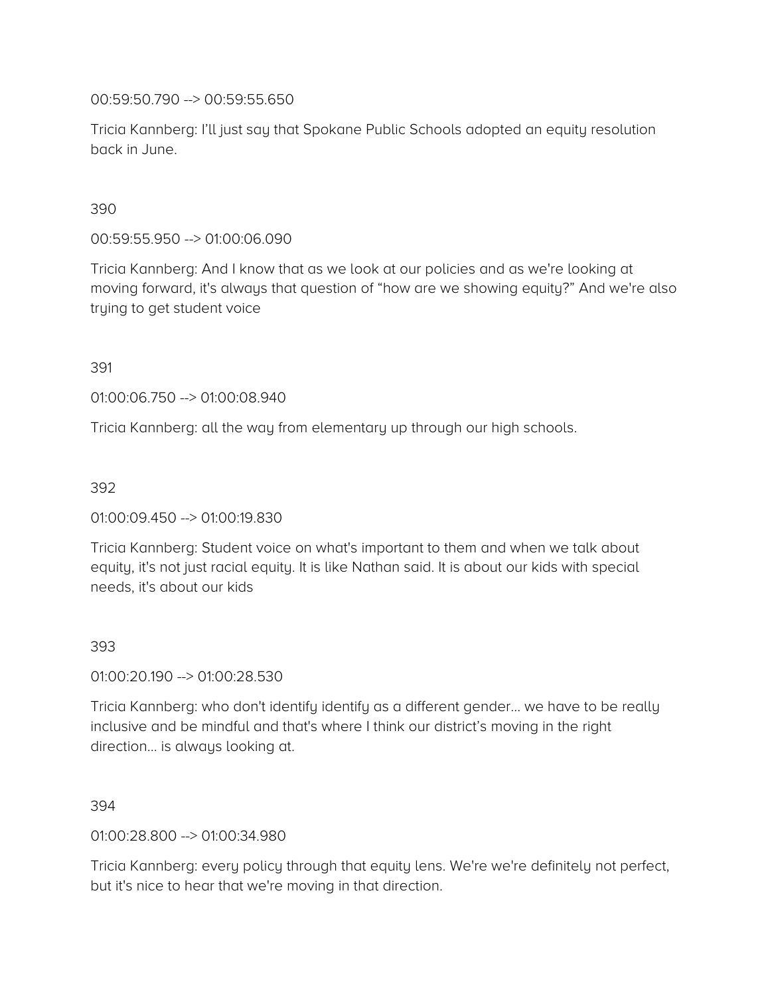00:59:50.790 --> 00:59:55.650

Tricia Kannberg: I'll just say that Spokane Public Schools adopted an equity resolution back in June.

### 390

00:59:55.950 --> 01:00:06.090

Tricia Kannberg: And I know that as we look at our policies and as we're looking at moving forward, it's always that question of "how are we showing equity?" And we're also trying to get student voice

391

01:00:06.750 --> 01:00:08.940

Tricia Kannberg: all the way from elementary up through our high schools.

392

#### 01:00:09.450 --> 01:00:19.830

Tricia Kannberg: Student voice on what's important to them and when we talk about equity, it's not just racial equity. It is like Nathan said. It is about our kids with special needs, it's about our kids

#### 393

01:00:20.190 --> 01:00:28.530

Tricia Kannberg: who don't identify identify as a different gender… we have to be really inclusive and be mindful and that's where I think our district's moving in the right direction… is always looking at.

#### 394

01:00:28.800 --> 01:00:34.980

Tricia Kannberg: every policy through that equity lens. We're we're definitely not perfect, but it's nice to hear that we're moving in that direction.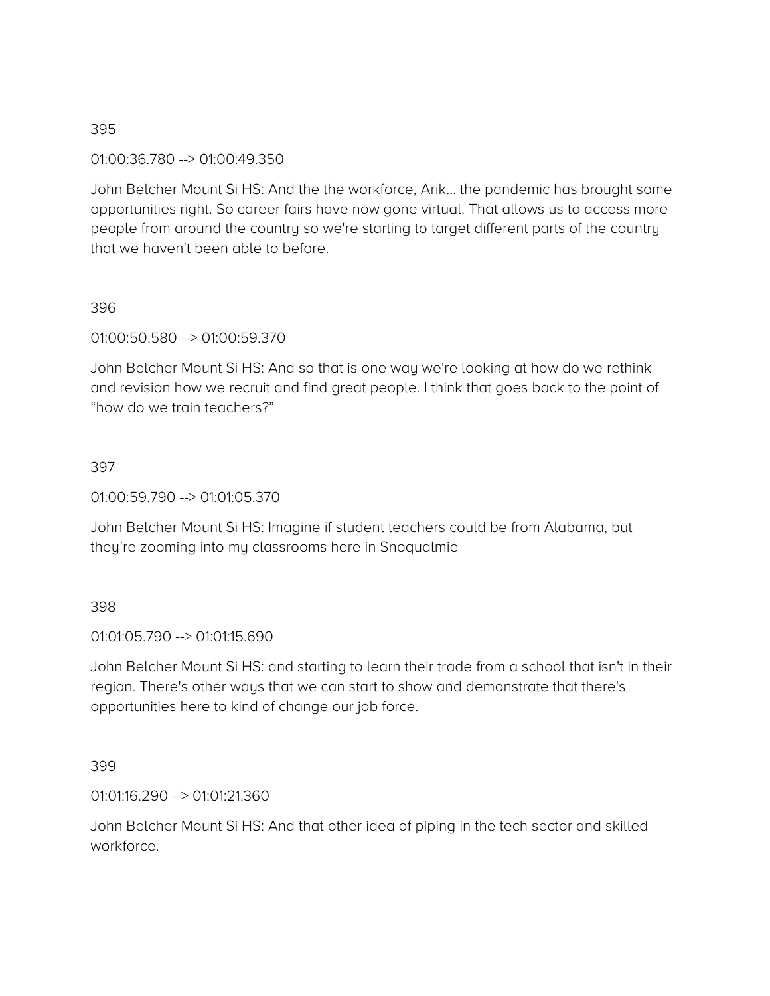01:00:36.780 --> 01:00:49.350

John Belcher Mount Si HS: And the the workforce, Arik… the pandemic has brought some opportunities right. So career fairs have now gone virtual. That allows us to access more people from around the country so we're starting to target different parts of the country that we haven't been able to before.

### 396

01:00:50.580 --> 01:00:59.370

John Belcher Mount Si HS: And so that is one way we're looking at how do we rethink and revision how we recruit and find great people. I think that goes back to the point of "how do we train teachers?"

### 397

01:00:59.790 --> 01:01:05.370

John Belcher Mount Si HS: Imagine if student teachers could be from Alabama, but they're zooming into my classrooms here in Snoqualmie

### 398

01:01:05.790 --> 01:01:15.690

John Belcher Mount Si HS: and starting to learn their trade from a school that isn't in their region. There's other ways that we can start to show and demonstrate that there's opportunities here to kind of change our job force.

### 399

01:01:16.290 --> 01:01:21.360

John Belcher Mount Si HS: And that other idea of piping in the tech sector and skilled workforce.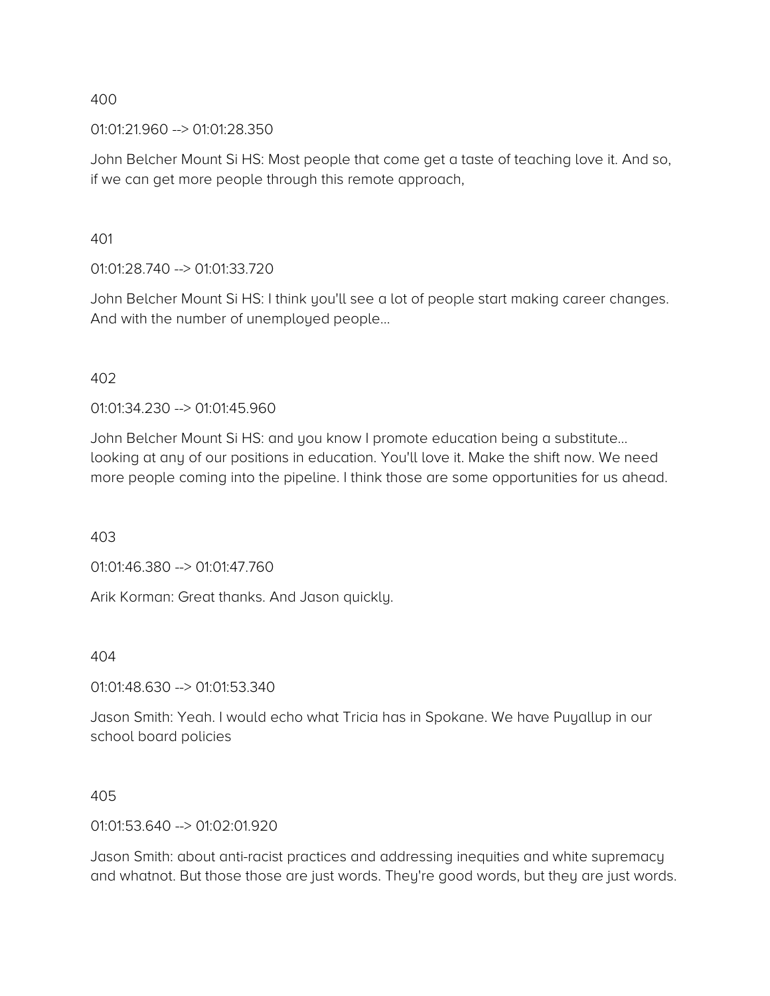01:01:21.960 --> 01:01:28.350

John Belcher Mount Si HS: Most people that come get a taste of teaching love it. And so, if we can get more people through this remote approach,

401

01:01:28.740 --> 01:01:33.720

John Belcher Mount Si HS: I think you'll see a lot of people start making career changes. And with the number of unemployed people…

402

01:01:34.230 --> 01:01:45.960

John Belcher Mount Si HS: and you know I promote education being a substitute… looking at any of our positions in education. You'll love it. Make the shift now. We need more people coming into the pipeline. I think those are some opportunities for us ahead.

403

01:01:46.380 --> 01:01:47.760

Arik Korman: Great thanks. And Jason quickly.

404

01:01:48.630 --> 01:01:53.340

Jason Smith: Yeah. I would echo what Tricia has in Spokane. We have Puyallup in our school board policies

405

 $01:01:53.640 \rightarrow 01:02:01.920$ 

Jason Smith: about anti-racist practices and addressing inequities and white supremacy and whatnot. But those those are just words. They're good words, but they are just words.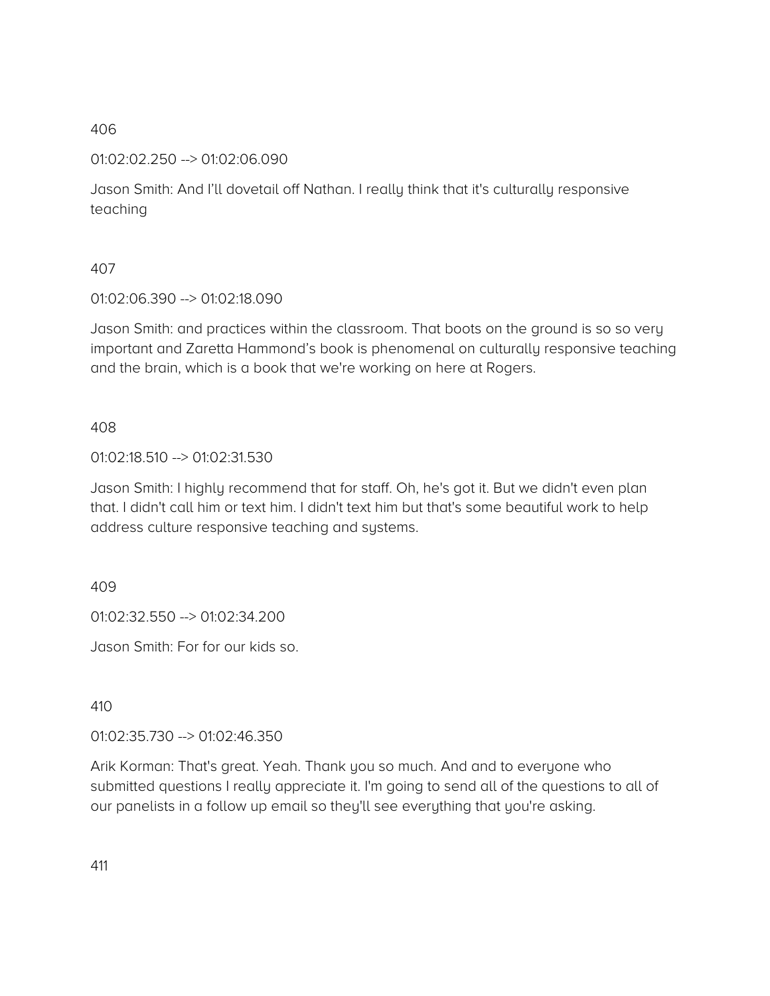01:02:02.250 --> 01:02:06.090

Jason Smith: And I'll dovetail off Nathan. I really think that it's culturally responsive teaching

## 407

01:02:06.390 --> 01:02:18.090

Jason Smith: and practices within the classroom. That boots on the ground is so so very important and Zaretta Hammond's book is phenomenal on culturally responsive teaching and the brain, which is a book that we're working on here at Rogers.

## 408

01:02:18.510 --> 01:02:31.530

Jason Smith: I highly recommend that for staff. Oh, he's got it. But we didn't even plan that. I didn't call him or text him. I didn't text him but that's some beautiful work to help address culture responsive teaching and systems.

409

01:02:32.550 --> 01:02:34.200

Jason Smith: For for our kids so.

410

01:02:35.730 --> 01:02:46.350

Arik Korman: That's great. Yeah. Thank you so much. And and to everyone who submitted questions I really appreciate it. I'm going to send all of the questions to all of our panelists in a follow up email so they'll see everything that you're asking.

411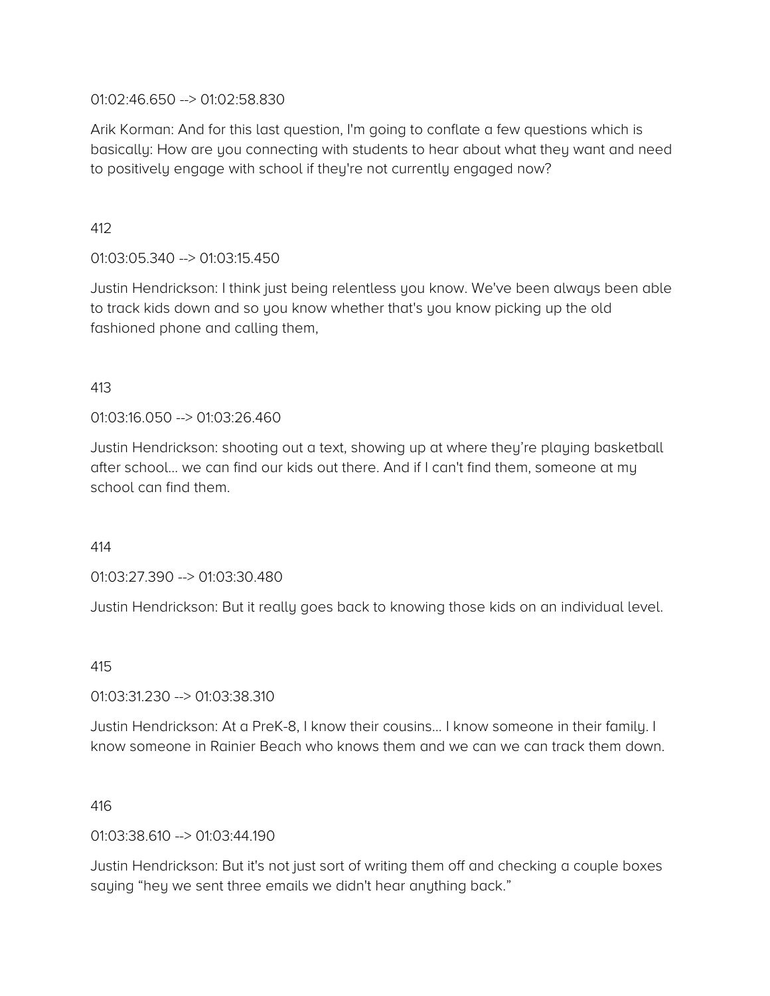### 01:02:46.650 --> 01:02:58.830

Arik Korman: And for this last question, I'm going to conflate a few questions which is basically: How are you connecting with students to hear about what they want and need to positively engage with school if they're not currently engaged now?

412

01:03:05.340 --> 01:03:15.450

Justin Hendrickson: I think just being relentless you know. We've been always been able to track kids down and so you know whether that's you know picking up the old fashioned phone and calling them,

### 413

### 01:03:16.050 --> 01:03:26.460

Justin Hendrickson: shooting out a text, showing up at where they're playing basketball after school… we can find our kids out there. And if I can't find them, someone at my school can find them.

414

01:03:27.390 --> 01:03:30.480

Justin Hendrickson: But it really goes back to knowing those kids on an individual level.

415

01:03:31.230 --> 01:03:38.310

Justin Hendrickson: At a PreK-8, I know their cousins… I know someone in their family. I know someone in Rainier Beach who knows them and we can we can track them down.

#### 416

01:03:38.610 --> 01:03:44.190

Justin Hendrickson: But it's not just sort of writing them off and checking a couple boxes saying "hey we sent three emails we didn't hear anything back."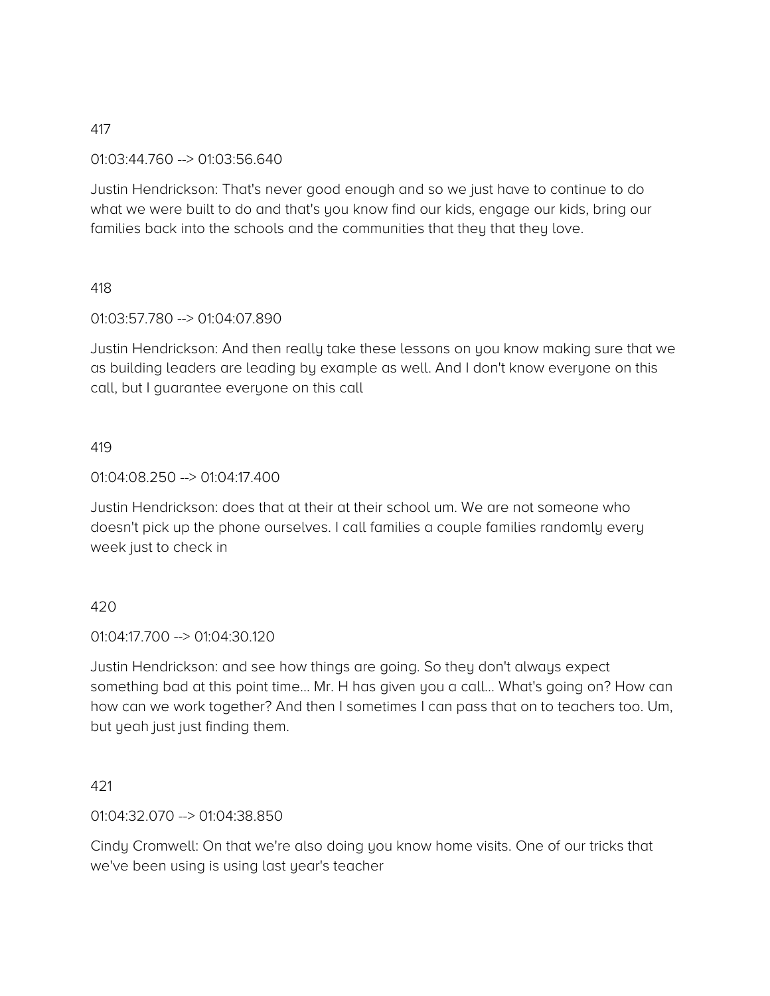### 01:03:44.760 --> 01:03:56.640

Justin Hendrickson: That's never good enough and so we just have to continue to do what we were built to do and that's you know find our kids, engage our kids, bring our families back into the schools and the communities that they that they love.

### 418

### 01:03:57.780 --> 01:04:07.890

Justin Hendrickson: And then really take these lessons on you know making sure that we as building leaders are leading by example as well. And I don't know everyone on this call, but I guarantee everyone on this call

### 419

### 01:04:08.250 --> 01:04:17.400

Justin Hendrickson: does that at their at their school um. We are not someone who doesn't pick up the phone ourselves. I call families a couple families randomly every week just to check in

### 420

### 01:04:17.700 --> 01:04:30.120

Justin Hendrickson: and see how things are going. So they don't always expect something bad at this point time… Mr. H has given you a call… What's going on? How can how can we work together? And then I sometimes I can pass that on to teachers too. Um, but yeah just just finding them.

### 421

### 01:04:32.070 --> 01:04:38.850

Cindy Cromwell: On that we're also doing you know home visits. One of our tricks that we've been using is using last year's teacher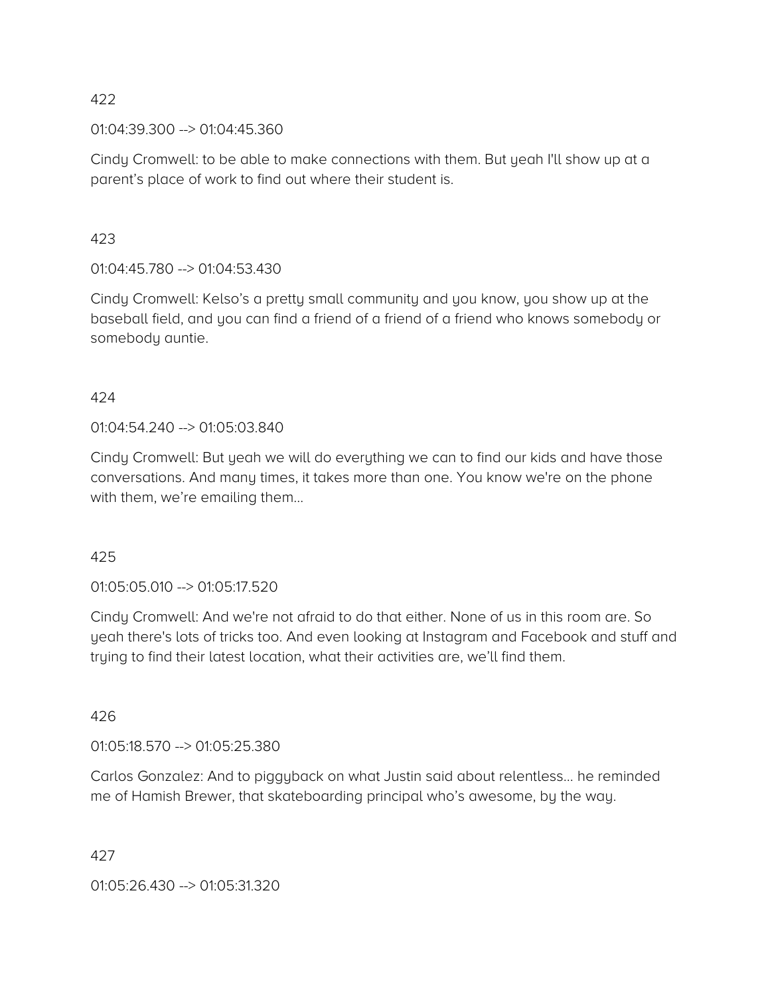01:04:39.300 --> 01:04:45.360

Cindy Cromwell: to be able to make connections with them. But yeah I'll show up at a parent's place of work to find out where their student is.

423

01:04:45.780 --> 01:04:53.430

Cindy Cromwell: Kelso's a pretty small community and you know, you show up at the baseball field, and you can find a friend of a friend of a friend who knows somebody or somebody auntie.

## 424

01:04:54.240 --> 01:05:03.840

Cindy Cromwell: But yeah we will do everything we can to find our kids and have those conversations. And many times, it takes more than one. You know we're on the phone with them, we're emailing them…

425

01:05:05.010 --> 01:05:17.520

Cindy Cromwell: And we're not afraid to do that either. None of us in this room are. So yeah there's lots of tricks too. And even looking at Instagram and Facebook and stuff and trying to find their latest location, what their activities are, we'll find them.

426

01:05:18.570 --> 01:05:25.380

Carlos Gonzalez: And to piggyback on what Justin said about relentless… he reminded me of Hamish Brewer, that skateboarding principal who's awesome, by the way.

427

01:05:26.430 --> 01:05:31.320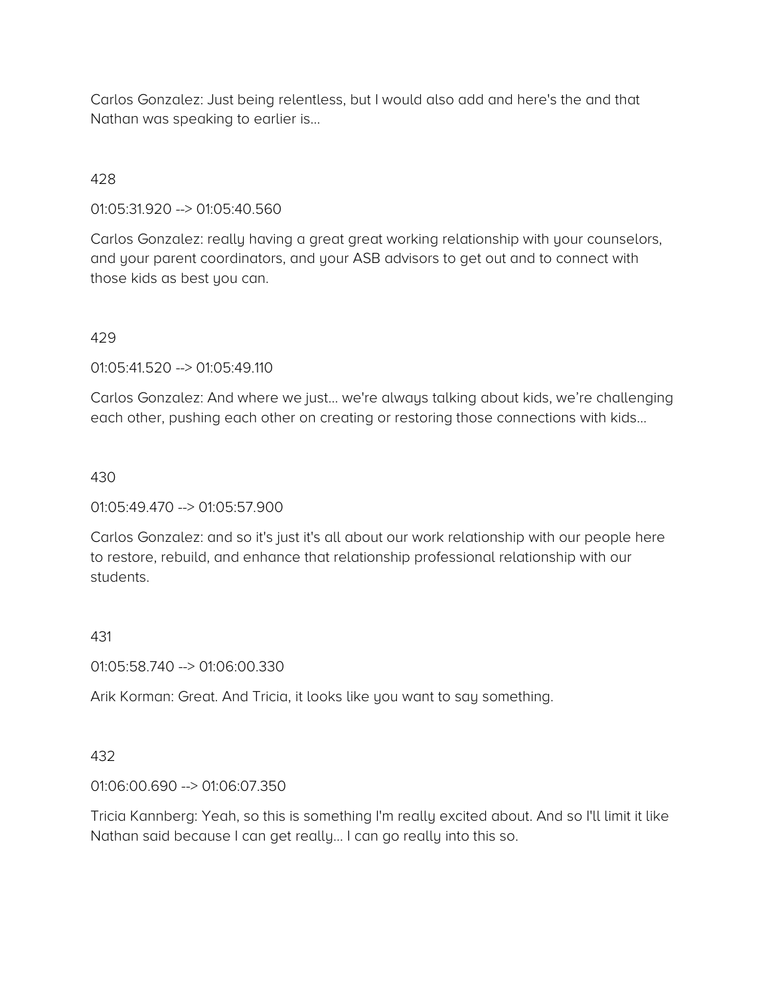Carlos Gonzalez: Just being relentless, but I would also add and here's the and that Nathan was speaking to earlier is…

## 428

01:05:31.920 --> 01:05:40.560

Carlos Gonzalez: really having a great great working relationship with your counselors, and your parent coordinators, and your ASB advisors to get out and to connect with those kids as best you can.

### 429

01:05:41.520 --> 01:05:49.110

Carlos Gonzalez: And where we just… we're always talking about kids, we're challenging each other, pushing each other on creating or restoring those connections with kids…

### 430

01:05:49.470 --> 01:05:57.900

Carlos Gonzalez: and so it's just it's all about our work relationship with our people here to restore, rebuild, and enhance that relationship professional relationship with our students.

### 431

01:05:58.740 --> 01:06:00.330

Arik Korman: Great. And Tricia, it looks like you want to say something.

## 432

01:06:00.690 --> 01:06:07.350

Tricia Kannberg: Yeah, so this is something I'm really excited about. And so I'll limit it like Nathan said because I can get really… I can go really into this so.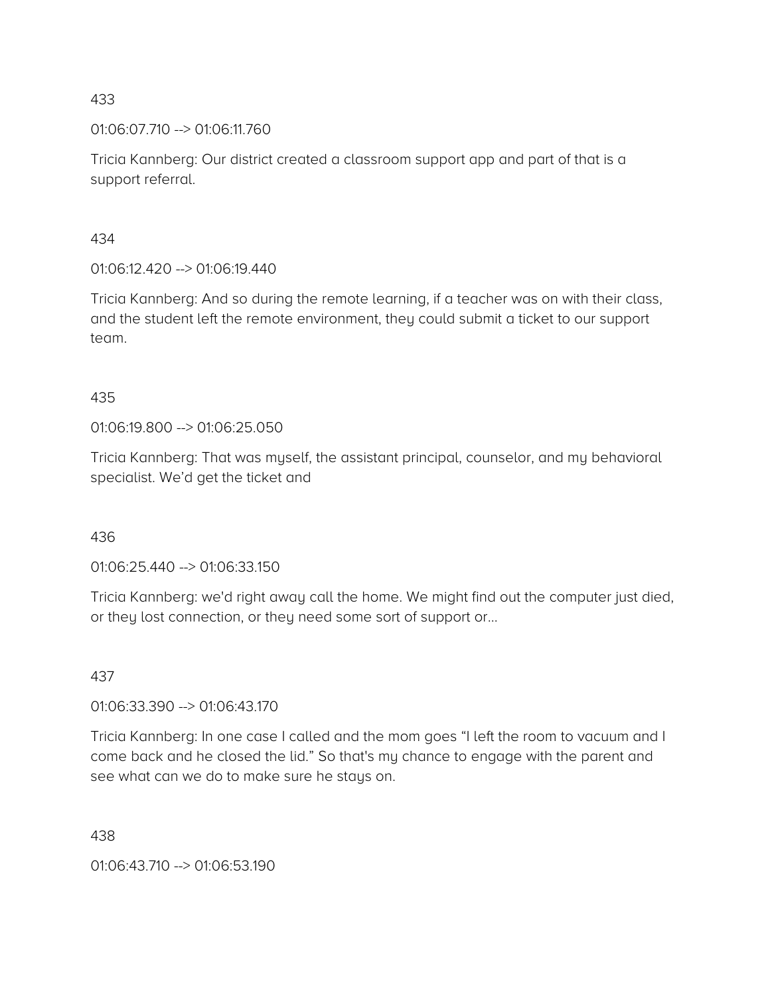01:06:07.710 --> 01:06:11.760

Tricia Kannberg: Our district created a classroom support app and part of that is a support referral.

### 434

01:06:12.420 --> 01:06:19.440

Tricia Kannberg: And so during the remote learning, if a teacher was on with their class, and the student left the remote environment, they could submit a ticket to our support team.

## 435

01:06:19.800 --> 01:06:25.050

Tricia Kannberg: That was myself, the assistant principal, counselor, and my behavioral specialist. We'd get the ticket and

## 436

01:06:25.440 --> 01:06:33.150

Tricia Kannberg: we'd right away call the home. We might find out the computer just died, or they lost connection, or they need some sort of support or…

## 437

01:06:33.390 --> 01:06:43.170

Tricia Kannberg: In one case I called and the mom goes "I left the room to vacuum and I come back and he closed the lid." So that's my chance to engage with the parent and see what can we do to make sure he stays on.

438

01:06:43.710 --> 01:06:53.190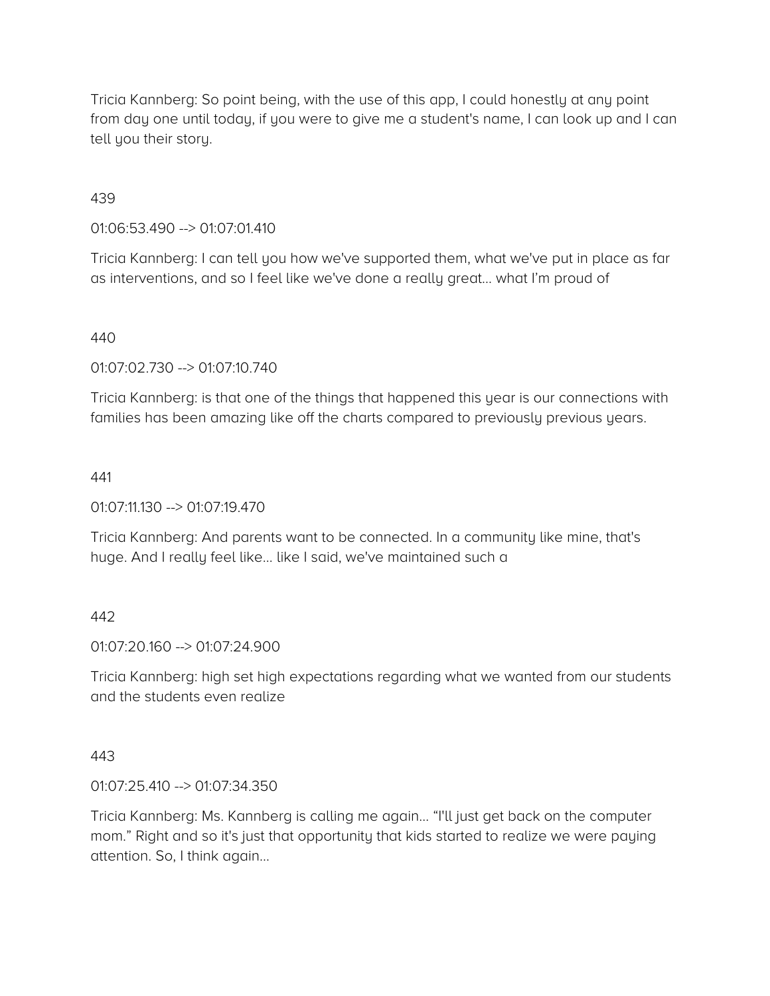Tricia Kannberg: So point being, with the use of this app, I could honestly at any point from day one until today, if you were to give me a student's name, I can look up and I can tell you their story.

### 439

01:06:53.490 --> 01:07:01.410

Tricia Kannberg: I can tell you how we've supported them, what we've put in place as far as interventions, and so I feel like we've done a really great… what I'm proud of

### 440

01:07:02.730 --> 01:07:10.740

Tricia Kannberg: is that one of the things that happened this year is our connections with families has been amazing like off the charts compared to previously previous years.

### 441

 $01:07:11.130 \rightarrow 01:07:19.470$ 

Tricia Kannberg: And parents want to be connected. In a community like mine, that's huge. And I really feel like… like I said, we've maintained such a

### 442

01:07:20.160 --> 01:07:24.900

Tricia Kannberg: high set high expectations regarding what we wanted from our students and the students even realize

### 443

01:07:25.410 --> 01:07:34.350

Tricia Kannberg: Ms. Kannberg is calling me again… "I'll just get back on the computer mom." Right and so it's just that opportunity that kids started to realize we were paying attention. So, I think again…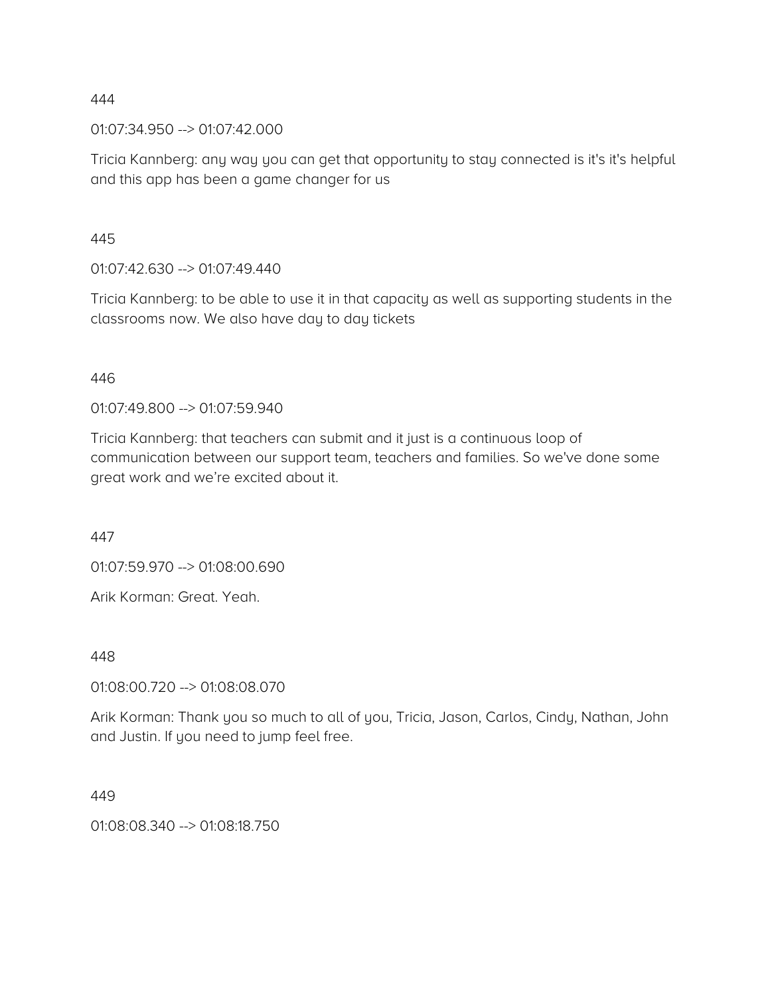01:07:34.950 --> 01:07:42.000

Tricia Kannberg: any way you can get that opportunity to stay connected is it's it's helpful and this app has been a game changer for us

445

01:07:42.630 --> 01:07:49.440

Tricia Kannberg: to be able to use it in that capacity as well as supporting students in the classrooms now. We also have day to day tickets

### 446

01:07:49.800 --> 01:07:59.940

Tricia Kannberg: that teachers can submit and it just is a continuous loop of communication between our support team, teachers and families. So we've done some great work and we're excited about it.

447

01:07:59.970 --> 01:08:00.690

Arik Korman: Great. Yeah.

448

01:08:00.720 --> 01:08:08.070

Arik Korman: Thank you so much to all of you, Tricia, Jason, Carlos, Cindy, Nathan, John and Justin. If you need to jump feel free.

449

01:08:08.340 --> 01:08:18.750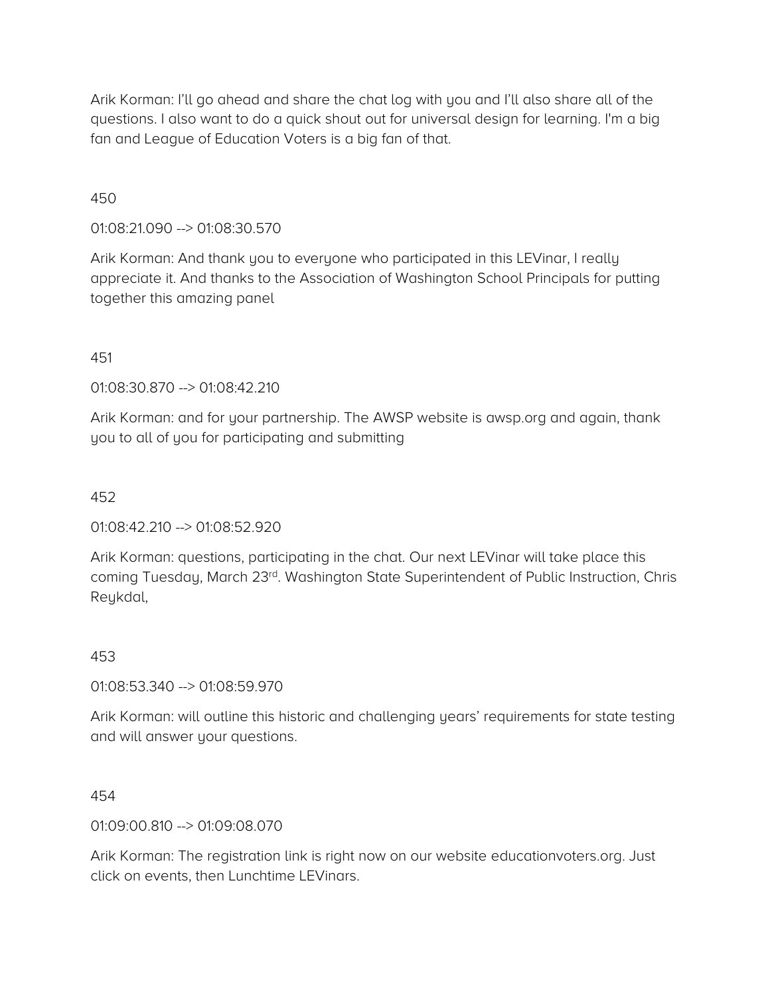Arik Korman: I'll go ahead and share the chat log with you and I'll also share all of the questions. I also want to do a quick shout out for universal design for learning. I'm a big fan and League of Education Voters is a big fan of that.

### 450

01:08:21.090 --> 01:08:30.570

Arik Korman: And thank you to everyone who participated in this LEVinar, I really appreciate it. And thanks to the Association of Washington School Principals for putting together this amazing panel

### 451

01:08:30.870 --> 01:08:42.210

Arik Korman: and for your partnership. The AWSP website is awsp.org and again, thank you to all of you for participating and submitting

### 452

01:08:42.210 --> 01:08:52.920

Arik Korman: questions, participating in the chat. Our next LEVinar will take place this coming Tuesday, March 23rd. Washington State Superintendent of Public Instruction, Chris Reykdal,

### 453

01:08:53.340 --> 01:08:59.970

Arik Korman: will outline this historic and challenging years' requirements for state testing and will answer your questions.

454

01:09:00.810 --> 01:09:08.070

Arik Korman: The registration link is right now on our website educationvoters.org. Just click on events, then Lunchtime LEVinars.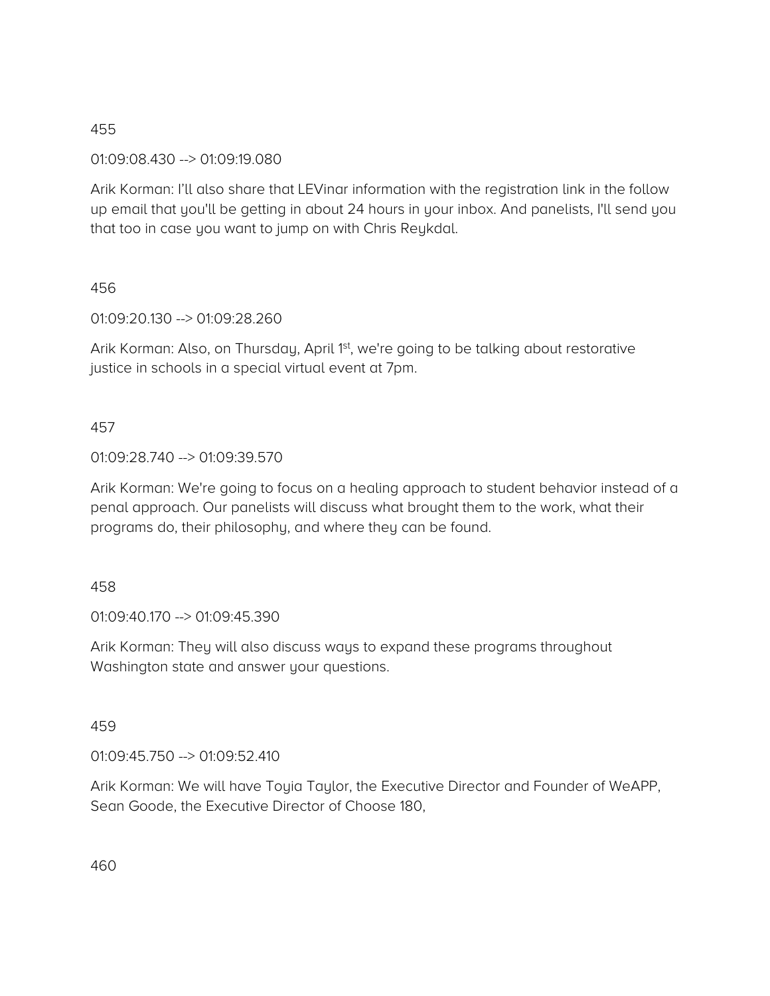01:09:08.430 --> 01:09:19.080

Arik Korman: I'll also share that LEVinar information with the registration link in the follow up email that you'll be getting in about 24 hours in your inbox. And panelists, I'll send you that too in case you want to jump on with Chris Reykdal.

## 456

01:09:20.130 --> 01:09:28.260

Arik Korman: Also, on Thursday, April 1<sup>st</sup>, we're going to be talking about restorative justice in schools in a special virtual event at 7pm.

## 457

## 01:09:28.740 --> 01:09:39.570

Arik Korman: We're going to focus on a healing approach to student behavior instead of a penal approach. Our panelists will discuss what brought them to the work, what their programs do, their philosophy, and where they can be found.

## 458

01:09:40.170 --> 01:09:45.390

Arik Korman: They will also discuss ways to expand these programs throughout Washington state and answer your questions.

## 459

01:09:45.750 --> 01:09:52.410

Arik Korman: We will have Toyia Taylor, the Executive Director and Founder of WeAPP, Sean Goode, the Executive Director of Choose 180,

460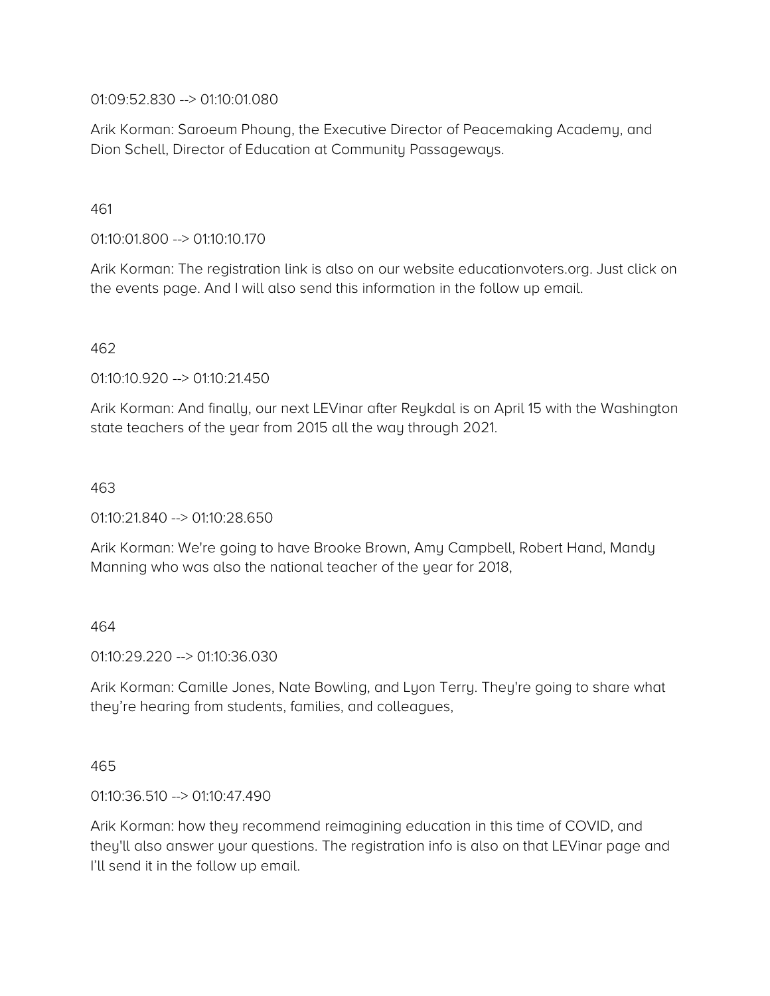01:09:52.830 --> 01:10:01.080

Arik Korman: Saroeum Phoung, the Executive Director of Peacemaking Academy, and Dion Schell, Director of Education at Community Passageways.

## 461

01:10:01.800 --> 01:10:10.170

Arik Korman: The registration link is also on our website educationvoters.org. Just click on the events page. And I will also send this information in the follow up email.

### 462

01:10:10.920 --> 01:10:21.450

Arik Korman: And finally, our next LEVinar after Reykdal is on April 15 with the Washington state teachers of the year from 2015 all the way through 2021.

### 463

01:10:21.840 --> 01:10:28.650

Arik Korman: We're going to have Brooke Brown, Amy Campbell, Robert Hand, Mandy Manning who was also the national teacher of the year for 2018,

# 464

01:10:29.220 --> 01:10:36.030

Arik Korman: Camille Jones, Nate Bowling, and Lyon Terry. They're going to share what they're hearing from students, families, and colleagues,

### 465

01:10:36.510 --> 01:10:47.490

Arik Korman: how they recommend reimagining education in this time of COVID, and they'll also answer your questions. The registration info is also on that LEVinar page and I'll send it in the follow up email.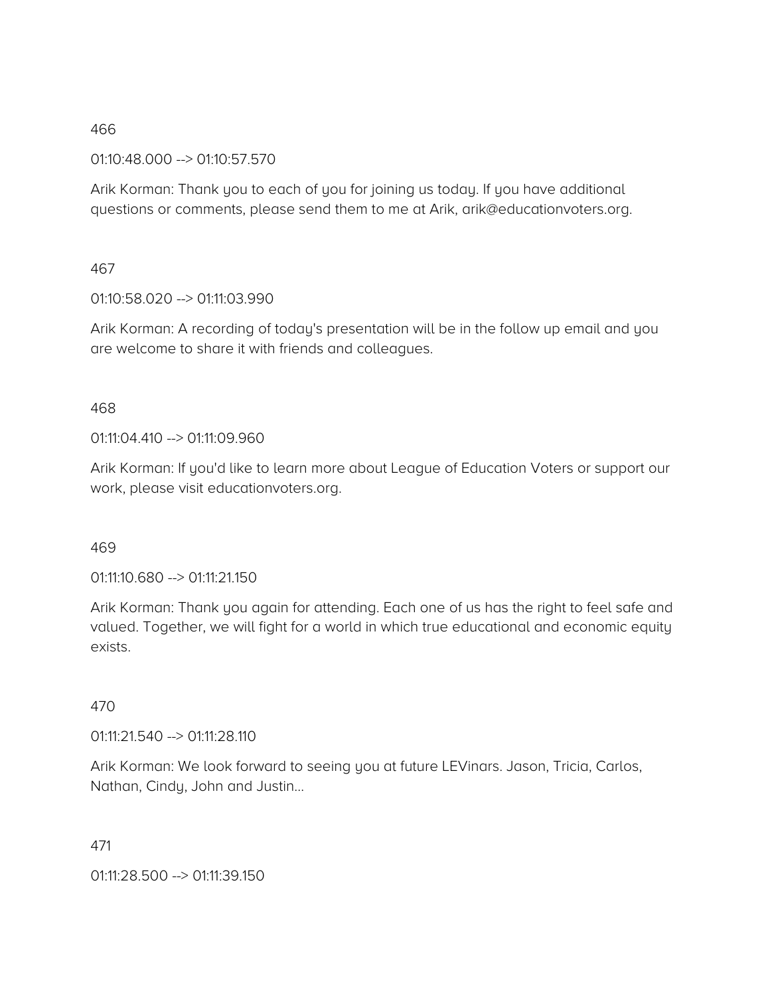01:10:48.000 --> 01:10:57.570

Arik Korman: Thank you to each of you for joining us today. If you have additional questions or comments, please send them to me at Arik, arik@educationvoters.org.

## 467

01:10:58.020 --> 01:11:03.990

Arik Korman: A recording of today's presentation will be in the follow up email and you are welcome to share it with friends and colleagues.

## 468

01:11:04.410 --> 01:11:09.960

Arik Korman: If you'd like to learn more about League of Education Voters or support our work, please visit educationvoters.org.

## 469

01:11:10.680 --> 01:11:21.150

Arik Korman: Thank you again for attending. Each one of us has the right to feel safe and valued. Together, we will fight for a world in which true educational and economic equity exists.

## 470

01:11:21.540 --> 01:11:28.110

Arik Korman: We look forward to seeing you at future LEVinars. Jason, Tricia, Carlos, Nathan, Cindy, John and Justin…

## 471

01:11:28.500 --> 01:11:39.150